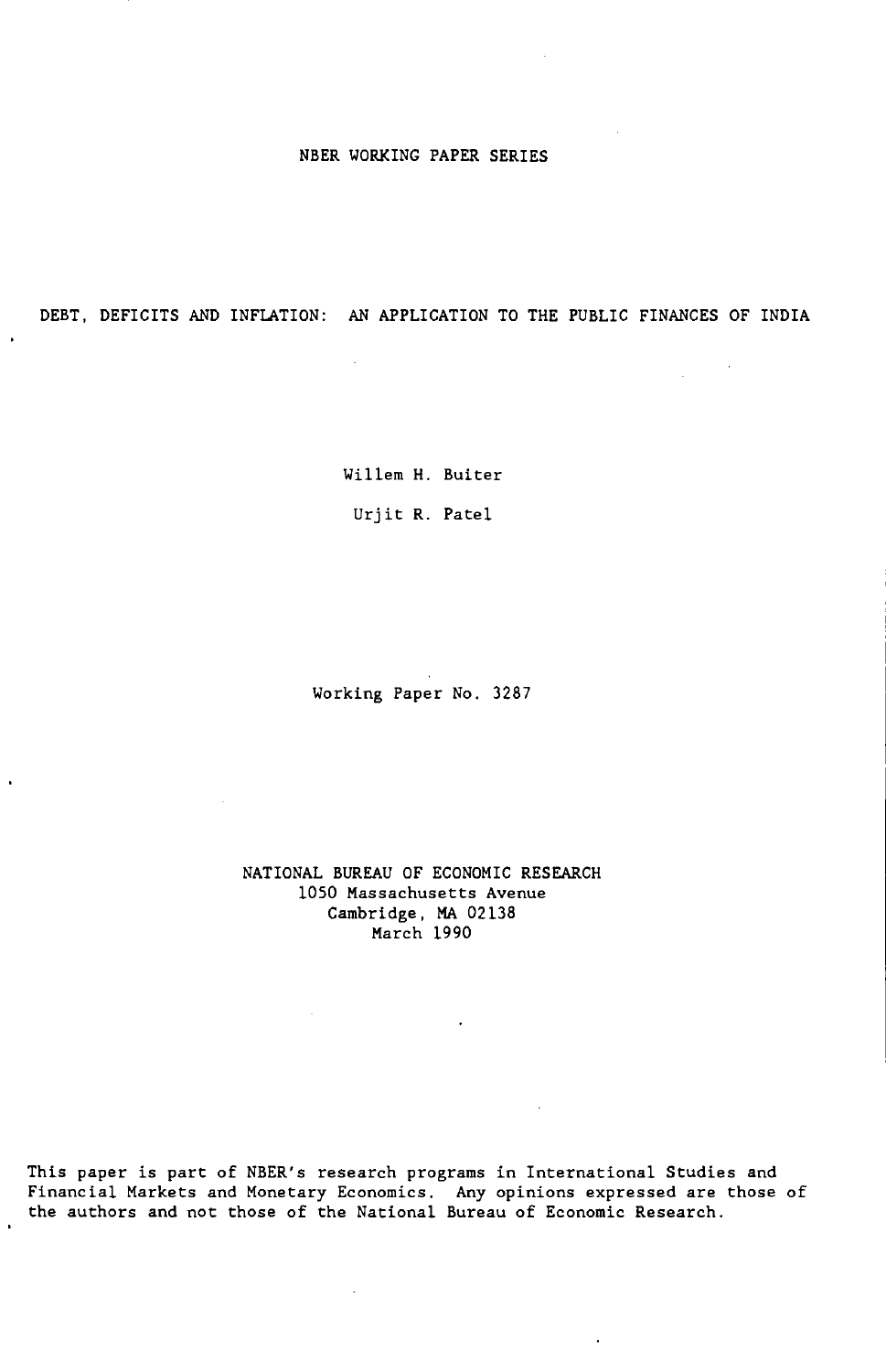#### NBER WORKING PAPER SERIES

DEBT, DEFICITS AND INFLATION: AN APPLICATION TO THE PUBLIC FINANCES OF INDIA

 $\bar{z}$ 

Willem H. Buiter

Urjit R. Patel

 $\sim$ Working Paper No. 3287

NATIONAL BUREAU OF ECONOMIC RESEARCH 1050 Massachusetts Avenue Cambridge, MA 02138 March 1990

Thia paper is part of NBER's research programs in International Studies and Financial Markets and Monetary Economics. Any opinions expressed are those of the authors and not those of the National Bureau of Economic Research.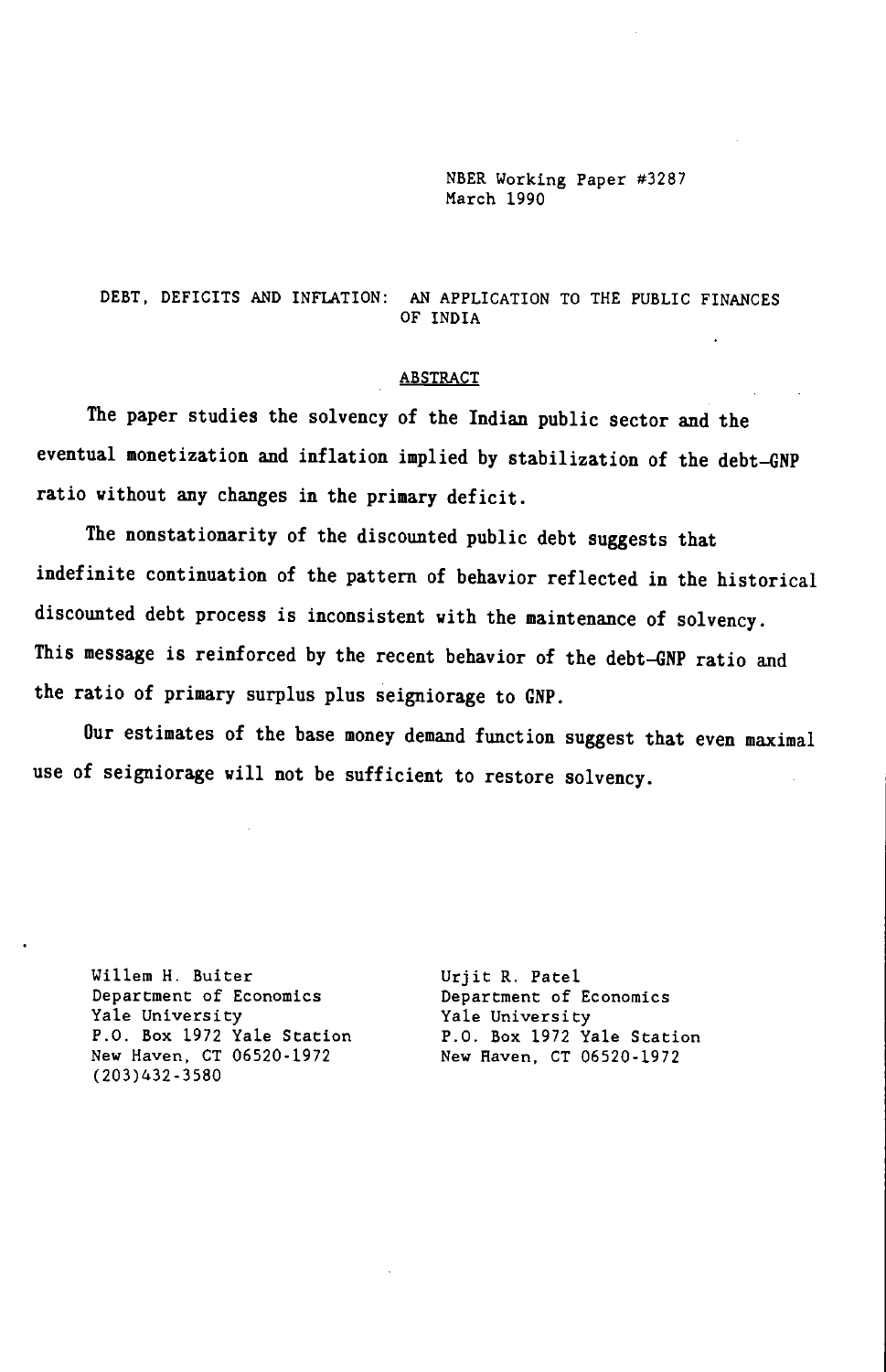NBER Working Paper #3287 March 1990

#### DEBT, DEFICITS AND INFLATION: AN APPLICATION TO THE PUBLIC FINANCES OF INDIA

#### ABSTRACT

The paper studies the solvency of the Indian public sector and the eventual monetization and inflation implied by stabilization of the debt—GNP ratio without any changes in the primary deficit.

The nonstationarity of the discounted public debt suggests that indefinite continuation of the pattern of behavior reflected in the historical discounted debt process is inconsistent with the maintenance of solvency. This message is reinforced by the recent behavior of the debt—GNP ratio and the ratio of primary surplus plus seigniorage to GNP.

Our estimates of the base money demand function suggest that even maximal use of seigniorage will not be sufficient to restore solvency.

Willem H. Buiter Urjit R. Patel<br>Department of Economics Department of J Department of Economics<br>
Yale University<br>
Yale University<br>
Yale University P.O. Box 1972 Yale Station New Haven, CT 06520-1972 New Raven, CT 06520-1972 (203)432-3580

Yale University<br>P.O. Box 1972 Yale Station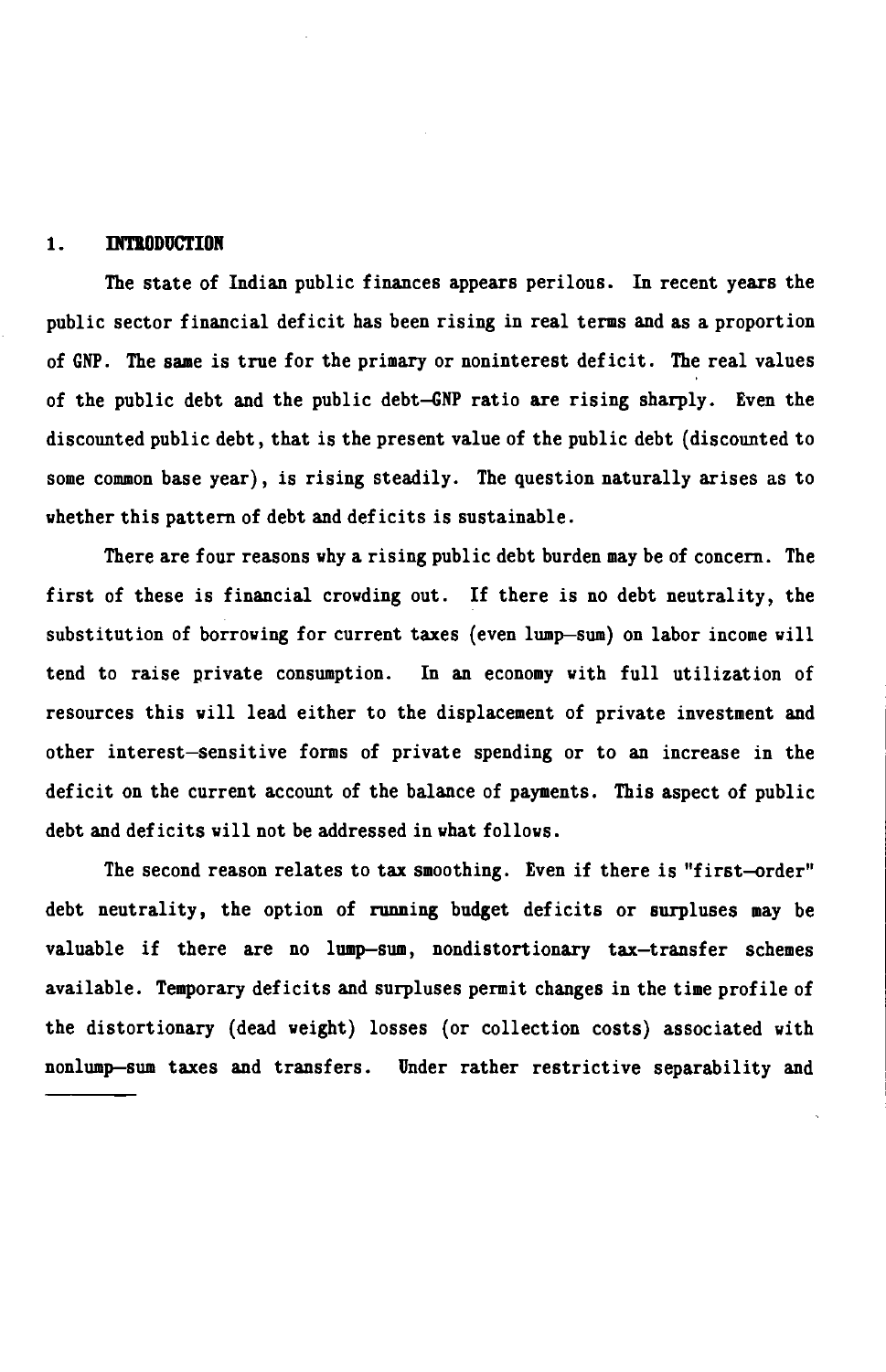#### 1. **INTRODUCTION**

The state of Indian public finances appears perilous. In recent years the public sector financial deficit has been rising in real terms and as a proportion of GNP. The same is true for the primary or noninterest deficit. The real values of the public debt and the public debt—GNP ratio are rising sharply. Even the discounted public debt, that is the present value of the public debt (discounted to some common base year), is rising steadily. The question naturally arises as to whether this pattern of debt and deficits is sustainable.

There are four reasons why a rising public debt burden may be of concern. The first of these is financial crowding out. If there is no debt neutrality, the substitution of borrowing for current taxes (even lump—sum) on labor income will tend to raise private consumption. In an economy with full utilization of resources this will lead either to the displacement of private investment and other interest—sensitive forms of private spending or to an increase in the deficit on the current account of the balance of payments. This aspect of public debt and deficits will not be addressed in what follows.

The second reason relates to tax smoothing. Even if there is "first—order" debt neutrality, the option of running budget deficits or surpluses may be valuable if there are no lump—sum, nondistortionary tax—transfer schemes available. Temporary deficits and surpluses permit changes in the time profile of the distortionary (dead weight) losses (or collection costs) associated with nonlump—sum taxes and transfers. Under rather restrictive separability and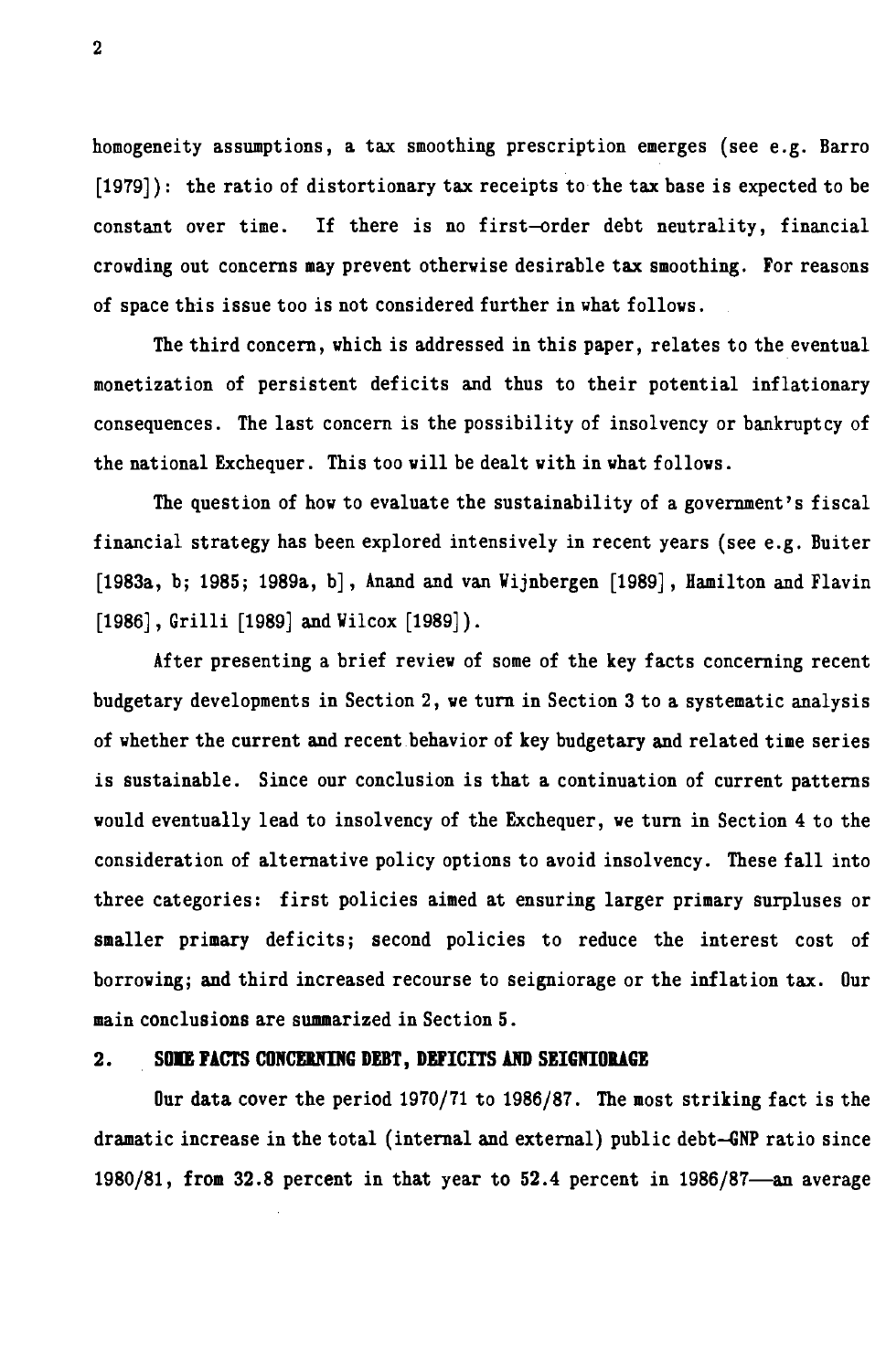homogeneity assumptions, a tax smoothing prescription emerges (see e.g. Barro [1979]): the ratio of distortionary tax receipts to the tax base is expected to be constant over time. If there is no first—order debt neutrality, financial crowding out concerns may prevent otherwise desirable tax smoothing. For reasons of space this issue too is not considered further in what follows.

The third concern, which is addressed in this paper, relates to the eventual monetization of persistent deficits and thus to their potential inflationary consequences. The last concern is the possibility of insolvency or bankruptcy of the national Exchequer. This too will be dealt with in what follows.

The question of how to evaluate the sustainability of a government's fiscal financial strategy has been explored intensively in recent years (see e.g. Buiter [1983a, b; 1985; 1989a, b] , Anand and van Wijnbergen [1989] , Hamilton and Flavin [1986], Grilli [1989] and Wilcox [1989]).

After presenting a brief review of some of the key facts concerning recent budgetary developments in Section 2, we turn in Section 3 to a systematic analysis of whether the current and recent behavior of key budgetary and related time series is sustainable. Since our conclusion is that a continuation of current patterns would eventually lead to insolvency of the Exchequer, we turn in Section 4 to the consideration of alternative policy options to avoid insolvency. These fall into three categories: first policies aimed at ensuring larger primary surpluses or smaller primary deficits; second policies to reduce the interest cost of borrowing; and third increased recourse to seigniorage or the inflation tax. Our main conclusions are summarized in Section 5.

## 2. SOlE FACTS CONCEKNThC DEBT, DEFICITS AND SEIGNIORACE

Our data cover the period 1970/71 to 1986/87. The most striking fact is the dramatic increase in the total (internal and external) public debt—GNP ratio since 1980/81, from 32.8 percent in that year to 52.4 percent in 1986/87—an average

2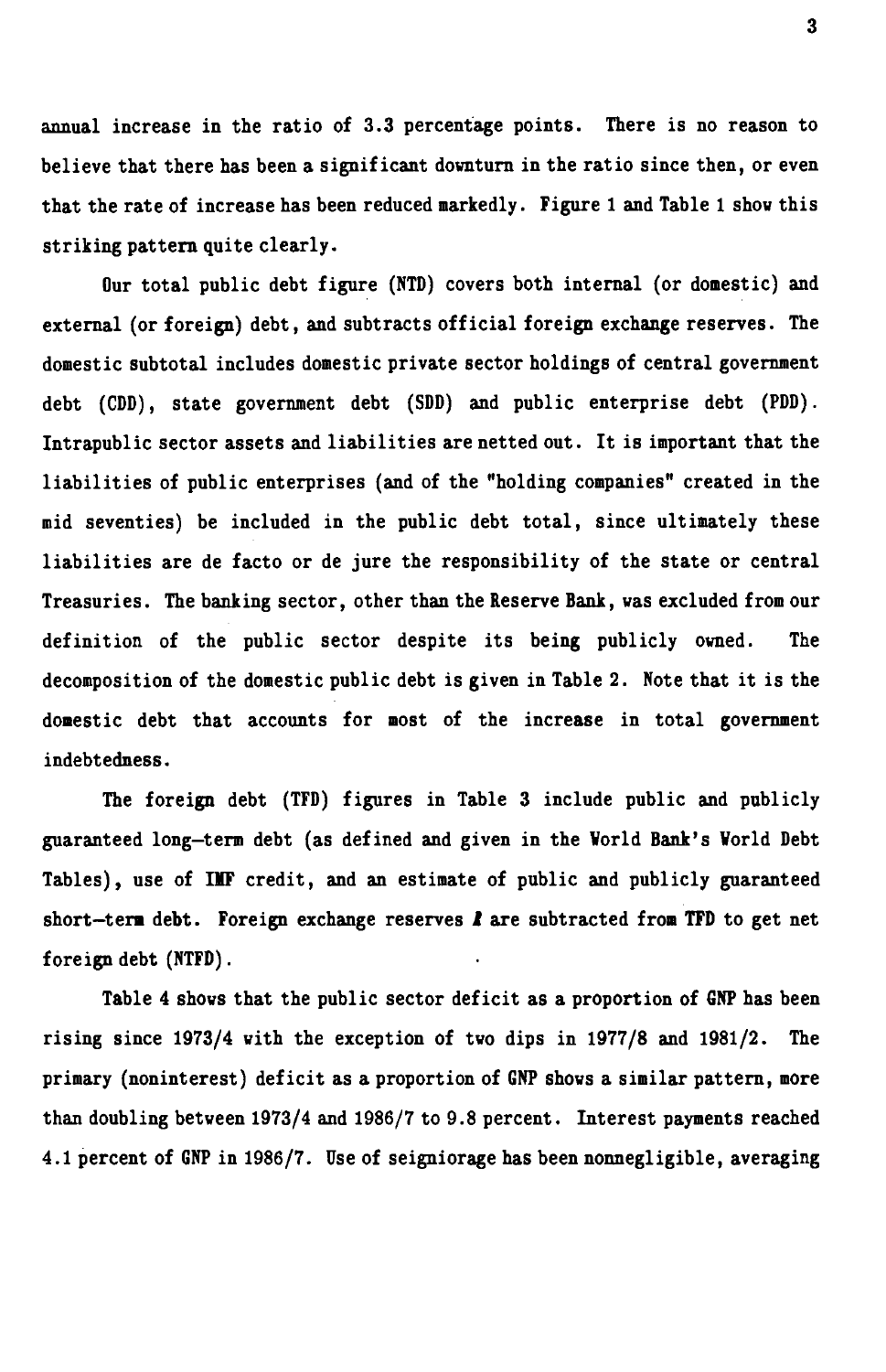annual increase in the ratio of 3.3 percentage points. There is no reason to believe that there has been a significant downturn in the ratio since then, or even that the rate of increase has been reduced markedly. Figure 1 and Table 1 show this striking pattern quite clearly.

Our total public debt figure (NTD) covers both internal (or domestic) and external (or foreign) debt, and subtracts official foreign exchange reserves. The domestic subtotal includes domestic private sector holdings of central government debt (CDD), state government debt (SDD) and public enterprise debt (PDD). Intrapublic sector assets and liabilities are netted out. It is important that the liabilities of public enterprises (and of the "holding companies" created in the mid seventies) be included in the public debt total, since ultimately these liabilities are de facto or de jure the responsibility of the state or central Treasuries. The banking sector, other than the Reserve Bank, was excluded from our definition of the public sector despite its being publicly owned. The decomposition of the domestic public debt is given in Table 2. Note that it is the domestic debt that accounts for most of the increase in total government indebtedness.

The foreign debt (TFD) figures in Table 3 include public and publicly guaranteed long—term debt (as defined and given in the World Bank's World Debt Tables), use of IMF credit, and an estimate of public and publicly guaranteed short-term debt. Foreign exchange reserves  $\boldsymbol{l}$  are subtracted from TFD to get net foreign debt (NTFD).

Table 4 shows that the public sector deficit as a proportion of GNP has been rising since 1973/4 with the exception of two dips in 1977/8 and 1981/2. The primary (noninterest) deficit as a proportion of GNP shows a similar pattern, more than doubling between 1973/4 and 1986/7 to 9.8 percent. Interest payments reached 4.1 percent of GNP in 1986/7. Use of seigniorage has been nonnegligible, averaging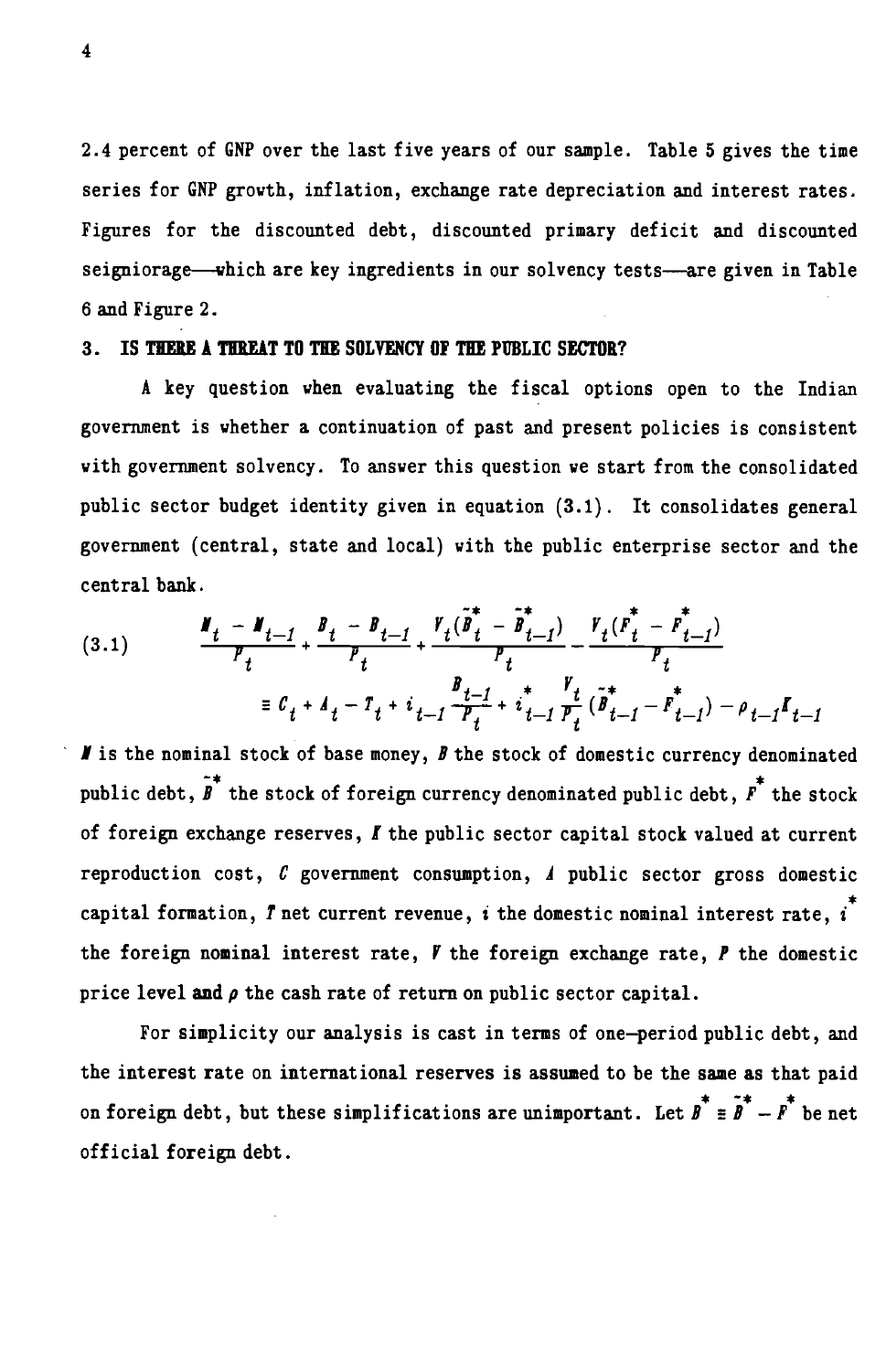2.4 percent of GNP over the last five years of our sample. Table 5 gives the tine series for GNP growth, inflation, exchange rate depreciation and interest rates. Figures for the discounted debt, discounted primary deficit and discounted seigniorage—which are key ingredients in our solvency tests—are given in Table 6 and Figure 2.

## 3. IS THERE A THREAT TO THE SOLVENCY OF THE PUBLIC SECTOR?

<sup>A</sup> key question when evaluating the fiscal options open to the Indian government is whether a continuation of past and present policies is consistent with government solvency. To answer this question we start from the consolidated public sector budget identity given in equation (3.1). It consolidates general government (central, state and local) with the public enterprise sector and the central bank.

(3.1) 
$$
\frac{\boldsymbol{M}_t - \boldsymbol{M}_{t-1}}{P_t} + \frac{\boldsymbol{B}_t - \boldsymbol{B}_{t-1}}{P_t} + \frac{\boldsymbol{V}_t(\tilde{\boldsymbol{B}}_t^* - \tilde{\boldsymbol{B}}_{t-1}^*)}{P_t} - \frac{\boldsymbol{V}_t(\boldsymbol{F}_t^* - \boldsymbol{F}_{t-1}^*)}{P_t}
$$

$$
\equiv \boldsymbol{C}_t + \boldsymbol{A}_t - \boldsymbol{T}_t + \boldsymbol{i}_{t-1} \frac{\boldsymbol{B}_{t-1}}{P_t} + \boldsymbol{i}_{t-1}^* \frac{\boldsymbol{V}_t}{P_t} (\tilde{\boldsymbol{B}}_{t-1}^* - \boldsymbol{F}_{t-1}^*) - \rho_{t-1} \boldsymbol{I}_{t-1}
$$

 $\blacksquare$  is the nominal stock of base money,  $\blacksquare$  the stock of domestic currency denominated public debt,  $\tilde{B}^*$  the stock of foreign currency denominated public debt,  $\tilde{F}^*$  the stock of foreign exchange reserves, A' the public sector capital stock valued at current reproduction cost,  $\ell$  government consumption,  $\ell$  public sector gross domestic capital formation,  $T$  net current revenue,  $i$  the domestic nominal interest rate,  $i^*$ the foreign nominal interest rate,  $V$  the foreign exchange rate,  $P$  the domestic price level and  $\rho$  the cash rate of return on public sector capital.

For simplicity our analysis is cast in terms of one-period public debt, and the interest rate on international reserves is assumed to be the same as that paid on foreign debt, but these simplifications are unimportant. Let  $\overline{B}^* = \overline{B}^* - \overline{F}^*$  be net official foreign debt.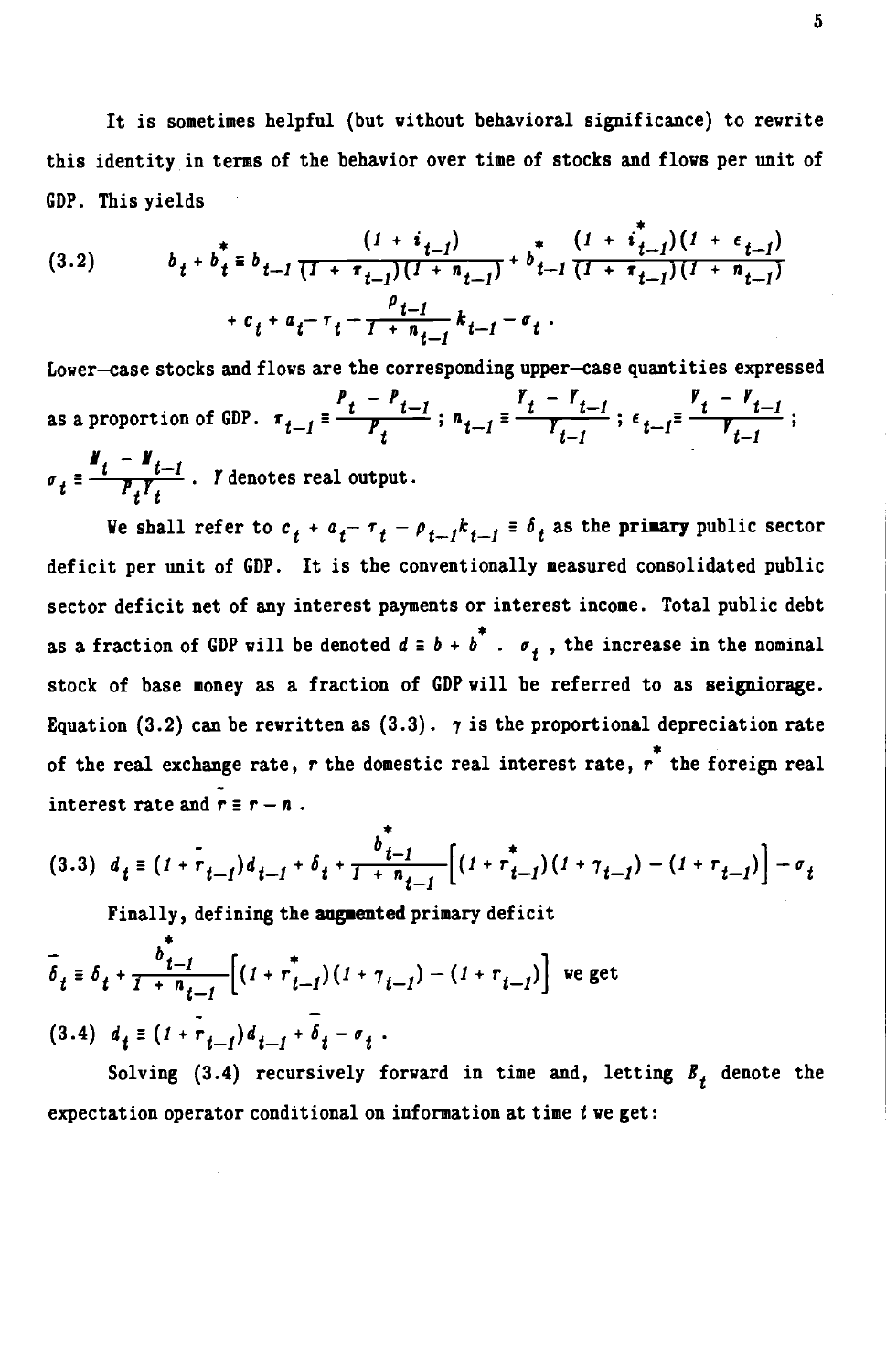It is sometimes helpful (but without behavioral significance) to rewrite this identity in terms of the behavior over time of stocks and flows per unit of GDP. This yields

(3.2) 
$$
b_{t} + b_{t}^{\dagger} \equiv b_{t-1} \frac{(1 + i_{t-1})}{(1 + \tau_{t-1})(1 + n_{t-1})} + b_{t-1}^{\dagger} \frac{(1 + i_{t-1}^{\dagger})(1 + \epsilon_{t-1})}{(1 + \tau_{t-1})(1 + n_{t-1})} + c_{t} + a_{t} - \tau_{t} - \frac{\rho_{t-1}}{1 + n_{t-1}} k_{t-1} - \sigma_{t}.
$$

Lower—case stocks and flows are the corresponding upper—case quantities expressed  $P_t - P_{t-1}$   $T_t - T_{t-1}$   $T_t - Y_{t-1}$ as a proportion of GDP.  $r_{t-1} = \frac{r_{t-1}}{r_t}$ ;  $r_{t-1} = \frac{r_{t-1}}{r_{t-1}}$ ;  $\epsilon_{t-1} = \frac{r_{t-1}}{r_{t-1}}$ ;  $\mathbf{I}_t - \mathbf{I}_{t-1}$  $\overline{P_t}\overline{Y_t}$ . *I* denotes real output.

We shall refer to  $c_j + a_j = r_j - \rho_{j-1}k_{j-1} \equiv \delta_j$  as the primary public sector deficit per unit of GDP. It is the conventionally measured consolidated public sector deficit net of any interest payments or interest income. Total public debt as a fraction of GDP will be denoted  $d \equiv b + b^*$ .  $\sigma_t$ , the increase in the nominal stock of base money as a fraction of GDP will be referred to as seigniorage. Equation (3.2) can be rewritten as (3.3).  $\gamma$  is the proportional depreciation rate of the real exchange rate, r the domestic real interest rate,  $r^*$  the foreign real interest rate and  $\bar{r} = \bar{r} - \bar{n}$ .

$$
(3.3) d_{t} = (1 + r_{t-1})d_{t-1} + \delta_{t} + \frac{b_{t-1}^{*}}{1 + n_{t-1}} \Big[ (1 + r_{t-1}^{*})(1 + r_{t-1}) - (1 + r_{t-1}) \Big] - \sigma_{t}
$$

Finally, defining the augmented primary deficit

$$
\overline{\delta}_{t} \equiv \delta_{t} + \frac{b_{t-1}^{*}}{1 + n_{t-1}} \left[ (1 + r_{t-1}^{*}) (1 + \gamma_{t-1}) - (1 + r_{t-1}) \right] \text{ we get}
$$
\n(3.4) 
$$
d_{t} \equiv (1 + r_{t-1}) d_{t-1} + \overline{\delta}_{t} - \sigma_{t}.
$$

Solving (3.4) recursively forward in time and, letting  $B_t$  denote the expectation operator conditional on information at time  $t$  we get: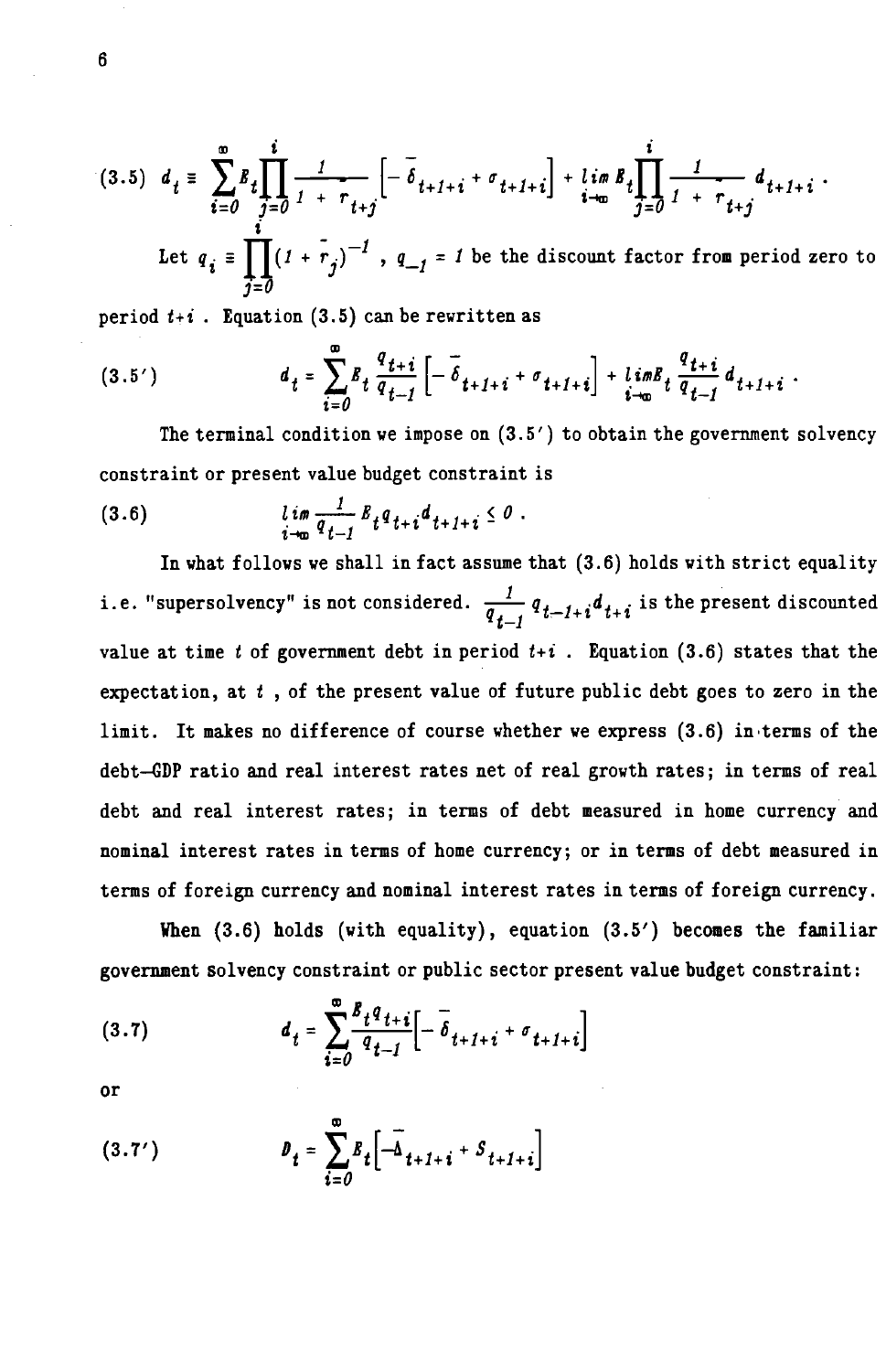$$
(3.5) \quad d_{t} = \sum_{i=0}^{\infty} E_{t} \prod_{j=0}^{i} \frac{1}{1 + r_{i+j}} \left[ -\overline{\delta}_{t+1+i} + \sigma_{t+1+i} \right] + \lim_{i \to \infty} E_{t} \prod_{j=0}^{i} \frac{1}{1 + r_{i+j}} d_{t+1+i}.
$$
  
Let  $q_{i} = \prod_{j=0}^{i} (1 + r_{j})^{-1}$ ,  $q_{-1} = 1$  be the discount factor from period zero to

period  $t+i$ . Equation (3.5) can be rewritten as

$$
(3.5') \t d_t = \sum_{i=0}^{\infty} B_t \frac{q_{t+i}}{q_{t-i}} \left[ -\overline{\delta}_{t+1+i} + \sigma_{t+1+i} \right] + \lim_{i \to \infty} B_t \frac{q_{t+i}}{q_{t-i}} d_{t+1+i}.
$$

The terminal condition we impose on  $(3.5')$  to obtain the government solvency constraint or present value budget constraint is

(3.6) 
$$
\lim_{i \to \infty} \frac{1}{q_{t-1}} E_t q_{t+i} d_{t+1+i} \leq 0.
$$

In what follows we shall in fact assume that (3.6) holds with strict equality i.e. "supersolvency" is not considered.  $\frac{1}{q_{t-1}} q_{t-1+i} d_{t+i}$  is the present discounted value at time t of government debt in period  $t+i$ . Equation (3.6) states that the expectation, at  $t$ , of the present value of future public debt goes to zero in the limit. It makes no difference of course whether we express (3.6) interms of the debt—GOP ratio and real interest rates net of real growth rates; in terms of real debt and real interest rates; in terms of debt measured in home currency and nominal interest rates in terms of home currency; or in terms of debt measured in terms of foreign currency and nominal interest rates in terms of foreign currency.

When (3.6) holds (with equality), equation (3.5') becomes the familiar government solvency constraint or public sector present value budget constraint:

(3.7) 
$$
d_{t} = \sum_{i=0}^{\infty} \frac{B_{t} q_{t+i}}{q_{t-i}} \left[ -\overline{\delta}_{t+1+i} + \sigma_{t+1+i} \right]
$$

or

(3.7') 
$$
\boldsymbol{v}_t = \sum_{i=0}^{\infty} \boldsymbol{g}_t \left[ -\hat{\Delta}_{t+1+i} + \boldsymbol{S}_{t+1+i} \right]
$$

6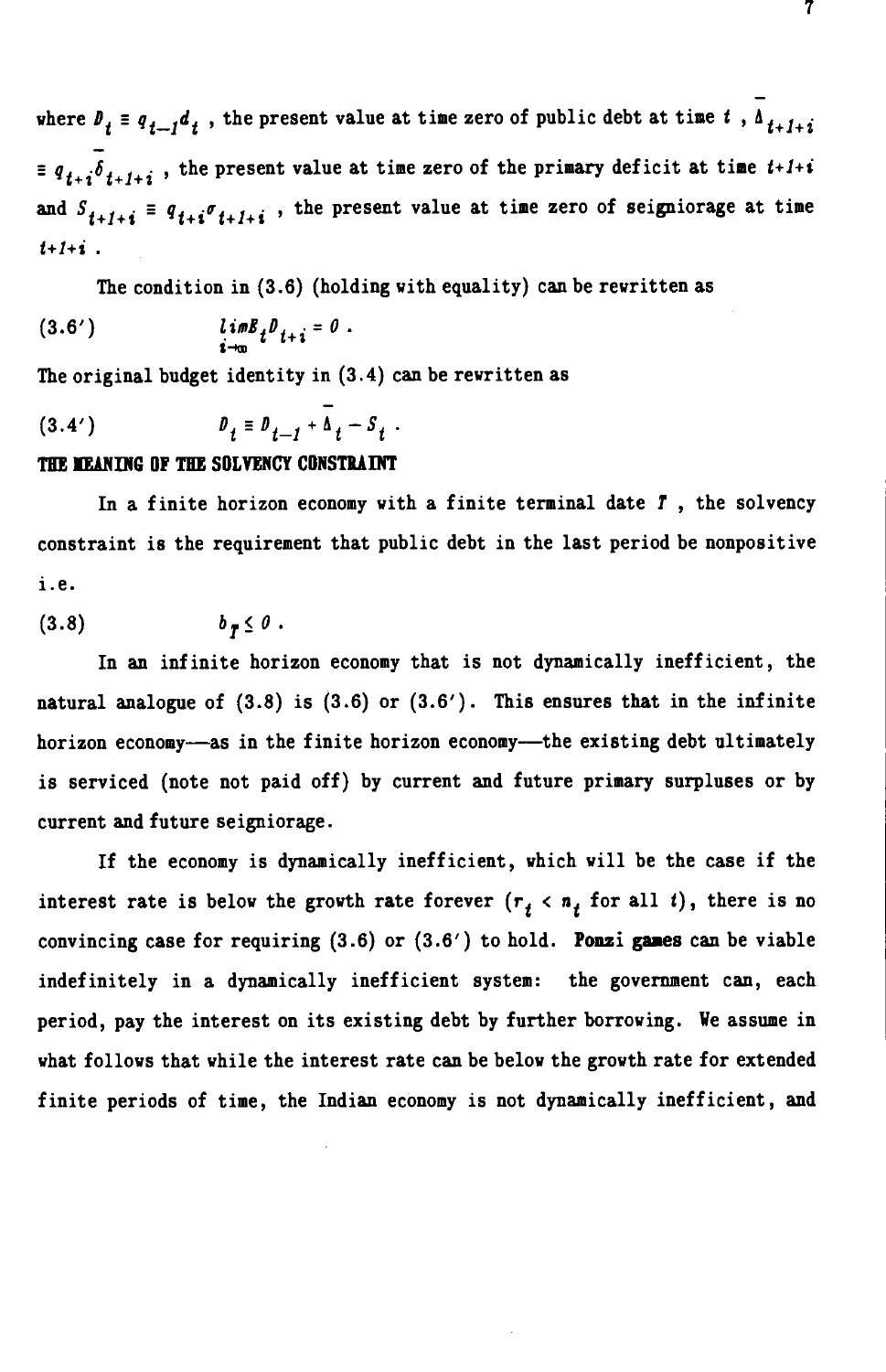where  $P_i \equiv q_{i-1}d_i$ , the present value at time zero of public debt at time  $i$ ,  $\Delta_{i+1+i}$  $\equiv q_{t,i}\delta_{t,i,t,i}$ , the present value at time zero of the primary deficit at time  $t+1+i$ and  $S_{t+1+i} = q_{t+i} \sigma_{t+i+i}$ , the present value at time zero of seigniorage at time  $t+1+i$ .

The condition in (3.6) (holding with equality) can be rewritten as

$$
(3.6') \qquad \lim_{i \to \infty} l \, \mathop{\mathit{im}}\nolimits B_{t} \, \mathop{\mathit{b}}\nolimits_{t+i} = 0 \; .
$$

The original budget identity in (3.4) can be rewritten as

(3.4')  $D_t = D_{t-1} + \overline{\Delta}_t - S_t$ .

#### THE MEANING OF THE SOLVENCY CONSTRAINT

In a finite horizon economy with a finite terminal date  $T$ , the solvency constraint is the requirement that public debt in the last period be nonpositive i.e.

$$
(3.8) \t\t bT \leq 0.
$$

In an infinite horizon economy that is not dynamically inefficient, the natural analogue of (3.8) is (3.6) or (3.6'). This ensures that in the infinite horizon economy—as in the finite horizon economy—the existing debt ultimately is serviced (note not paid off) by current and future primary surpluses or by current and future seigniorage.

If the economy is dynamically inefficient, which will be the case if the interest rate is below the growth rate forever  $(r_f < n_f$  for all t), there is no convincing case for requiring  $(3.6)$  or  $(3.6')$  to hold. Ponzi games can be viable indefinitely in a dynamically inefficient system: the government can, each period, pay the interest on its existing debt by further borrowing. Ye assume in what follows that while the interest rate can be below the growth rate for extended finite periods of time, the Indian economy is not dynamically inefficient, and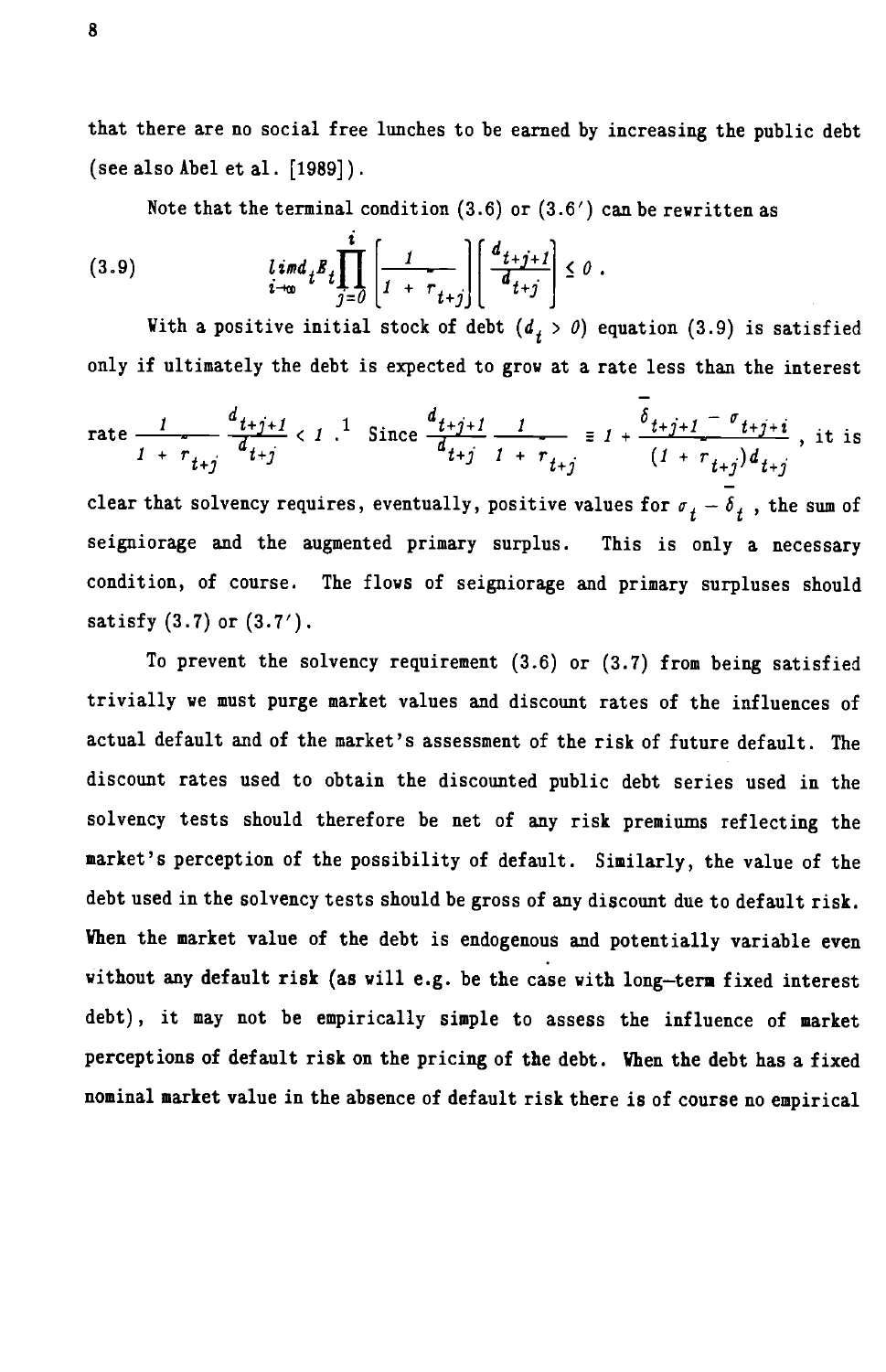that there are no social free lunches to be earned by increasing the public debt (see also Abel et al. [1989]).

Note that the terminal condition (3.6) or (3.6') can be rewritten as

\n
$$
\lim_{t \to \infty} \left\{ \frac{i}{f} \prod_{j=0}^{i} \left[ \frac{1}{1 + r_{t+j}} \right] \left[ \frac{d_{t+j+1}}{d_{t+j}} \right] \leq 0.
$$

With a positive initial stock of debt  $(d_{\frac{1}{2}} > 0)$  equation (3.9) is satisfied only if ultimately the debt is expected to grow at a rate less than the interest

rate 
$$
\frac{1}{1 + r_{t+j}} \frac{d_{t+j+1}}{d_{t+j}} < 1
$$
.<sup>1</sup> Since  $\frac{d_{t+j+1}}{d_{t+j}} \frac{1}{1 + r_{t+j}} \equiv 1 + \frac{\delta_{t+j+1} - \sigma_{t+j+i}}{(1 + r_{t+j})d_{t+j}}$ , it is

clear that solvency requires, eventually, positive values for  $\sigma_t - \overline{\delta}_t$ , the sum of seigniorage and the augmented primary surplus. This is only a necessary condition, of course. The flows of seigniorage and primary surpluses should satisfy (3.7) or (3.7').

To prevent the solvency requirement (3.6) or (3.7) from being satisfied trivially we must purge market values and discount rates of the influences of actual default and of the market's assessment of the risk of future default. The discount rates used to obtain the discounted public debt series used in the solvency tests should therefore be net of any risk premiums reflecting the market's perception of the possibility of default. Similarly, the value of the debt used in the solvency tests should be gross of any discount due to default risk. When the market value of the debt is endogenous and potentially variable even without any default risk (as will e.g. be the case with long—term fixed interest debt), it may not be empirically simple to assess the influence of market perceptions of default risk on the pricing of the debt. When the debt has a fixed nominal market value in the absence of default risk there is of course no empirical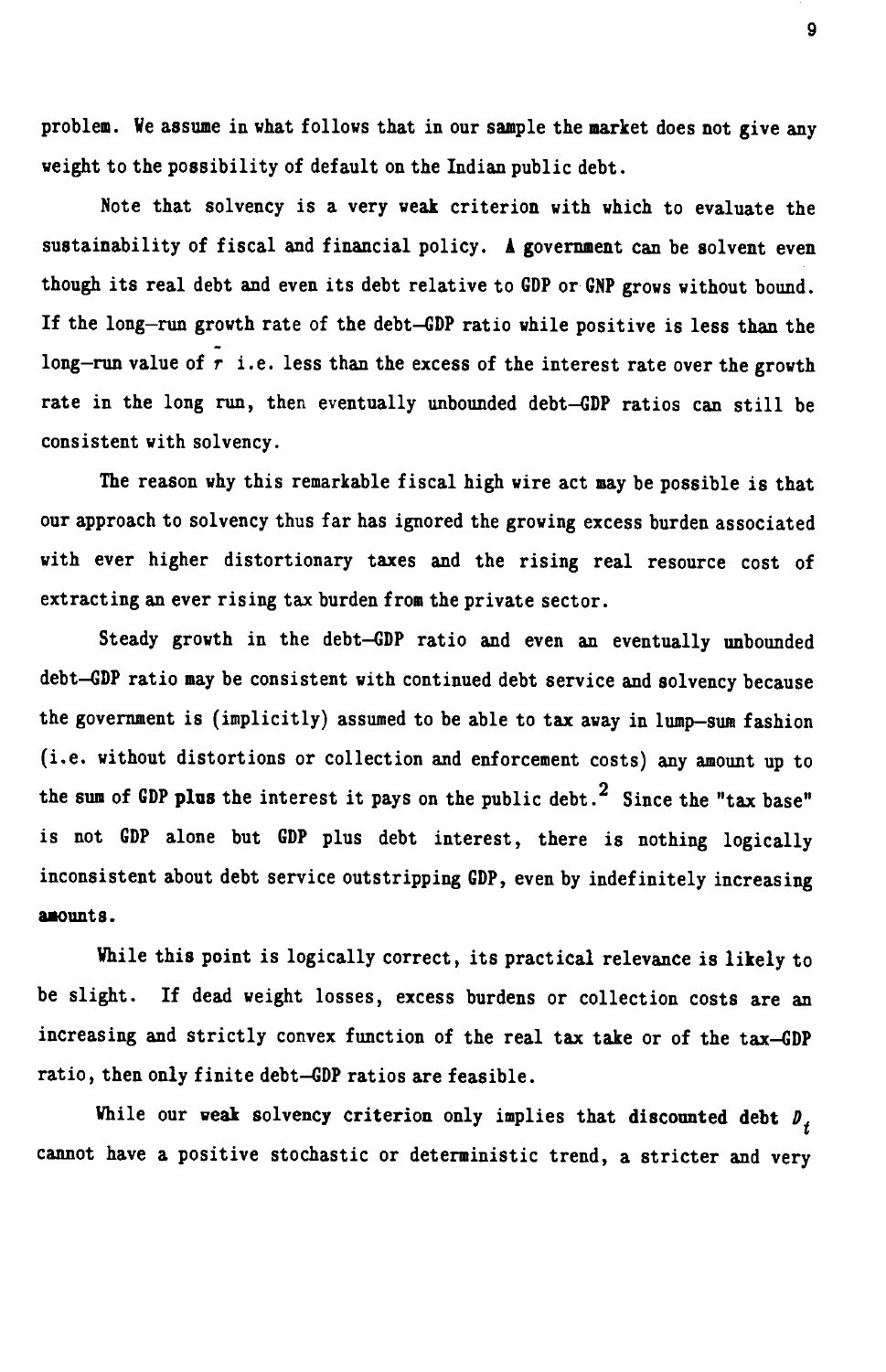problem. We assume in what follows that in our sample the market does not give any weight to the possibility of default on the Indian public debt.

Note that solvency is a very weak criterion with which to evaluate the sustainability of fiscal and financial policy. A government can be solvent even though its real debt and even its debt relative to GDP or GNP grows without bound. If the long—run growth rate of the debt—GOP ratio while positive is less than the long-run value of  $r$  i.e. less than the excess of the interest rate over the growth rate in the long run, then eventually unbounded debt—GDP ratios can still be consistent with solvency.

The reason why this remarkable fiscal high wire act may be possible is that our approach to solvency thus far has ignored the growing excess burden associated with ever higher distortionary taxes and the rising real resource cost of extracting an ever rising tax burden from the private sector.

Steady growth in the debt—GOP ratio and even an eventually unbounded debt—GOP ratio may be consistent with continued debt service and solvency because the government is (implicitly) assumed to be able to tax away in lump—sum fashion (i.e. without distortions or collection and enforcement costs) any amount up to the sum of GDP plus the interest it pays on the public debt.<sup>2</sup> Since the "tax base" is not GOP alone but GOP plus debt interest, there is nothing logically inconsistent about debt service outstripping GOP, even by indefinitely increasing amounts.

While this point is logically correct, its practical relevance is likely to be slight. If dead weight losses, excess burdens or collection costs are an increasing and strictly convex function of the real tax take or of the tax—GOP ratio, then only finite debt—GOP ratios are feasible.

While our weak solvency criterion only implies that discounted debt  $D_f$ cannot have a positive stochastic or deterministic trend, a stricter and very

9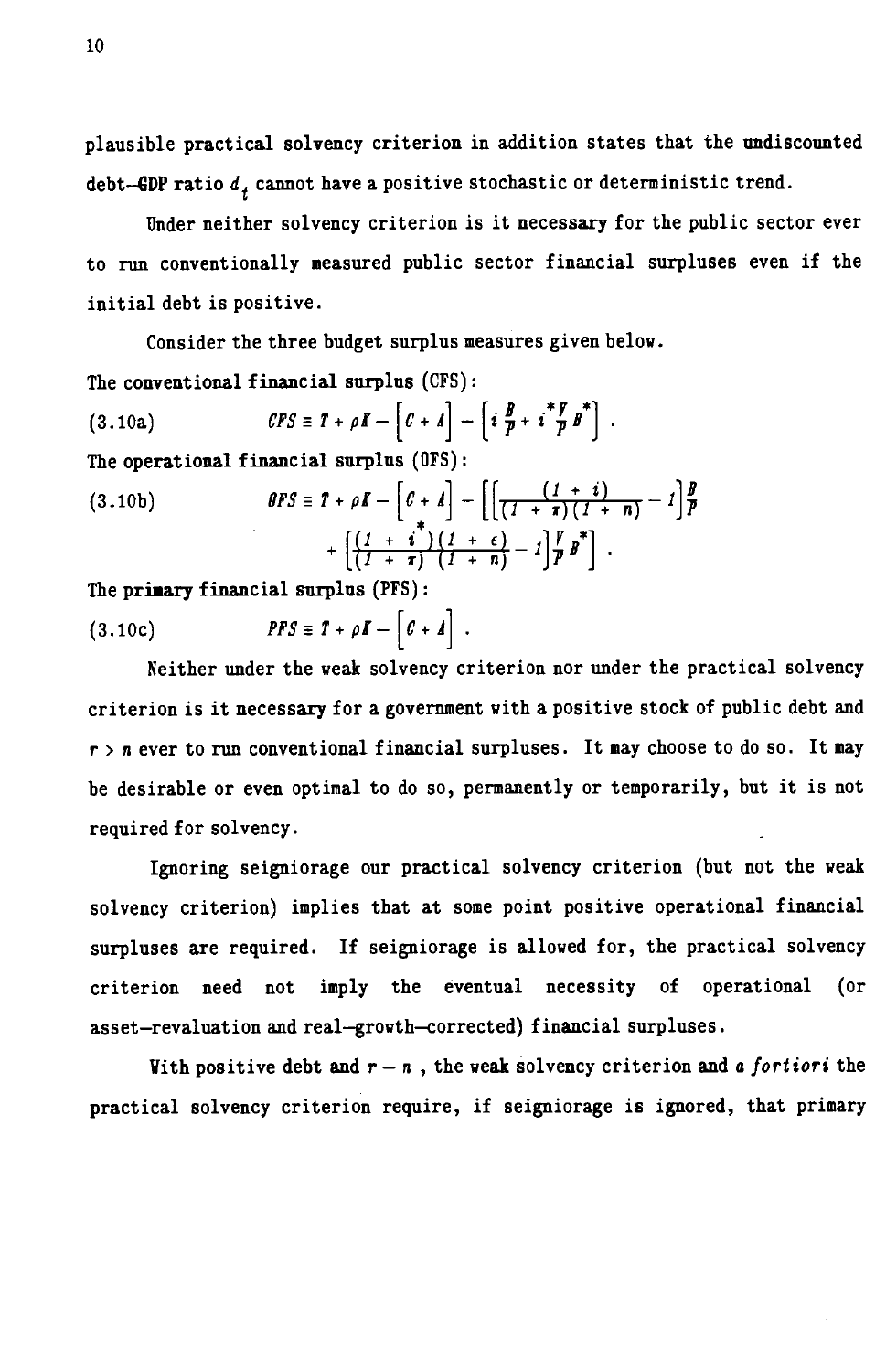plausible practical solvency criterion in addition states that the undiscounted debt-GDP ratio  $d_t$  cannot have a positive stochastic or deterministic trend.

Under neither solvency criterion is it necessary for the public sector ever to run conventionally measured public sector financial surpluses even if the initial debt is positive.

Consider the three budget surplus measures given below.

The conventional financial surplus (CFS):

(3.10a)  $CFS = T + \rho I - [C + A] - [i\frac{B}{P} + i\frac{*F}{P}B^*].$ The operational financial surplus (OFS):

(3.10b) 
$$
\theta FS \equiv T + \rho I - \left[ C + A \right] - \left[ \left[ \frac{\left( 1 + i \right)}{\left( 1 + \tau \right) \left( 1 + n \right)} - 1 \right] \frac{B}{P} + \left[ \frac{\left( 1 + i \right)}{\left( 1 + \tau \right)} \left( \frac{1 + \epsilon}{1 + n} \right) - 1 \right] \frac{V}{P} B^* \right].
$$

The primary financial surplus (PFS):

(3.10c)  $PFS = T + \rho I - [C + A].$ 

Neither under the weak solvency criterion nor under the practical solvency criterion is it necessary for a government with a positive stock of public debt and  $r > n$  ever to run conventional financial surpluses. It may choose to do so. It may be desirable or even optimal to do so, permanently or temporarily, but it is not required for solvency.

Ignoring seigniorage our practical solvency criterion (but not the weak solvency criterion) implies that at some point positive operational financial surpluses are required. If seigniorage is allowed for, the practical solvency criterion need not imply the eventual necessity of operational (or asset—revaluation and real—growth—corrected) financial surpluses.

With positive debt and  $r - n$ , the weak solvency criterion and a fortiori the practical solvency criterion require, if seigniorage is ignored, that primary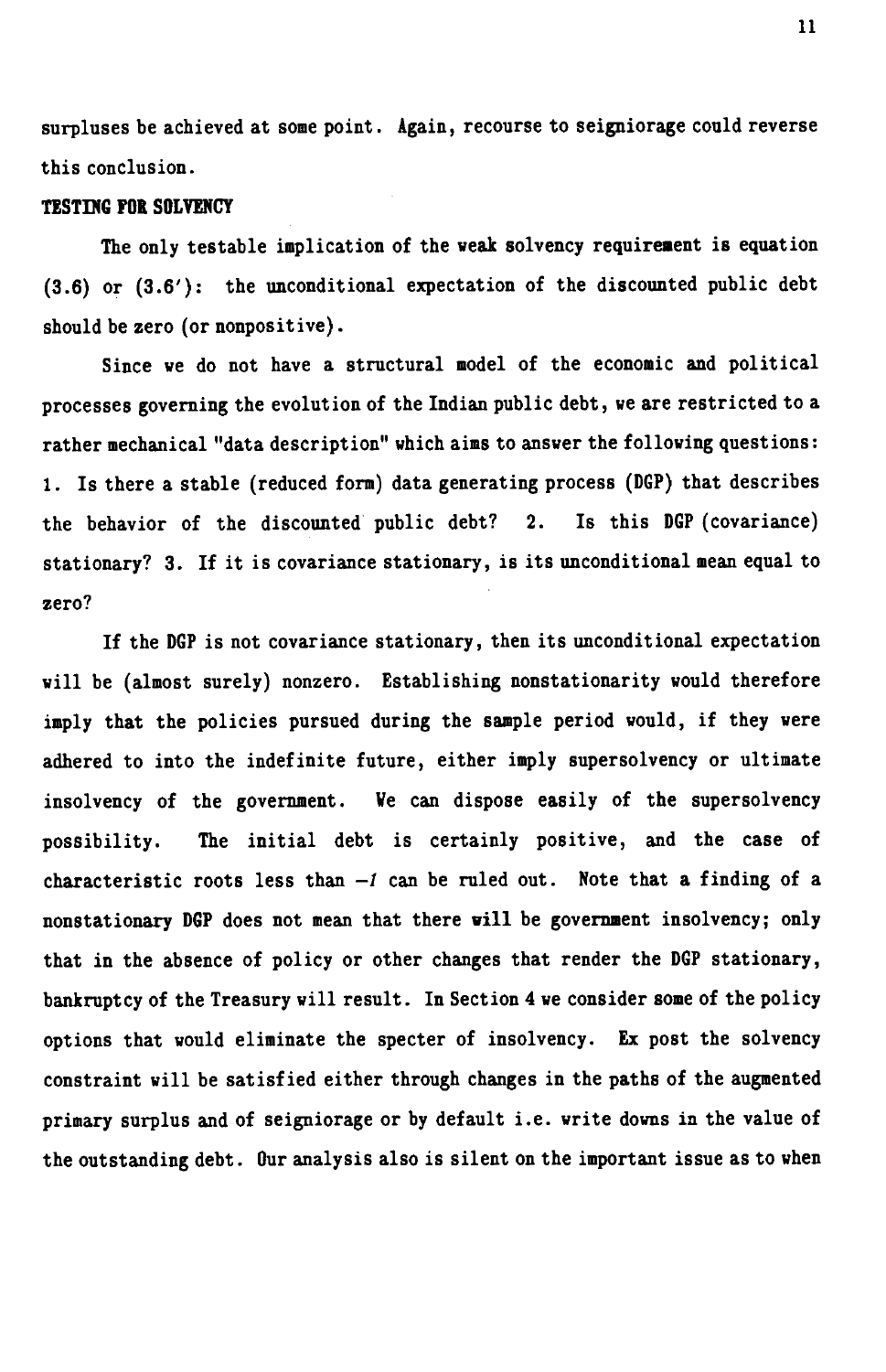surpluses be achieved at some point. Again, recourse to seigniorage could reverse this conclusion.

## TESTING FOR SOLVENCY

The only testable implication of the weak solvency requirement is equation (3.6) or (3.6'): the unconditional expectation of the discounted public debt should be zero (or nonpositive).

Since we do not have a structural model of the economic and political processes governing the evolution of the Indian public debt, we are restricted to a rather mechanical "data description" which aims to answer the following questions: 1. Is there a stable (reduced form) data generating process (DGP) that describes the behavior of the discounted public debt? 2. Is this DCP (covariance) stationary? 3. If it is covariance stationary, is its unconditional mean equal to zero?

If the DGP is not covariance stationary, then its unconditional expectation will be (almost surely) nonzero. Establishing nonstationarity would therefore imply that the policies pursued during the sample period would, if they were adhered to into the indefinite future, either imply supersolvency or ultimate insolvency of the government. Ye can dispose easily of the supersolvency possibility. The initial debt is certainly positive, and the case of characteristic roots less than  $-1$  can be ruled out. Note that a finding of a nonstationary DGP does not mean that there will be government insolvency; only that in the absence of policy or other changes that render the DGP stationary, bankruptcy of the Treasury will result. In Section 4 we consider some of the policy options that would eliminate the specter of insolvency. Ex post the solvency constraint will be satisfied either through changes in the paths of the augmented primary surplus and of seigniorage or by default i.e. write downs in the value of the outstanding debt. Our analysis also is silent on the important issue as to when

11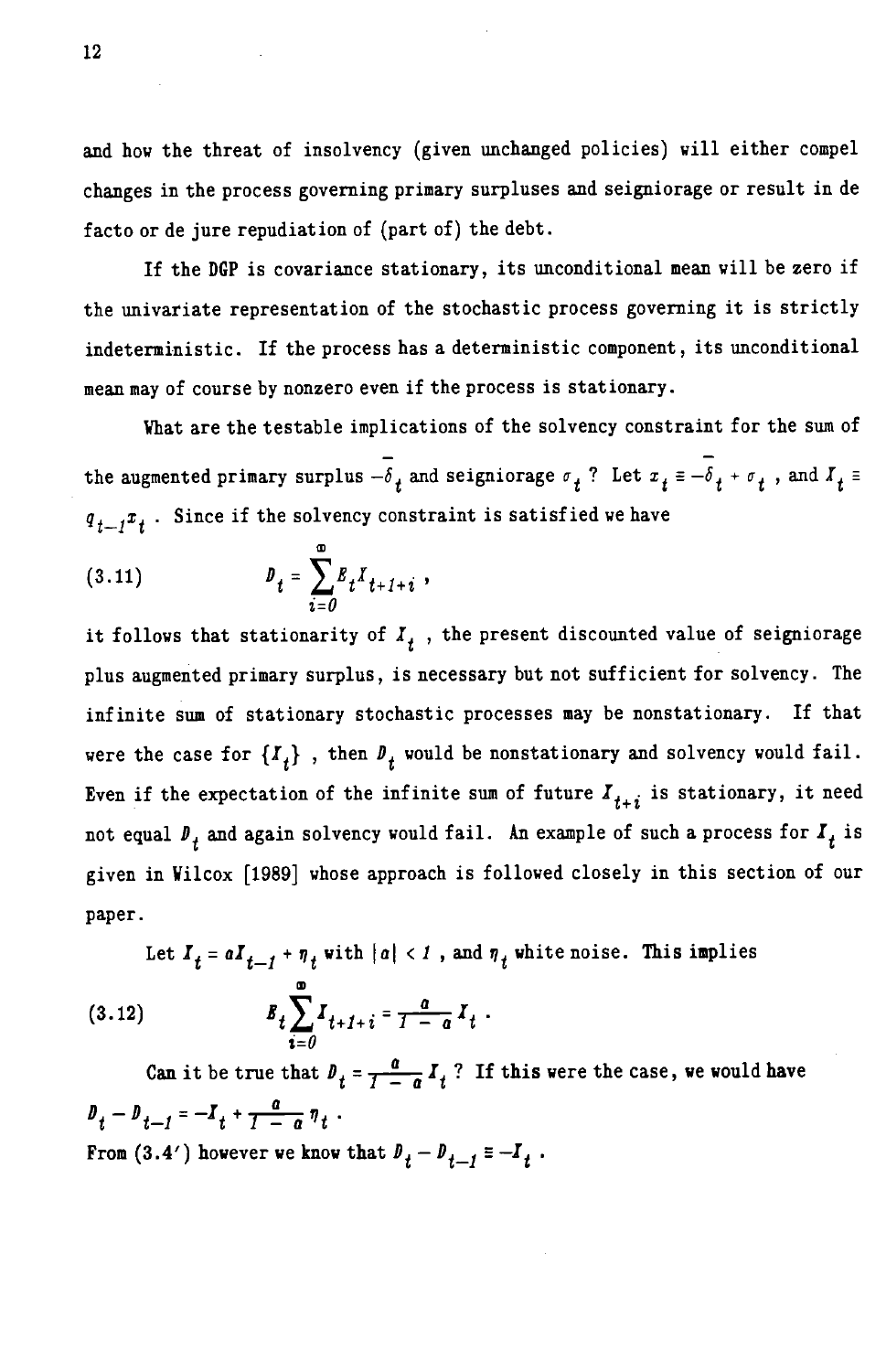and how the threat of insolvency (given unchanged policies) will either compel changes in the process governing primary surpluses and seigniorage or result in de facto or de jure repudiation of (part of) the debt.

If the DGP is covariance stationary, its unconditional mean will be zero if the univariate representation of the stochastic process governing it is strictly indeterministic. If the process has a deterministic component, its unconditional mean may of course by nonzero even if the process is stationary.

What are the testable implications of the solvency constraint for the sum of the augmented primary surplus  $-\overline{\delta}_t$  and seigniorage  $\sigma_t$ ? Let  $x_t = -\overline{\delta}_t + \sigma_t$ , and  $X_t =$  $q_{t-1}x_t$ . Since if the solvency constraint is satisfied we have

(3.11) 
$$
b_t = \sum_{i=0}^{\infty} E_t I_{t+1+i} ,
$$

it follows that stationarity of  $I_t$ , the present discounted value of seigniorage plus augmented primary surplus, is necessary but not sufficient for solvency. The infinite sum of stationary stochastic processes may be nonstationary. If that were the case for  $\{I_t\}$ , then  $\mathbf{D}_t$  would be nonstationary and solvency would fail. Even if the expectation of the infinite sum of future  $I_{t+i}$  is stationary, it need not equal  $P_t$  and again solvency would fail. An example of such a process for  $I_t$  is given in Wilcox [1989] whose approach is followed closely in this section of our paper.

Let  $I_t = aI_{t-1} + \eta_t$  with  $|a| < I$ , and  $\eta_t$  white noise. This implies (3.12)  $F_t \sum t_{t+1+i} = \frac{a}{1-a} I_t$ .

Can it be true that  $P_t = \frac{a}{1-a} I_t$ ? If this were the case, we would have  $D_t - D_{t-1} = -I_t + \frac{a}{1-a} \eta_t$ . From (3.4') however we know that  $D_t - D_{t-1} = -I_t$ .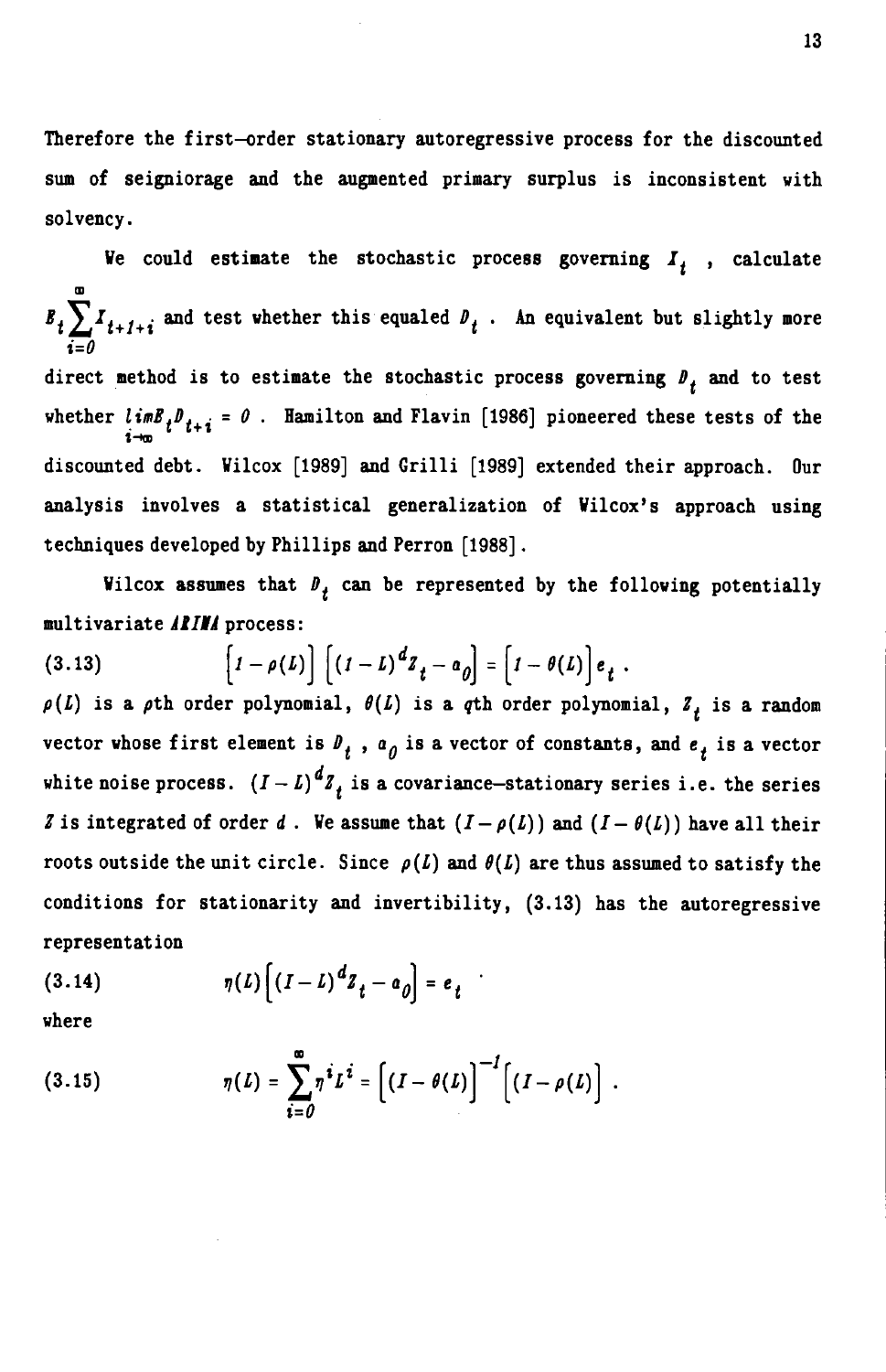Therefore the first—order stationary autoregressive process for the discounted sum of seigniorage and the augmented primary surplus is inconsistent with solvency.

We could estimate the stochastic process governing  $I_t$ , calculate  $B_t\sum_{i=1}^{n} I_{t+i+i}$  and test whether this equaled  $D_t$ . An equivalent but slightly more direct method is to estimate the stochastic process governing  $P_t$  and to test whether  $\lim_{i\to\infty} l_{t+i} = 0$ . Hamilton and Flavin [1986] pioneered these tests of the discounted debt. Wilcox [1989] and Grilli [1989] extended their approach. Our analysis involves a statistical generalization of Wilcox's approach using techniques developed by Phillips and Perron [1988].

Wilcox assumes that  $P_t$  can be represented by the following potentially multivariate ARIMA process:

(3.13) 
$$
\left[1-\rho(L)\right] \left[\left(1-L\right)^{d}Z_{t}-a_{0}\right]=\left[1-\theta(L)\right]e_{t}.
$$

 $\rho(L)$  is a  $\rho$ th order polynomial,  $\theta(L)$  is a qth order polynomial,  $Z_t$  is a random vector whose first element is  $P_t$ ,  $a_{\theta}$  is a vector of constants, and  $e_t$  is a vector white noise process.  $(I - L)^d Z_t$  is a covariance-stationary series i.e. the series I is integrated of order d. We assume that  $(I - \rho(L))$  and  $(I - \theta(L))$  have all their roots outside the unit circle. Since  $\rho(L)$  and  $\theta(L)$  are thus assumed to satisfy the conditions for stationarity and invertibility, (3.13) has the autoregressive representation

$$
(3.14) \t\t \eta(L)\Big[(I-L)^{d}Z_{t}-a_{0}\Big]=e_{t}
$$

where

(3.15) 
$$
\eta(L) = \sum_{i=0}^{\infty} \eta^i L^i = \left[ (I - \theta(L) \right]^{-1} \left[ (I - \rho(L) \right].
$$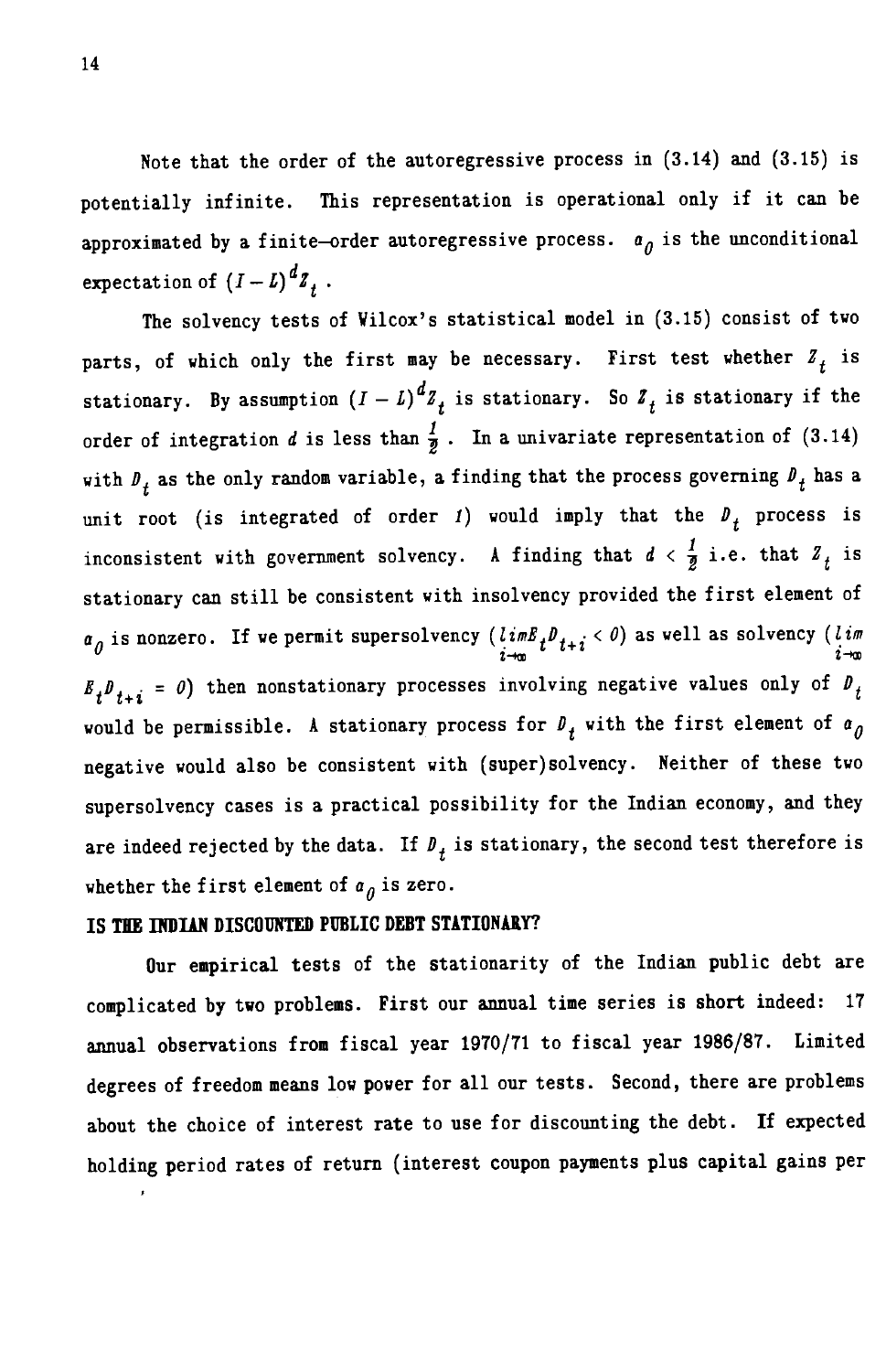Note that the order of the autoregressive process in (3.14) and (3.15) is potentially infinite. This representation is operational only if it can be approximated by a finite–order autoregressive process.  $a_{\rho}$  is the unconditional expectation of  $(I-L)^{d}z$ .

The solvency tests of Wilcox's statistical model in (3.15) consist of two parts, of which only the first may be necessary. First test whether  $Z_t$  is stationary. By assumption  $(I - L)^d z_t$  is stationary. So  $z_t$  is stationary if the order of integration d is less than  $\frac{1}{2}$ . In a univariate representation of (3.14) with  $D_t$  as the only random variable, a finding that the process governing  $D_t$  has a unit root (is integrated of order 1) would imply that the  $P_t$  process is inconsistent with government solvency. A finding that  $d < \frac{1}{2}$  i.e. that  $Z_t$  is stationary can still be consistent with insolvency provided the first element of  $a_{\theta}$  is nonzero. If we permit supersolvency ( $\lim_{i \to \infty} \frac{f}{i}$   $\theta_{t+i} < \theta$ ) as well as solvency ( $\lim_{i \to \infty}$  $E_t D_{t+i} = 0$ ) then nonstationary processes involving negative values only of  $D_t$ would be permissible. A stationary process for  $\mathbf{D}_t$  with the first element of  $\mathbf{a}_0$ negative would also be consistent with (super)solvency. Neither of these two supersolvency cases is a practical possibility for the Indian economy, and they are indeed rejected by the data. If  $P<sub>f</sub>$  is stationary, the second test therefore is whether the first element of  $a_{\theta}$  is zero.

## IS THE INDIAN DISCOUNTED PUBLIC DEBT STATIONARY?

Our empirical tests of the stationarity of the Indian public debt are complicated by two problems. First our annual time series is short indeed: 17 annual observations from fiscal year 1970/71 to fiscal year 1986/87. Limited degrees of freedom means low power for all our tests. Second, there are problems about the choice of interest rate to use for discounting the debt. If expected holding period rates of return (interest coupon payments plus capital gains per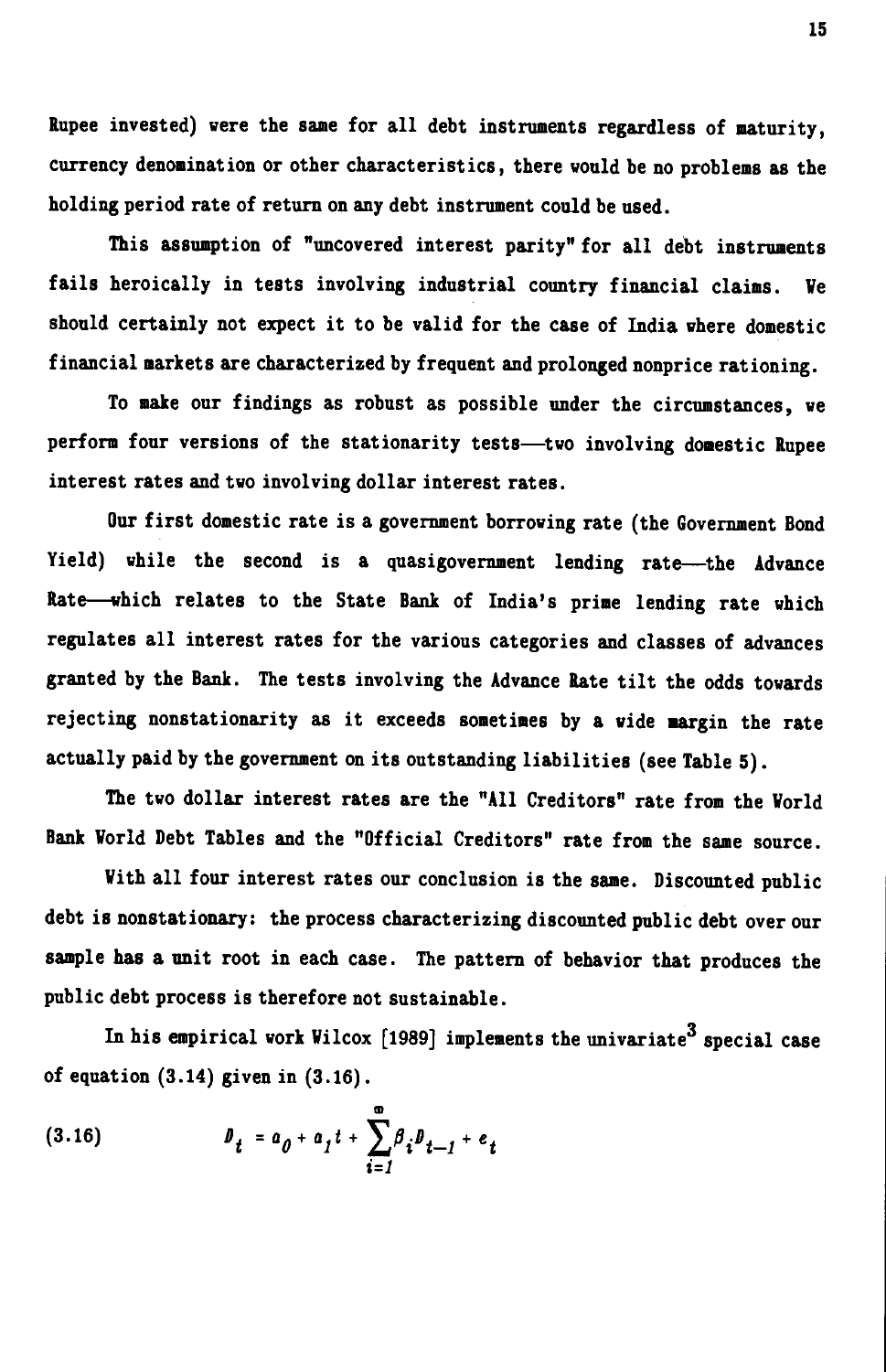Rupee invested) were the same for all debt instruments regardless of maturity, currency denomination or other characteristics, there would be no problems as the holding period rate of return on any debt instrument could be used.

This assumption of "uncovered interest parity" for all debt instruments fails heroically in tests involving industrial country financial claims. We should certainly not expect it to be valid for the case of India where domestic financial markets are characterized by frequent and prolonged nonprice rationing.

To make our findings as robust as possible under the circumstances, we perform four versions of the stationarity tests—two involving domestic Rupee interest rates and two involving dollar interest rates.

Our first domestic rate is a government borrowing rate (the Government Bond Yield) while the second is a quasigovernment lending rate—the Advance Rate—which relates to the State Bank of India's prime lending rate which regulates all interest rates for the various categories and classes of advances granted by the Bank. The tests involving the Advance Rate tilt the odds towards rejecting nonstationarity as it exceeds sometimes by a wide margin the rate actually paid by the government on its outstanding liabilities (see Table 5).

The two dollar interest rates are the "All Creditors" rate from the World Bank World Debt Tables and the "Official Creditors" rate from the same source.

With all four interest rates our conclusion is the same. Discounted public debt is nonstationary: the process characterizing discounted public debt over our sample has a unit root in each case. The pattern of behavior that produces the public debt process is therefore not sustainable.

In his empirical work Wilcox [1989] implements the univariate<sup>3</sup> special case of equation  $(3.14)$  given in  $(3.16)$ .

(3.16) 
$$
\theta_t = a_0 + a_1 t + \sum_{i=1}^{\infty} \beta_i \theta_{t-1} + e_t
$$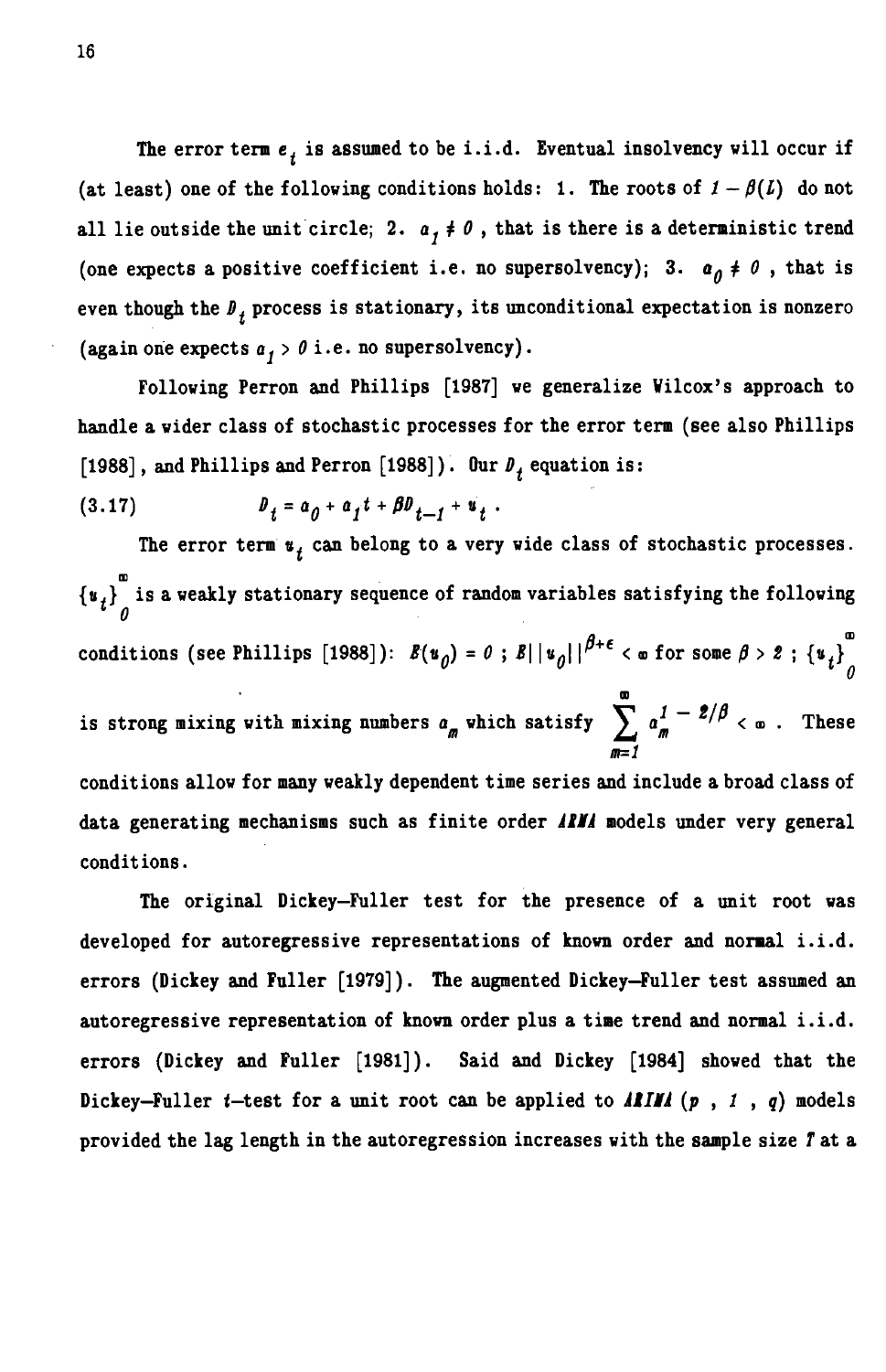The error term  $e_i$  is assumed to be i.i.d. Eventual insolvency will occur if (at least) one of the following conditions holds: 1. The roots of  $1 - \beta(L)$  do not all lie outside the unit circle; 2.  $a_1 \neq 0$ , that is there is a deterministic trend (one expects a positive coefficient i.e. no supersolvency); 3.  $a_{\theta} \neq 0$ , that is even though the  $D_t$  process is stationary, its unconditional expectation is nonzero (again one expects  $a_j > 0$  i.e. no supersolvency).

Following Perron and Phillips [1987] we generalize Wilcox's approach to handle a wider class of stochastic processes for the error term (see also Phillips [1988], and Phillips and Perron [1988]). Our  $\theta$ , equation is:

(3.17) 
$$
b_t = a_0 + a_1 t + \beta b_{t-1} + u_t.
$$

The error term  $u_i$  can belong to a very wide class of stochastic processes.  ${t_{t}}_i^{\infty}$  is a weakly stationary sequence of random variables satisfying the following conditions (see Phillips [1988]):  $B(u_{\theta}) = 0$ ;  $B||u_{\theta}||^{\beta+\epsilon} < \infty$  for some  $\beta > 2$ ;  ${u_t}_{\theta}^{\infty}$ is strong mixing with mixing numbers  $a_m$  which satisfy  $\sum_{m=1}^{\infty} a_m^{\frac{1}{m}} - \frac{z}{\beta} < \infty$ . These conditions allow for many weakly dependent time series and include a broad class of data generating mechanisms such as finite order ANM models under very general conditions.

The original Dickey—Fuller test for the presence of a unit root was developed for autoregressive representations of known order and normal i.i.d. errors (Dickey and Fuller [1979]). The augmented Dickey—Fuller test assumed an autoregressive representation of known order plus a time trend and normal i.i.d. errors (Dickey and Fuller [1981]). Said and Dickey [1984] showed that the Dickey-Fuller *t*-test for a unit root can be applied to  $\textit{AFIM}$  (p, 1, q) models provided the lag length in the autoregression increases with the sample size T at a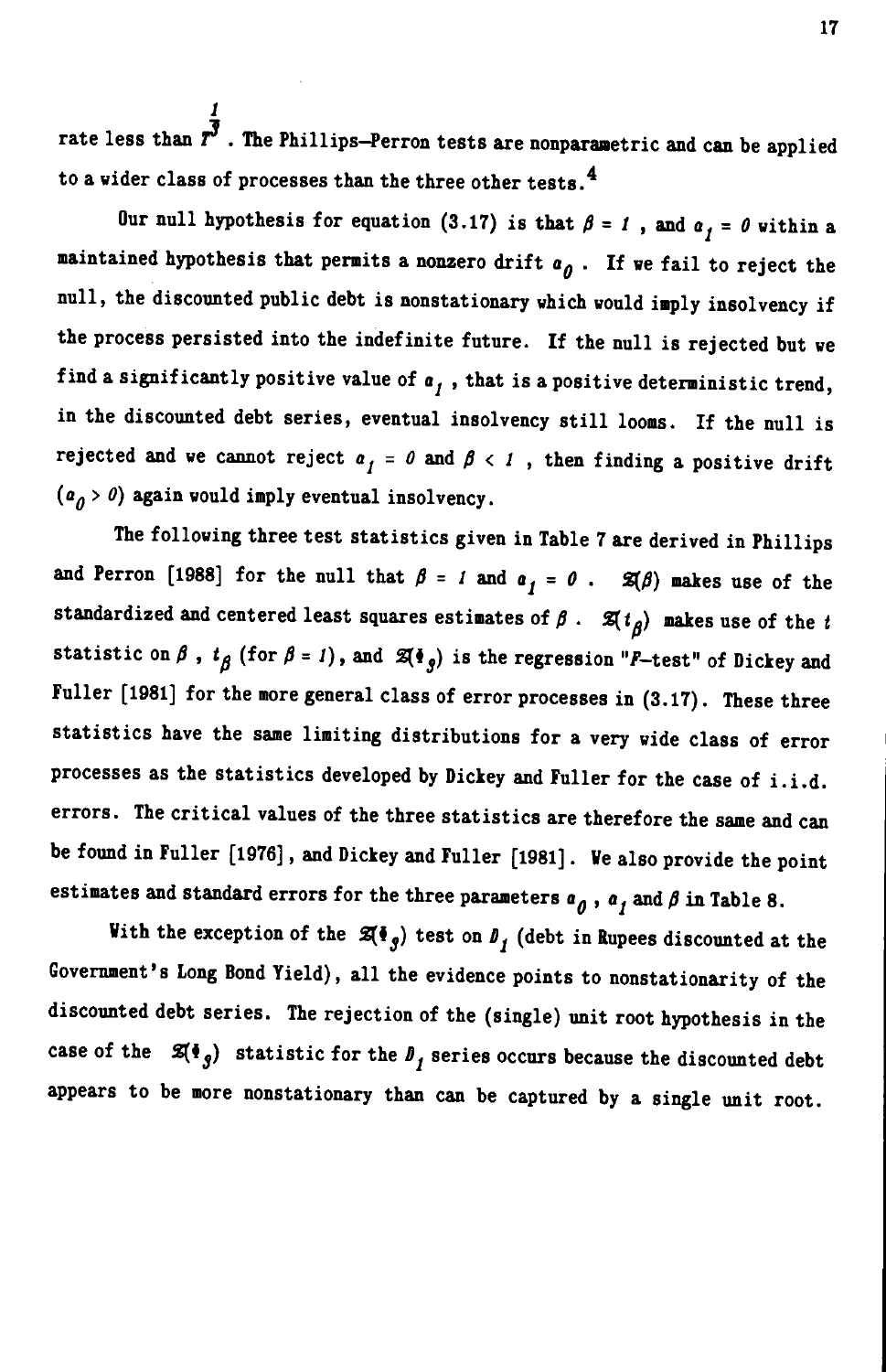1 rate less than 7. The Phillips—Perron tests are nonparametric and can be applied to a wider class of processes than the three other tests.<sup>4</sup>

Our null hypothesis for equation (3.17) is that  $\beta = 1$ , and  $a_1 = 0$  within a maintained hypothesis that permits a nonzero drift  $a_{\theta}$ . If we fail to reject the null, the discounted public debt is nonstationary which would imply insolvency if the process persisted into the indefinite future. If the null is rejected but we find a significantly positive value of  $a_i$ , that is a positive deterministic trend, in the discounted debt series, eventual insolvency still looms. If the null is rejected and we cannot reject  $a_i = 0$  and  $\beta < 1$ , then finding a positive drift  $(a_n > 0)$  again would imply eventual insolvency.

The following three test statistics given in Table 7 are derived in Phillips and Perron [1988] for the null that  $\beta = I$  and  $a_i = 0$ .  $\mathcal{R}(\beta)$  makes use of the standardized and centered least squares estimates of  $\beta$ .  $\mathfrak{A}(t_{\beta})$  makes use of the t statistic on  $\beta$ ,  $t_{\beta}$  (for  $\beta = 1$ ), and  $\mathcal{Z}(\phi_g)$  is the regression "*F*-test" of Dickey and Fuller [1981] for the more general class of error processes in (3.17). These three statistics have the same limiting distributions for a very wide class of error processes as the statistics developed by Dickey and Fuller for the case of i.i.d. errors. The critical values of the three statistics are therefore the same and can be found in Fuller [1976], and Dickey and Fuller [1981]. We also provide the point estimates and standard errors for the three parameters  $a_{\theta}$ ,  $a_{I}$  and  $\beta$  in Table 8.

With the exception of the  $\mathfrak{F}(\mathfrak{f}_{g})$  test on  $D_{1}$  (debt in Rupees discounted at the Government's Long Bond Yield), all the evidence points to nonstationarity of the discounted debt series. The rejection of the (single) unit root hypothesis in the case of the  $\mathfrak{A}_{\mathfrak{g}}$  statistic for the  $\mathfrak{g}_f$  series occurs because the discounted debt appears to be more nonstationary than can be captured by a single unit root.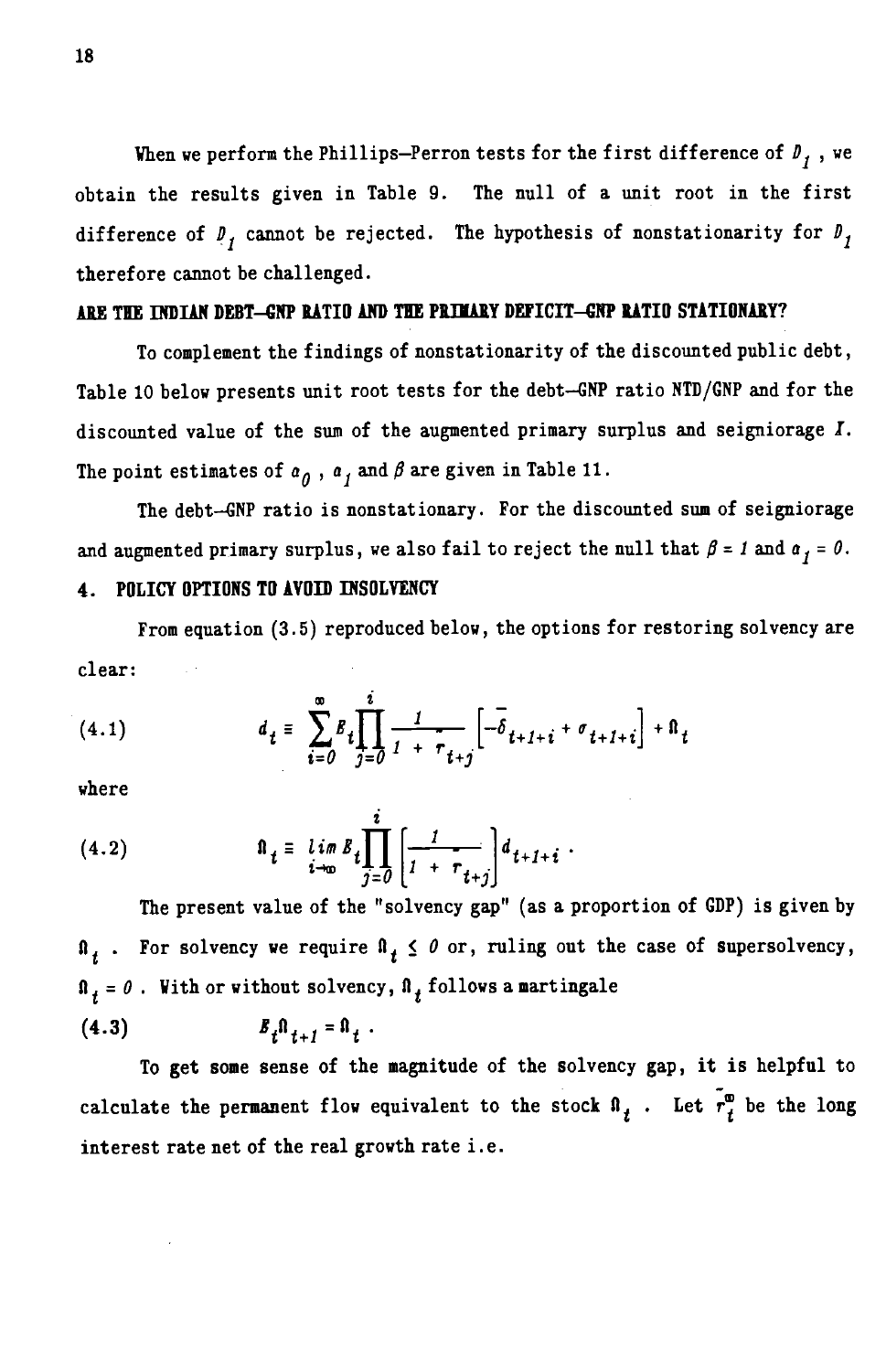When we perform the Phillips-Perron tests for the first difference of  $D_1$ , we obtain the results given in Table 9. The null of a unit root in the first difference of  $P_1$  cannot be rejected. The hypothesis of nonstationarity for  $P_1$ therefore cannot be challenged.

## ARE THE INDIAN DEBT—GNP RATIO AND THE PRIMARY DEFICIT—GNP RATIO STATIONARY?

To complement the findings of nonstationarity of the discounted public debt, Table 10 below presents unit root tests for the debt—GNP ratio NTD/GNP and for the discounted value of the sum of the augmented primary surplus and seigniorage  $I$ . The point estimates of  $a_{\theta}$ ,  $a_{1}$  and  $\beta$  are given in Table 11.

The debt—GNP ratio is nonstationary. For the discounted sum of seigniorage and augmented primary surplus, we also fail to reject the null that  $\beta = 1$  and  $\alpha_1 = 0$ . 4. POLICY OPTIONS TO AVOID INSOLVENCY

From equation (3.5) reproduced below, the options for restoring solvency are clear:

(4.1) 
$$
d_{t} = \sum_{i=0}^{\infty} B_{t} \prod_{j=0}^{i} \frac{1}{1 + \tau_{t+j}} \left[ -\overline{\delta}_{t+1+i} + \sigma_{t+1+i} \right] + \mathbf{0}_{t}
$$

where

(4.2) 
$$
\hat{\mathbf{n}}_{t} = \lim_{i \to \infty} \hat{\mathbf{B}}_{t} \prod_{j=0}^{t} \left[ \frac{1}{1 + \tau_{t+j}} \right] d_{t+1+i}.
$$

The present value of the "solvency gap" (as a proportion of GDP) is given by  $\mathbf{R}_t$ . For solvency we require  $\mathbf{R}_t \leq \theta$  or, ruling out the case of supersolvency,  $\mathbf{R}_+ = 0$ . Vith or without solvency,  $\mathbf{R}_+$  follows a martingale

(4.3)

To get some sense of the magnitude of the solvency gap, it is helpful to calculate the permanent flow equivalent to the stock  $\hat{\mathbf{n}}_t$ . Let  $\overline{r}_t^{\mathbf{0}}$  be the long interest rate net of the real growth rate i.e.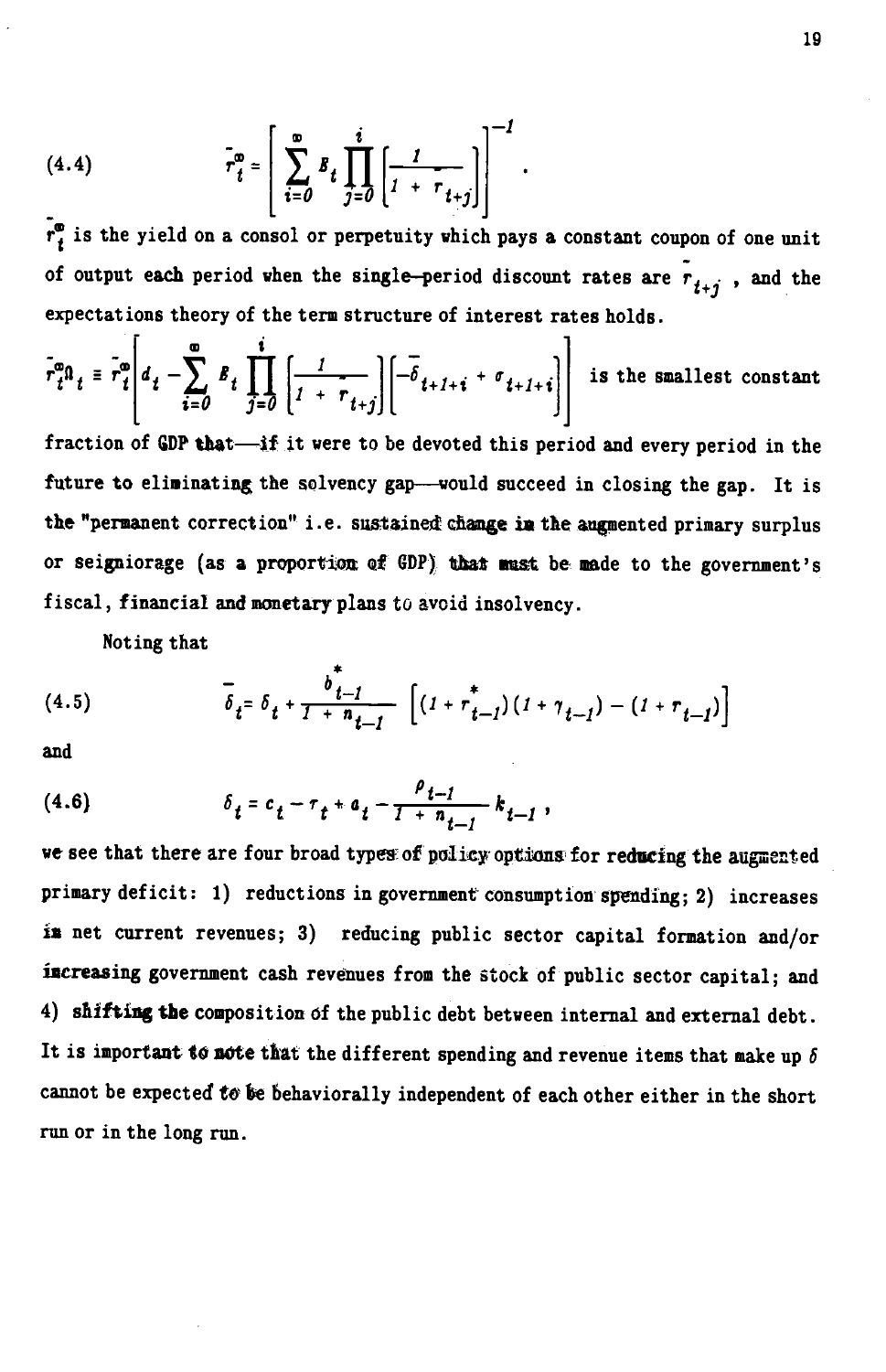(4.4) 
$$
\bar{r}_t^{\infty} = \left[ \sum_{i=0}^{\infty} B_i \prod_{j=0}^{i} \left( \frac{1}{1 + r_{i+j}} \right) \right]^{-1}.
$$

 $r_t^{\phi}$  is the yield on a consol or perpetuity which pays a constant coupon of one unit of output each period when the single-period discount rates are  $r_{i+j}$ , and the expectations theory of the term structure of interest rates holds.

$$
\bar{r}_t^{\mathfrak{D}} \mathfrak{D}_t \equiv \bar{r}_t^{\mathfrak{D}} \left[ d_t - \sum_{i=0}^{\mathfrak{D}} \mathcal{B}_t \prod_{j=0}^{\mathfrak{d}} \left[ \frac{1}{1 + \bar{r}_{t+j}} \right] \left[ -\bar{\delta}_{t+1+i} + \sigma_{t+1+i} \right] \right] \text{ is the smallest constant}
$$

fraction of GDP that—if it were to be devoted this period and every period in the future to eliminating the solvency gap—would succeed in closing the gap. It is the "permanent correction" i.e. sustained change in the augmented primary surplus or seigniorage (as a proportion of GDP) that must be made to the government's fiscal, financial and monetary plans to avoid insolvency.

Noting that

(4.5) 
$$
\overline{\delta}_{t} = \delta_{t} + \frac{b_{t-1}^{*}}{1 + n_{t-1}} \left[ (1 + r_{t-1}^{*}) (1 + \gamma_{t-1}) - (1 + r_{t-1}) \right]
$$

and

(4.6) 
$$
\delta_t = c_t - \tau_t + a_t - \frac{\rho_{t-1}}{1 + n_{t-1}} k_{t-1},
$$

we see that there are four broad types of policy options for reducing the augmented primary deficit: 1) reductions in government consumption spending; 2) increases in net current revenues; 3) reducing public sector capital formation and/or Iscreasing government cash revenues from the stock of public sector capital; and 4) shifting the composition of the public debt between internal and external debt. It is important to note that the different spending and revenue items that make up  $\delta$ cannot be expected to be behaviorally independent of each other either in the short run or in the long run.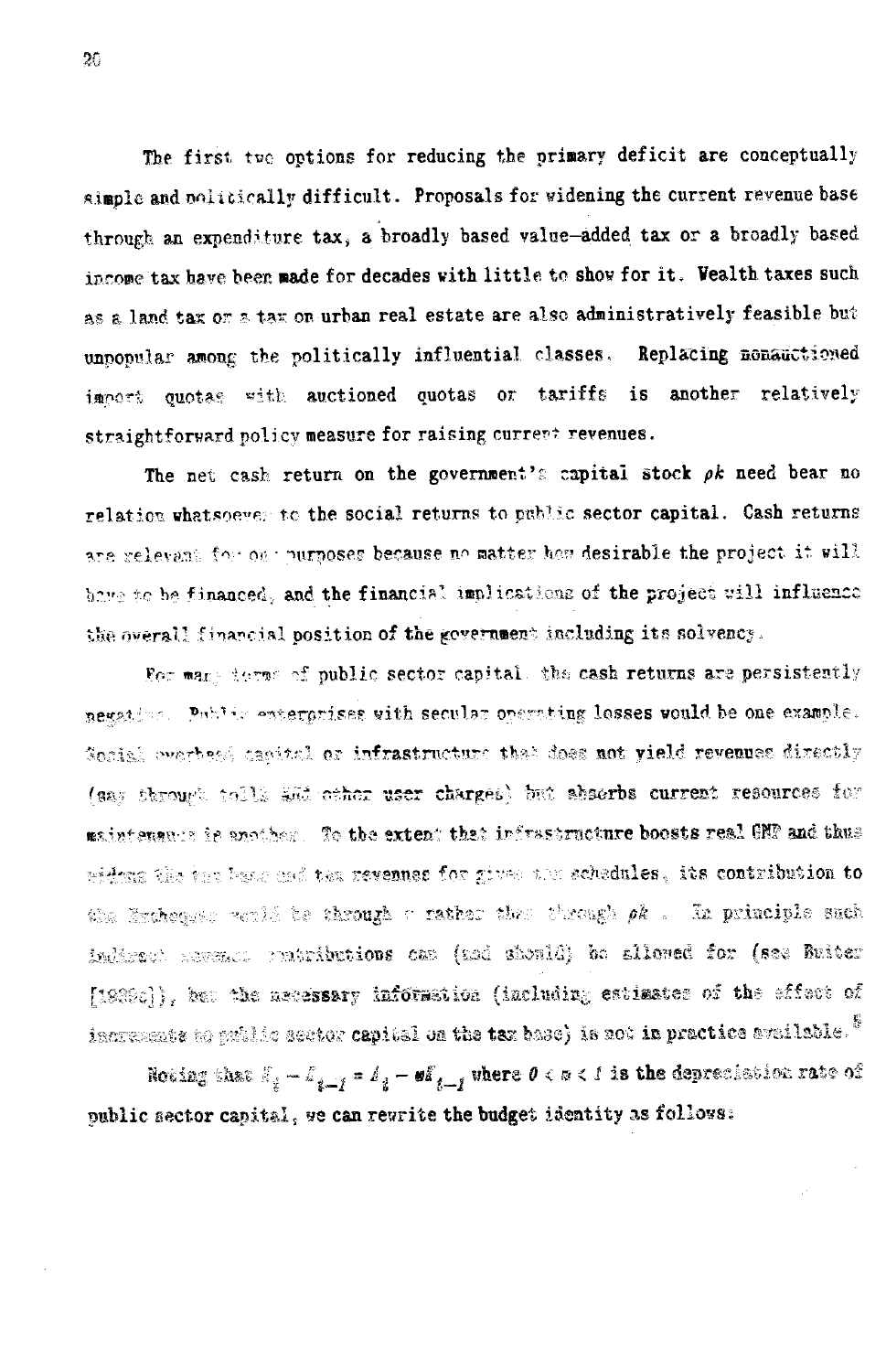The first tue options for reducing the primary deficit are conceptually simple and nolitically difficult. Proposals for widening the current revenue base through an expenditure tax, a broadly based value-added tax or a broadly based income tax have been made for decades with little to show for it. Vealth taxes such as a land tax or a tax on urban real estate are also administratively feasible but unpopular among the politically influential classes. Replacing nonauctioned import quotas with auctioned quotas or tariffs is another relatively straightforward policy measure for raising current revenues.

The net cash return on the government's capital stock  $\rho k$  need bear no relation whatsoeves to the social returns to public sector capital. Cash returns are relevant for our nurposes because no matter how desirable the project it will have to be financed, and the financial implications of the project will influence the overall financial position of the government including its solvency.

For manged terms of public sector capital, the cash returns are persistently negative. Public entercrises with secular operating losses would be one example. Sorial everbest capital or infrastructure that does not yield revenues directly (say through thile and other user charges) but abserbs current resources for maintenaure is another. To the extent that irfrastructure boosts real GNP and thus tiding the turkens and the revenues for gives the schedules, its contribution to the Euchessen would be through a rather than through  $\rho k$ . In principle such indirect measure putributions can (and should) he allowed for (see Buiter [1989c]), bet the accessary information (including estimates of the effect of incresents to public sector capital on the tax base) is not in practice available.  $^5$ 

Noting that  $\mathbb{F}_q - \mathbb{F}_{q-1} = \ell_q - \mathbf{w}\mathbb{F}_{q-1}$  where  $0 < \mathbf{w} < I$  is the deprecistion rate of public sector capital, we can rewrite the budget identity as follows:

 $20$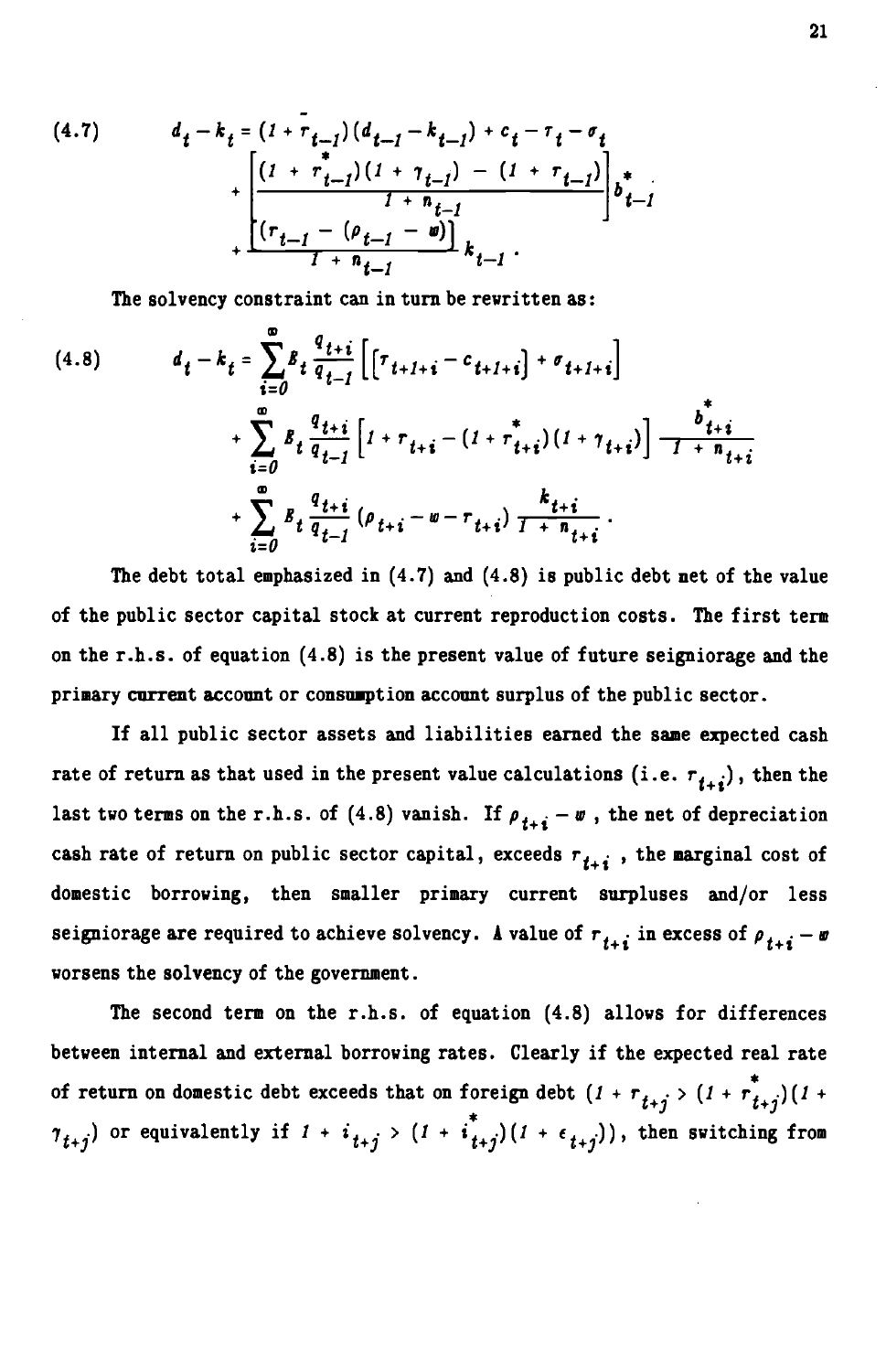(4.7) 
$$
d_{t} - k_{t} = (1 + r_{t-1})(d_{t-1} - k_{t-1}) + c_{t} - r_{t} - \sigma_{t} + \left[ \frac{(1 + r_{t-1})(1 + r_{t-1}) - (1 + r_{t-1})}{1 + n_{t-1}} \right] b_{t-1}^{*} + \left[ \frac{(r_{t-1} - (\rho_{t-1} - w))}{1 + n_{t-1}} k_{t-1} \right].
$$

The solvency constraint can in turn be rewritten as:

(4.8) 
$$
d_{t} - k_{t} = \sum_{i=0}^{\infty} \beta_{t} \frac{q_{t+i}}{q_{t-i}} \left[ \left[ \tau_{t+1+i} - c_{t+1+i} \right] + \sigma_{t+1+i} \right] + \sum_{i=0}^{\infty} \beta_{t} \frac{q_{t+i}}{q_{t-i}} \left[ 1 + \tau_{t+i} - \left( 1 + \tau_{t+i}^{*} \right) \left( 1 + \gamma_{t+i} \right) \right] \frac{b_{t+i}^{*}}{1 + n_{t+i}} + \sum_{i=0}^{\infty} \beta_{t} \frac{q_{t+i}}{q_{t-i}} \left( \rho_{t+i} - w - \tau_{t+i} \right) \frac{k_{t+i}}{1 + n_{t+i}}.
$$

The debt total emphasized in (4.7) and (4.8) is public debt net of the value of the public sector capital stock at current reproduction costs. The first term on the r.h.s. of equation (4.8) is the present value of future seigniorage and the primary current account or consumption account surplus of the public sector.

If all public sector assets and liabilities earned the same expected cash rate of return as that used in the present value calculations (i.e.  $r_{t+i}$ ), then the last two terms on the r.h.s. of (4.8) vanish. If  $\rho_{i+i} - w$ , the net of depreciation cash rate of return on public sector capital, exceeds  $r_{t,i}$ , the marginal cost of domestic borrowing, then smaller primary current surpluses and/or less seigniorage are required to achieve solvency. A value of  $r_{t+i}$  in excess of  $\rho_{t+i} - w$ worsens the solvency of the government.

The second term on the r.h.s. of equation (4.8) allows for differences between internal and external borrowing rates. Clearly if the expected real rate of return on domestic debt exceeds that on foreign debt  $(1 + r_{i+j} > (1 + r_{i+j})(1 +$  $\tau_{t+j}$ ) or equivalently if  $1 + i_{t+j} > (1 + i_{t+j}^*)(1 + \epsilon_{t+j}))$ , then switching from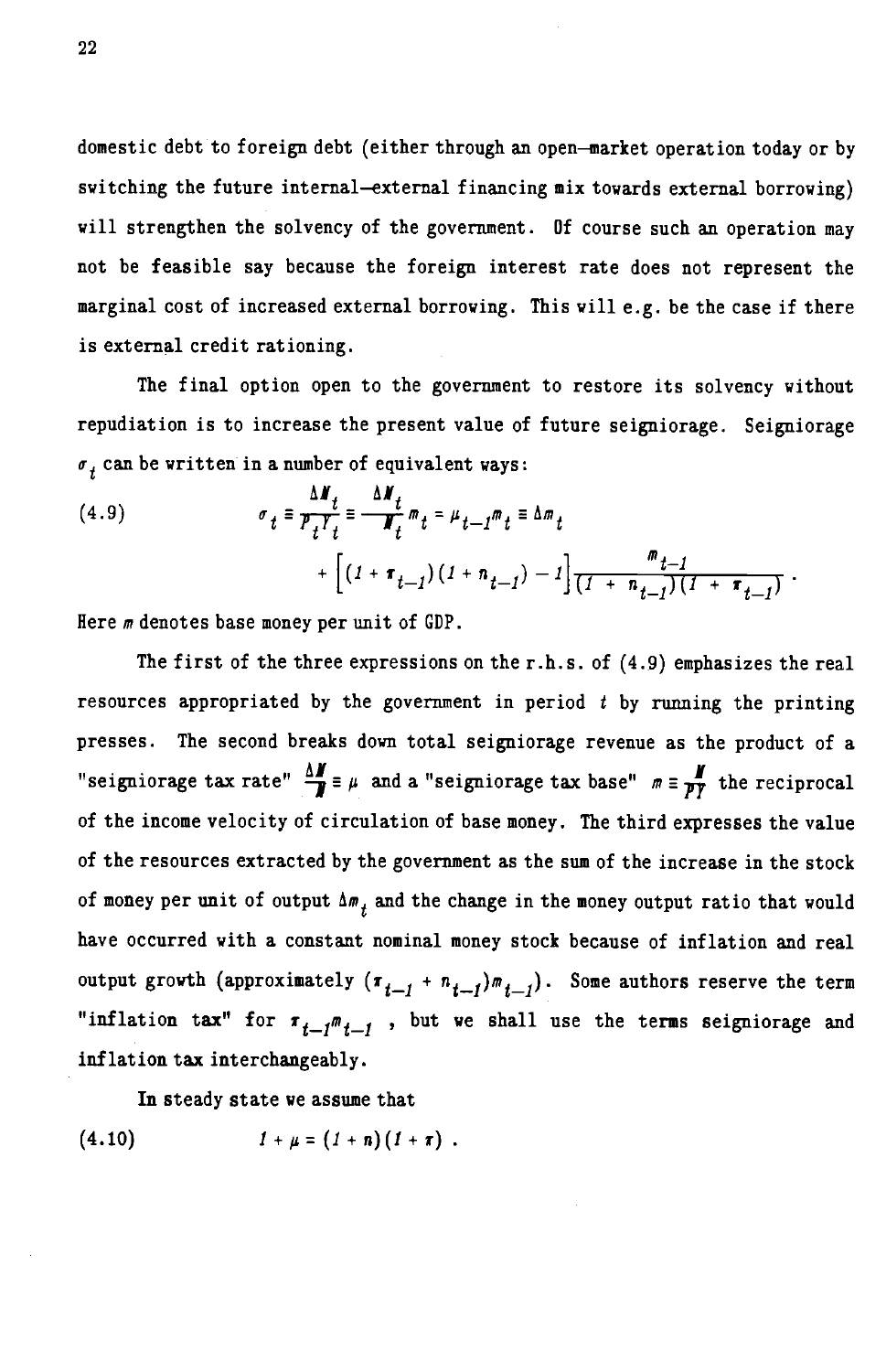domestic debt to foreign debt (either through an open—market operation today or by switching the future internal—external financing mix towards external borrowing) will strengthen the solvency of the government. Of course such an operation may not be feasible say because the foreign interest rate does not represent the marginal cost of increased external borrowing. This will e.g. be the case if there is external credit rationing.

The final option open to the government to restore its solvency without repudiation is to increase the present value of future seigniorage. Seigniorage  $\sigma_t$  can be written in a number of equivalent ways:

(4.9) 
$$
\sigma_t = \frac{\Delta H_t}{P_t T_t} = \frac{\Delta H_t}{T_t} m_t = \mu_{t-1} m_t \equiv \Delta m_t + \left[ (1 + \tau_{t-1}) (1 + n_{t-1}) - 1 \right] \frac{m_{t-1}}{(1 + n_{t-1}) (1 + n_{t-1})}.
$$

Here  *denotes base money per unit of GDP.* 

The first of the three expressions on the r.h.s. of (4.9) emphasizes the real resources appropriated by the government in period  $t$  by running the printing presses. The second breaks down total seigniorage revenue as the product of a "seigniorage tax rate"  $\frac{\Delta H}{B} = \mu$  and a "seigniorage tax base"  $m \equiv \frac{H}{pT}$  the reciprocal of the income velocity of circulation of base money. The third expresses the value of the resources extracted by the government as the sum of the increase in the stock of money per unit of output  $\Delta m$ , and the change in the money output ratio that would have occurred with a constant nominal money stock because of inflation and real output growth (approximately  $(\tau_{t-1} + n_{t-1})m_{t-1})$ . Some authors reserve the term "inflation tax" for  $r_{t-1}m_{t-1}$ , but we shall use the terms seigniorage and inflation tax interchangeably.

In steady state we assume that

(4.10) 
$$
1 + \mu = (1 + n)(1 + \pi).
$$

22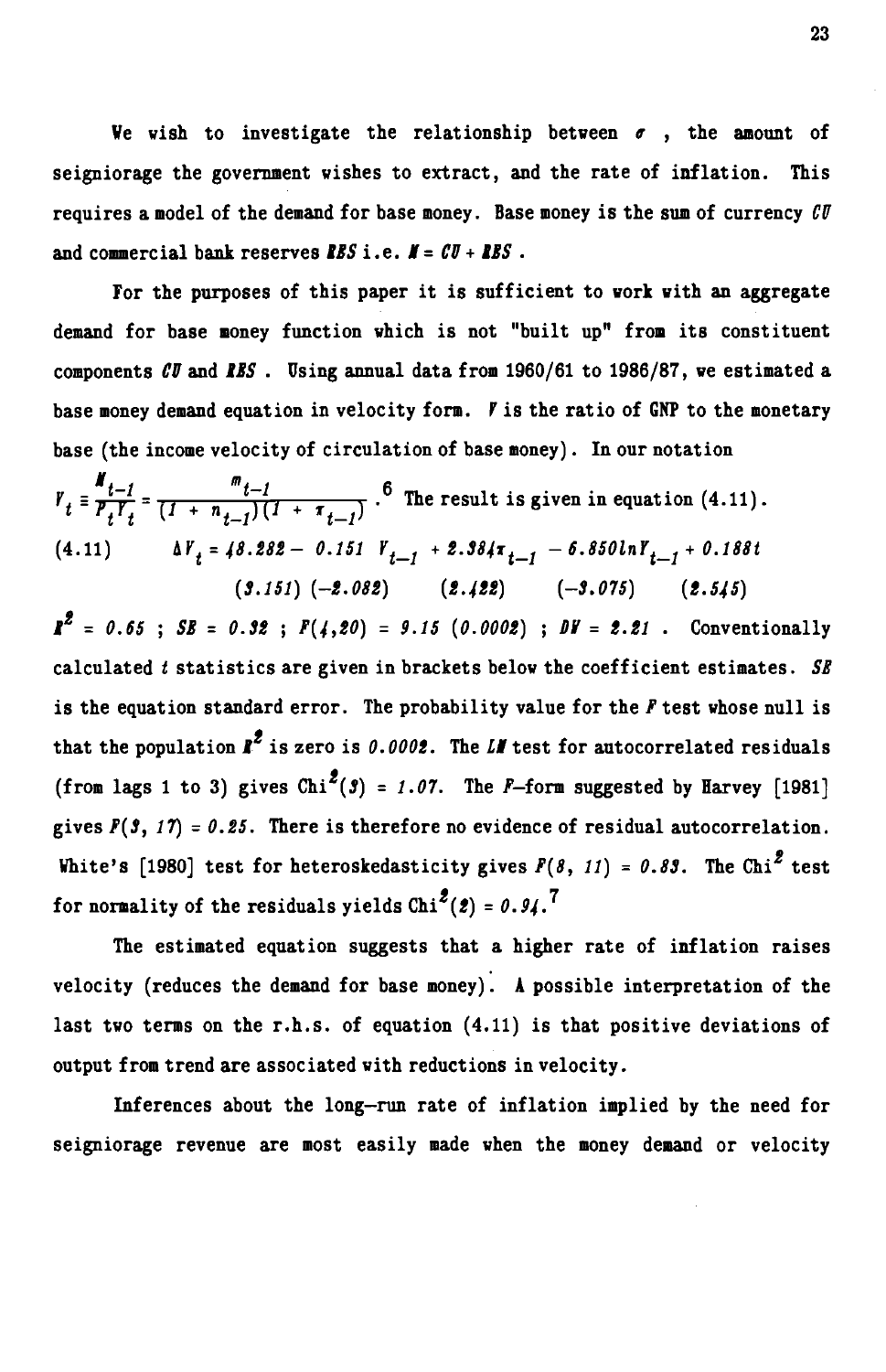We wish to investigate the relationship between  $\sigma$ , the amount of seigniorage the government wishes to extract, and the rate of inflation. This requires a model of the demand for base money. Base money is the sum of currency  $\ell U$ and commercial bank reserves  $\mathbf{L} \mathbf{S} \mathbf{S}$  i.e.  $\mathbf{I} = \mathbf{C} \mathbf{U} + \mathbf{L} \mathbf{S} \mathbf{S}$ .

For the purposes of this paper it is sufficient to work with an aggregate demand for base money function which is not "built up" from its constituent components  $\ell \nu$  and RES. Using annual data from 1960/61 to 1986/87, we estimated a base money demand equation in velocity form. V is the ratio of GNP to the monetary base (the income velocity of circulation of base money). In our notation

 $I_{t-1}$   $I_{t-1}$  6 The result  $\frac{\pi_{t-1}}{\frac{1}{T_t}} = \frac{\pi_{t-1}}{(1 + n_{t-1})(1 + n_{t-1})}$ . <sup>6</sup> The result is given in equation (4.11). (4.11)  $\Delta V_t = 48.282 - 0.151 V_{t-1} + 2.384 \tau_{t-1} - 6.850 \ln V_{t-1} + 0.188t$  $(3.151)$   $(-2.082)$   $(2.422)$   $(-3.075)$   $(2.545)$ 

 $I^2 = 0.65$  ; SE = 0.92 ;  $F(4,20) = 9.15 (0.0002)$  ; DV = 2.21. Conventionally calculated t statistics are given in brackets below the coefficient estimates.  $S\mathcal{B}$ is the equation standard error. The probability value for the F test whose null is that the population  $l^2$  is zero is 0.0002. The LI test for autocorrelated residuals (from lags 1 to 3) gives  $Chi^2(s) = 1.07$ . The *F*-form suggested by Harvey [1981] gives  $F(3, 17) = 0.25$ . There is therefore no evidence of residual autocorrelation. White's [1980] test for heteroskedasticity gives  $F(\theta, 11) = 0.83$ . The Chi<sup>2</sup> test for normality of the residuals yields  $Chi^{2}(z) = 0.94$ .<sup>7</sup>

The estimated equation suggests that a higher rate of inflation raises velocity (reduces the demand for base money): A possible interpretation of the last two terms on the r.h.s. of equation (4.11) is that positive deviations of output from trend are associated with reductions in velocity.

Inferences about the long—run rate of inflation implied by the need for seigniorage revenue are most easily made when the money demand or velocity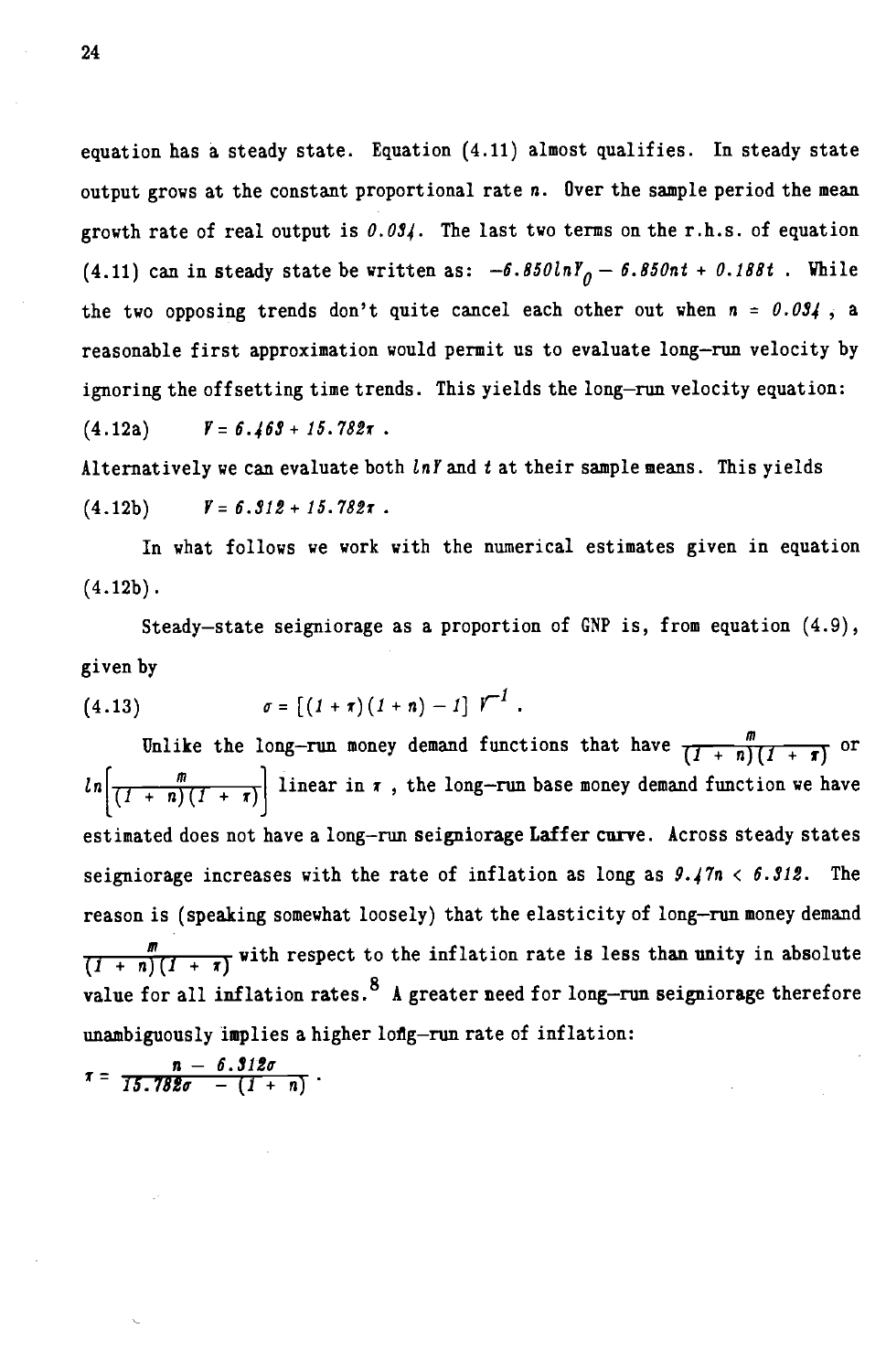equation has a steady state. Equation (4.11) almost qualifies. In steady state output grows at the constant proportional rate n. Over the sample period the mean growth rate of real output is  $0.034$ . The last two terms on the r.h.s. of equation (4.11) can in steady state be written as:  $-6.850lnY_{0} - 6.850nt + 0.188t$ . While the two opposing trends don't quite cancel each other out when  $n = 0.034$ , a reasonable first approximation would permit us to evaluate long—run velocity by ignoring the offsetting time trends. This yields the long—run velocity equation:  $(4.12a)$   $V= 6.163 + 15.782\pi$ .

Alternatively we can evaluate both  $lnY$  and  $t$  at their sample means. This yields  $(4.12b)$   $V = 6.312 + 15.782\pi$ .

In what follows we work with the numerical estimates given in equation  $(4.12b)$ .

Steady—state seigniorage as a proportion of GNP is, from equation (4.9), given by

(4.13) 
$$
\sigma = [(1 + \tau)(1 + n) - 1] \tau^{-1}.
$$

Unlike the long-run money demand functions that have  $\frac{m}{(1 + n)(1 + n)}$  or  $\lfloor ln \left( \frac{m}{(1 + n)(1 + \tau)} \right)$  linear in  $\tau$ , the long-run base money demand function we have estimated does not have a long—run seigniorage Laffer curve. Across steady states seigniorage increases with the rate of inflation as long as  $9.47n < 6.912$ . The reason is (speaking somewhat loosely) that the elasticity of long-run money demand  $\frac{m}{(1 + n)(1 + \tau)}$  with respect to the inflation rate is less than unity in absolute value for all inflation rates.<sup>8</sup> A greater need for long-run seigniorage therefore unambiguously implies a higher long-run rate of inflation:

$$
\pi = \frac{n - 6.912\sigma}{15.782\sigma - (1 + n)}.
$$

24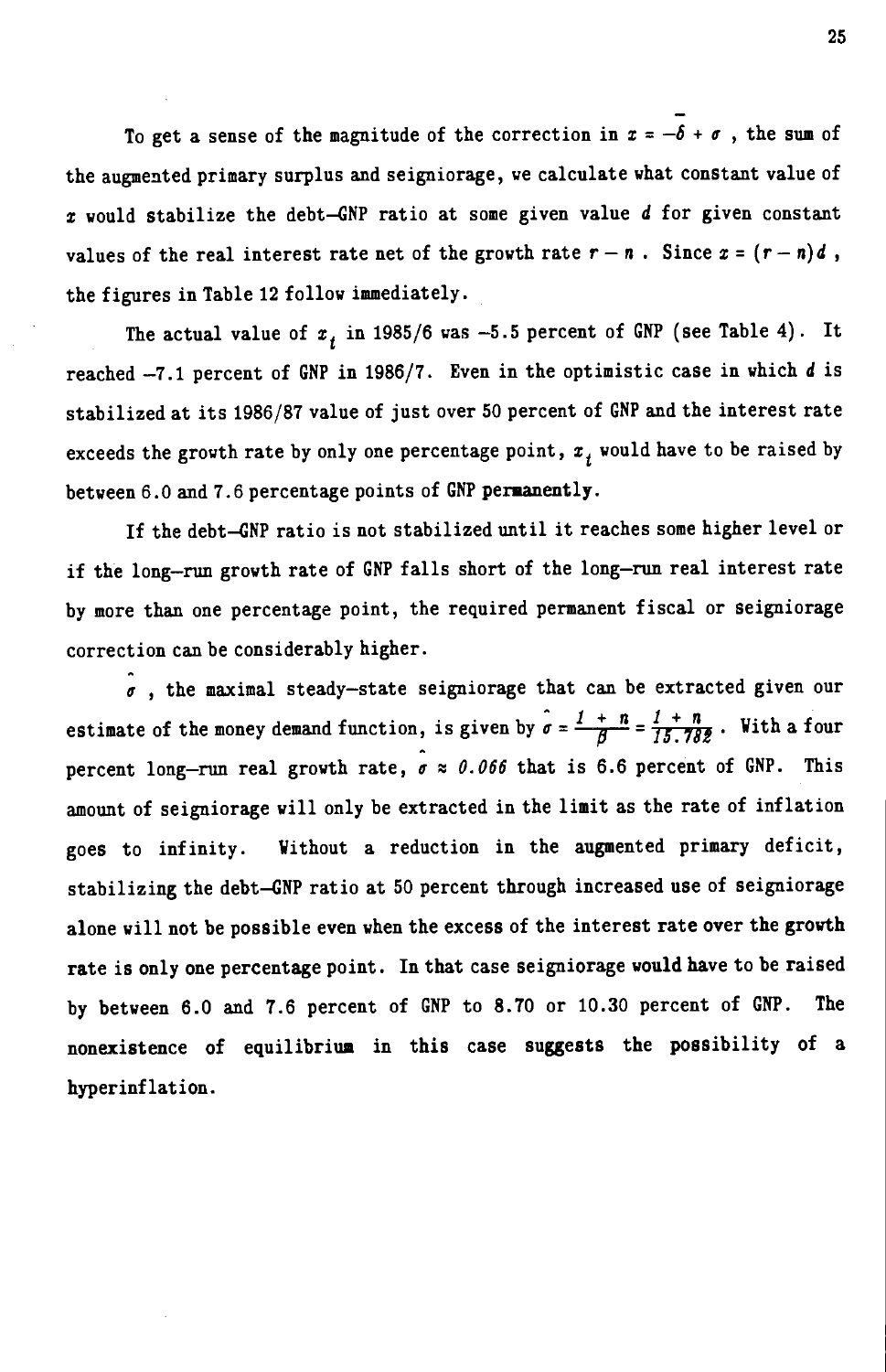To get a sense of the magnitude of the correction in  $x = -\delta + \sigma$ , the sum of the augmented primary surplus and seigniorage, we calculate what constant value of z would stabilize the debt—GNP ratio at some given value d for given constant values of the real interest rate net of the growth rate  $r - n$ . Since  $x = (r - n)d$ , the figures in Table 12 follow immediately.

The actual value of  $x_i$  in 1985/6 was -5.5 percent of GNP (see Table 4). It reached —7.1 percent of GNP in 1986/7. Even in the optimistic case in which d is stabilized at its 1986/87 value of just over 50 percent of GNP and the interest rate exceeds the growth rate by only one percentage point,  $x<sub>t</sub>$  would have to be raised by between 6.0 and 7.6 percentage points of GNP permanently.

If the debt—GNP ratio is not stabilized until it reaches some higher level or if the long—run growth rate of GNP falls short of the long—run real interest rate by more than one percentage point, the required permanent fiscal or seigniorage correction can be considerably higher.

 $\sigma$ , the maximal steady-state seigniorage that can be extracted given our estimate of the money demand function, is given by  $\hat{\sigma} = \frac{1}{\beta} + \frac{n}{15.782}$ . With a four percent long-run real growth rate,  $\sigma \approx 0.066$  that is 6.6 percent of GNP. This amount of seigniorage will only be extracted in the limit as the rate of inflation goes to infinity. Without a reduction in the augmented primary deficit, stabilizing the debt—GNP ratio at 50 percent through increased use of seigniorage alone will not be possible even when the excess of the interest rate over the growth rate is only one percentage point. In that case seigniorage would have to be raised by between 6.0 and 7.6 percent of GM' to 8.70 or 10.30 percent of GM'. The nonexistence of equilibrium in this case suggests the possibility of a hyperinflation.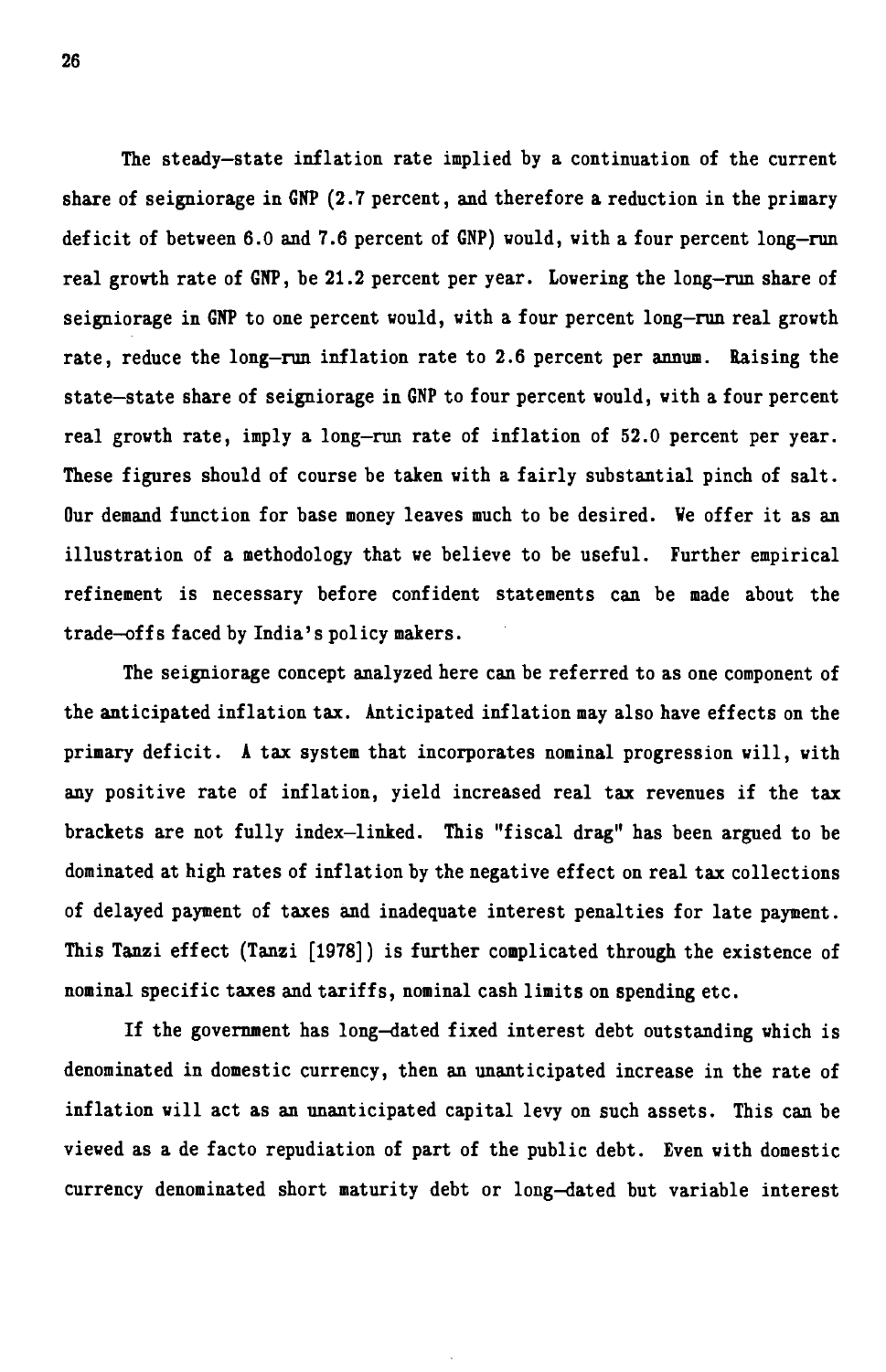The steady—state inflation rate implied by a continuation of the current share of seigniorage in CNP (2.7 percent, and therefore a reduction in the primary deficit of between 6.0 and 7.6 percent of GNP) would, with a four percent long—run real growth rate of GNP, be 21.2 percent per year. Lowering the long-run share of seigniorage in GM' to one percent would, with a four percent long—run real growth rate, reduce the long—run inflation rate to 2.6 percent per annum. Raising the state—state share of seigniorage in GM' to four percent would, with a four percent real growth rate, imply a long—nm rate of inflation of 52.0 percent per year. These figures should of course be taken with a fairly substantial pinch of salt. Our demand function for base money leaves much to be desired. We offer it as an illustration of a methodology that we believe to be useful. Further empirical refinement is necessary before confident statements can be made about the trade-offs faced by India's policy makers.

The seigniorage concept analyzed here can be referred to as one component of the anticipated inflation tax. Anticipated inflation may also have effects on the primary deficit. A tax system that incorporates nominal progression will, with any positive rate of inflation, yield increased real tax rewenues if the tax brackets are not fully index—linked. This "fiscal drag" has been argued to be dominated at high rates of inflation by the negative effect on real tax collections of delayed payment of taxes and inadequate interest penalties for late payment. This Tanzi effect (Tanzi [1978]) is further complicated through the existence of nominal specific taxes and tariffs, nominal cash limits on spending etc.

If the government has long—dated fixed interest debt outstanding which is denominated in domestic currency, then an unanticipated increase in the rate of inflation will act as an unanticipated capital levy on such assets. This can be viewed as a de facto repudiation of part of the public debt. Even with domestic currency denominated short maturity debt or long—dated but variable interest

26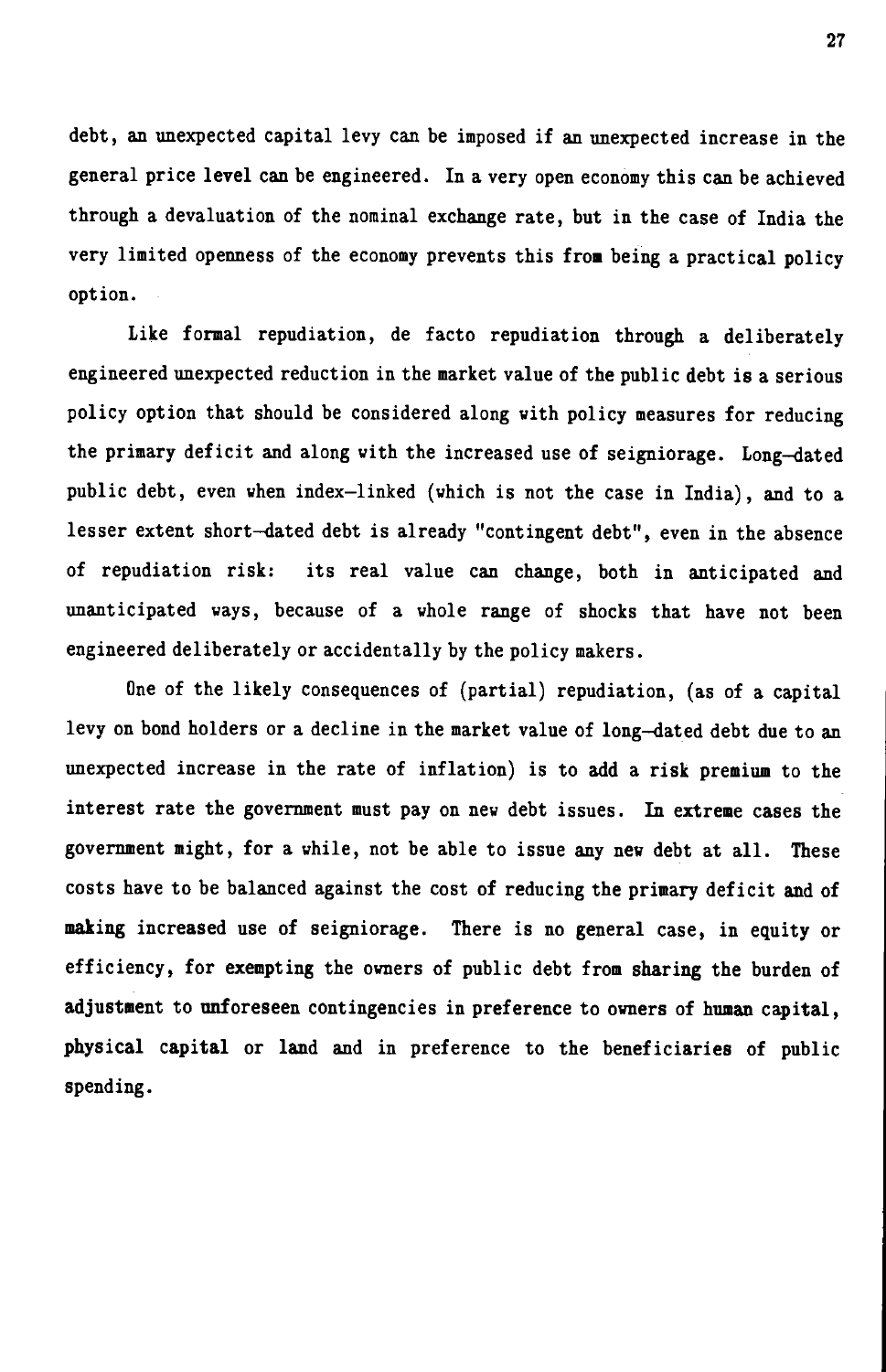debt, an unexpected capital levy can be imposed if an unexpected increase in the general price level can be engineered. In a very open economy this can be achieved through a devaluation of the nominal exchange rate, but in the case of India the very limited openness of the economy prevents this from being a practical policy option.

Like formal repudiation, de facto repudiation through a deliberately engineered unexpected reduction in the market value of the public debt is a serious policy option that should be considered along with policy measures for reducing the primary deficit and along with the increased use of seigniorage. Long—dated public debt, even when index—linked (which is not the case in India), and to a lesser extent short—dated debt is already "contingent debt", even in the absence of repudiation risk: its real value can change, both in anticipated and unanticipated ways, because of a whole range of shocks that have not been engineered deliberately or accidentally by the policy makers.

One of the likely consequences of (partial) repudiation, (as of a capital levy on bond holders or a decline in the market value of long—dated debt due to an unexpected increase in the rate of inflation) is to add a risk premium to the interest rate the government must pay on new debt issues. In extreme cases the government might, for a while, not be able to issue any new debt at all. These costs have to be balanced against the cost of reducing the primary deficit and of making increased use of seigniorage. There is no general case, in equity or efficiency, for exempting the owners of public debt from sharing the burden of adjustment to unforeseen contingencies in preference to owners of human capital, physical capital or land and in preference to the beneficiaries of public spending.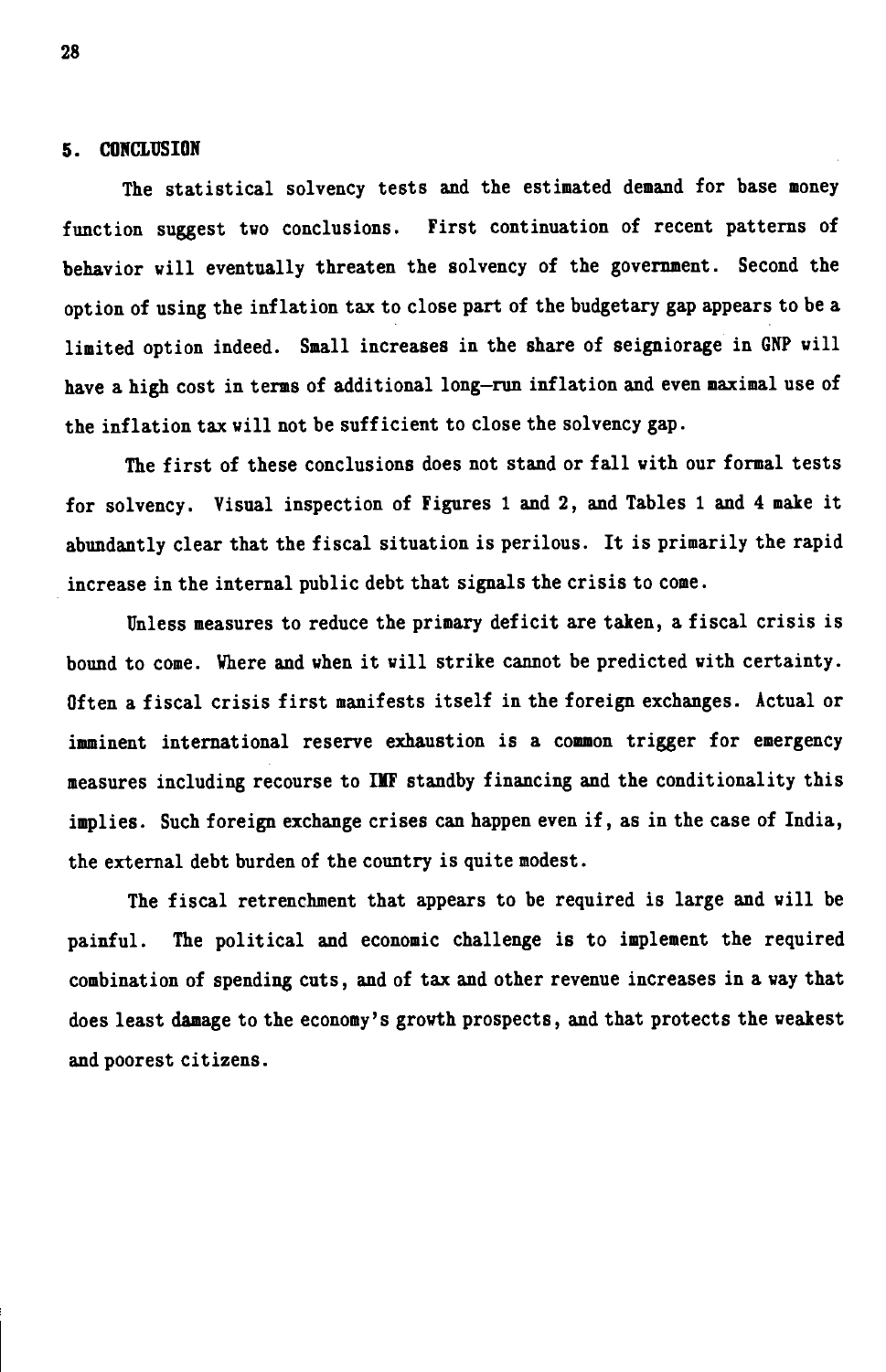#### 5. CONCLUSION

The statistical solvency tests and the estimated demand for base money function suggest two conclusions. First continuation of recent patterns of behavior will eventually threaten the solvency of the government. Second the option of using the inflation tax to close part of the budgetary gap appears to be a limited option indeed. Small increases in the share of seigniorage in GNP will have a high cost in terms of additional long—run inflation and even maximal use of the inflation tax will not be sufficient to close the solvency gap.

The first of these conclusions does not stand or fall with our formal tests for solvency. Visual inspection of Figures 1 and 2, and Tables 1 and 4 make it abundantly clear that the fiscal situation is perilous. It is primarily the rapid increase in the internal public debt that signals the crisis to come.

Unless measures to reduce the primary deficit are taken, a fiscal crisis is bound to come. Where and when it will strike cannot be predicted with certainty. Often a fiscal crisis first manifests itself in the foreign exchanges. Actual or imminent international reserve exhaustion is a common trigger for emergency measures including recourse to IMF standby financing and the conditionality this implies. Such foreign exchange crises can happen even if, as in the case of India, the external debt burden of the country is quite modest.

The fiscal retrenchment that appears to be required is large and will be painful. The political and economic challenge is to implement the required combination of spending cuts, and of tax and other revenue increases in a way that does least damage to the economy's growth prospects, and that protects the weakest and poorest citizens.

28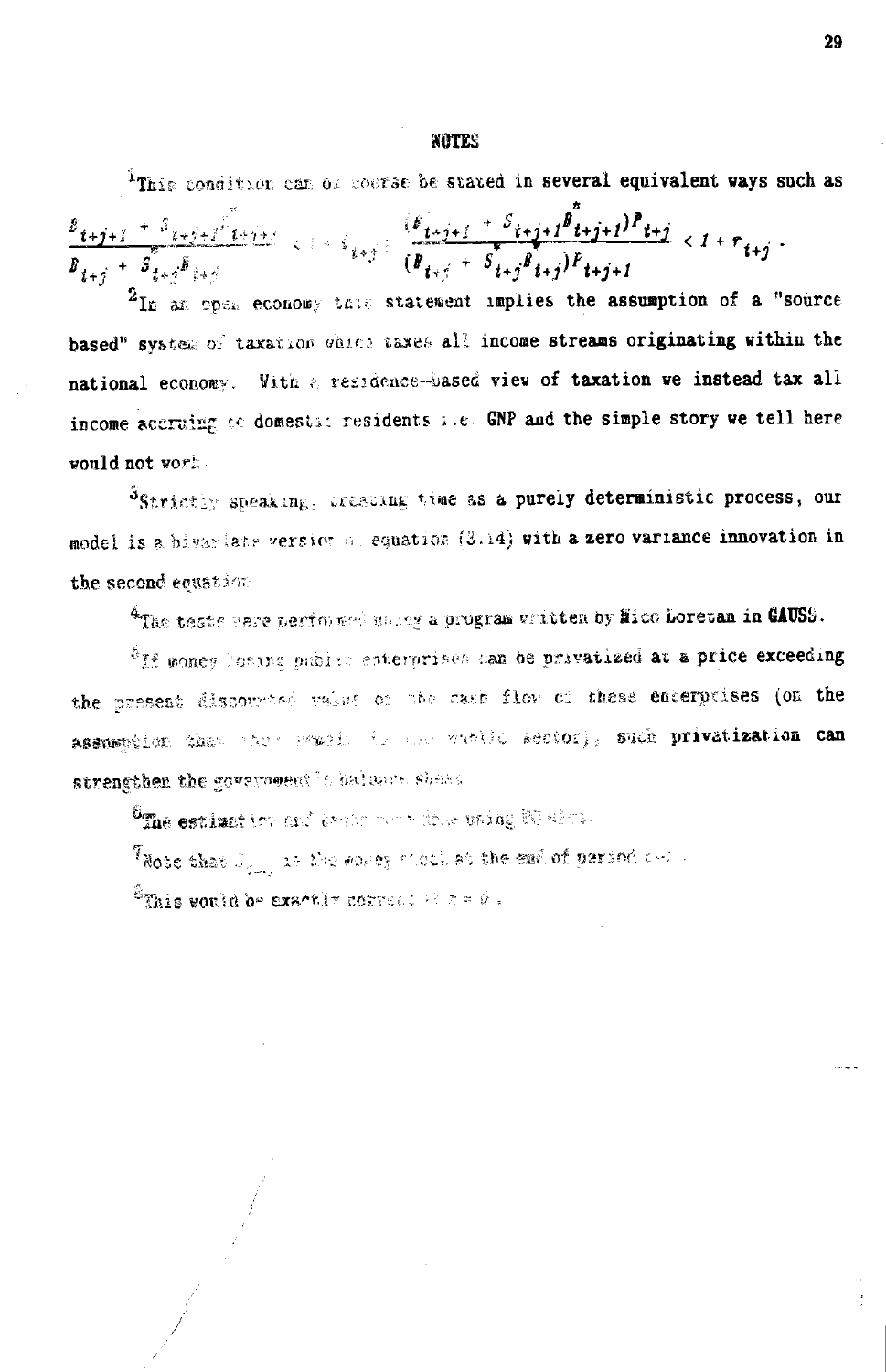#### **NOTES**

$$
\frac{B_{t+j+j} + \frac{S_{t+j+j}F_{t+j+j}}{F_{t+j}}}{B_{t+j} + \frac{S_{t+j+j}F_{t+j+j}}{F_{t+j}} + \frac{S_{t+j+j}}{F_{t+j}} + \frac{S_{t+j+j}F_{t+j} + \frac{S_{t+j+j}F_{t+j}}{F_{t+j}}}{B_{t+j} + \frac{S_{t+j}F_{t+j}}{F_{t+j}} + \frac{S_{t+j}F_{t+j}}{F_{t+j}}}
$$

 $2_{\text{In an-open}}$  economy this statement implies the assumption of a "source based" system of taxation which taxes all income streams originating within the national economy. With a residence-based view of taxation we instead tax all income accruing to domestic residents  $x.e.$  GNP and the simple story we tell here vonid not vor

 ${}^{3}$ Strictly sueaking, presenne time as a purely deterministic process, our model is a bivariate version of equation (3.14) with a zero variance innovation in the second equation.

 $4\tau_{\rm{bar}}$  tasts ears nertowed males a program written by Hico Lorezan in CAUSS.

 $^8$ If wones loanst pablic enterprises aan be privatized at a price exceeding the present discounted value of the cash flow of these enterprises (on the assumption that the seath is the entity sector), such privatization can strengthen the government in bail core shand

6<sub>The estimation and bream more date using 50 dies.</sub>

Those that  $J_{\rm eff}$  is the corey moth st the end of period  $\sim$  .

 $^2$ This vould be exactly correct  $\frac{1}{2}$  a  $\frac{1}{2}$ .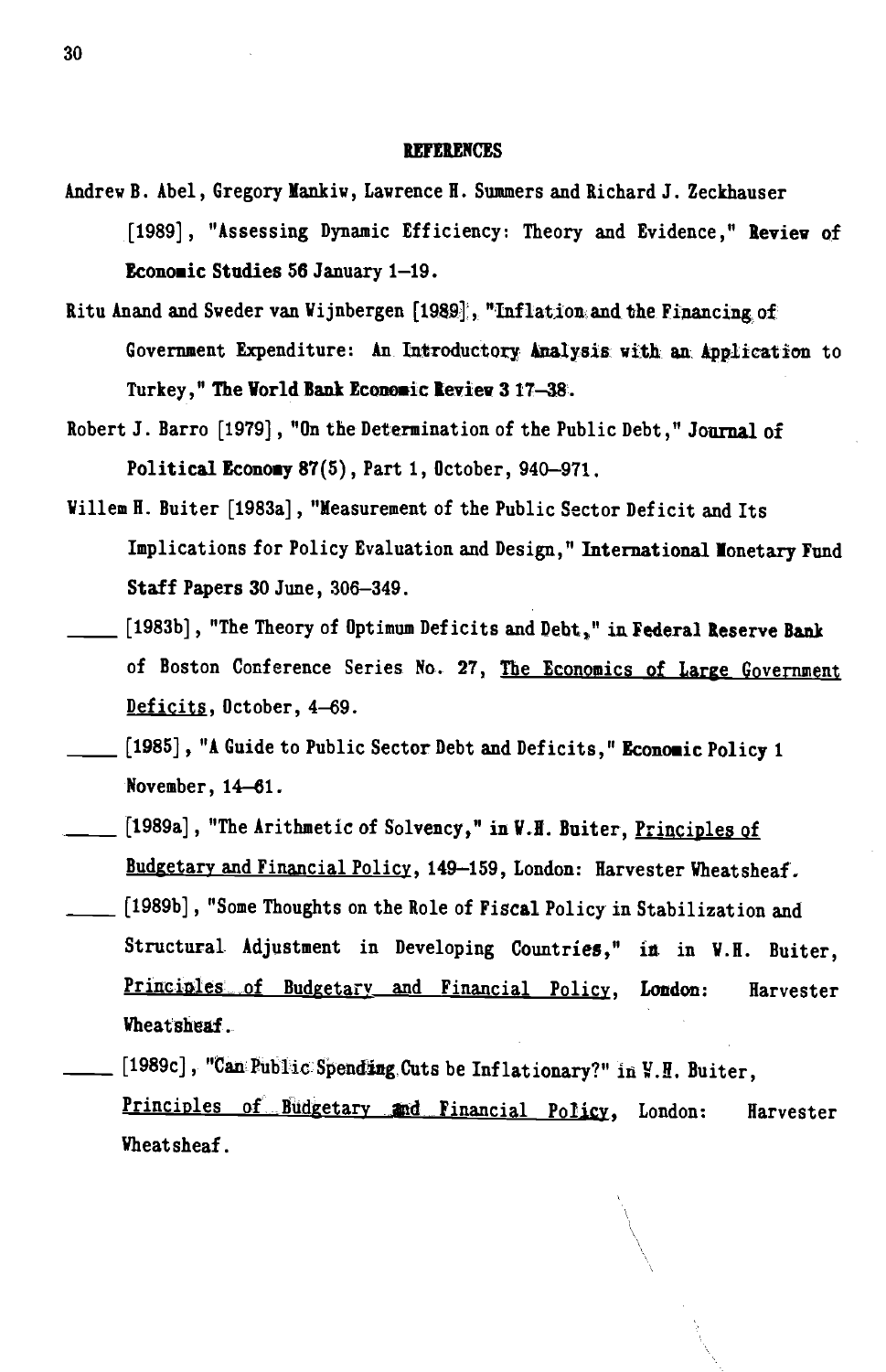#### REFERENCES

- Andrew B. Abel, Gregory Mankiw, Lawrence H. Summers and Richard J. Zeckhauser [1989], "Assessing Dynamic Efficiency: Theory and Evidence," Review of Economic Studies 56 January 1—19.
- Ritu Anand and Sweder van Vijnbergen [1989], "Inflation and the Financing of Government Expenditure: An. introductory Analysis. with an Application to Turkey," The Vorid Bank Economic Review 3 17—38.
- Robert J. Barro [1979], "On the Determination of the Public Debt," Journal of Political Economy 87(5), Part 1, October, 940-971.
- Villem H. Buiter [1983a], "Measurement of the Public Sector Deficit and Its Implications for Policy Evaluation and Design," International Monetary Fund Staff Papers 30 June, 306—349.
- [1983b], "The Theory of Optimum Deficits and Debt," in Federal Reserve Bank of Boston Conference Series No. 27, The Economics of Large Government Deficits, October, 4—69.
- [1985], "A Guide to Public Sector Debt and Deficits," Economic Policy 1 November, 14—61.
- [1989a], "The Arithmetic of Solvency," in W.H. Buiter, Principles of Budgetary and Financial Policy, 149-159, London: Harvester Wheatsheaf.
- $[1989b]$ , "Some Thoughts on the Role of Fiscal Policy in Stabilization and Structural Adjustment in Developing Countries," in in W.H. Buiter, Principles. of Budgetary and Financial Policy, London: Harvester Wheatsheaf..
- [1989c], "Can Public Spending Cuts be Inflationary?" in V.H. Buiter, Principles of Budgetary and Financial Policy, London: Harvester Wheatsheaf.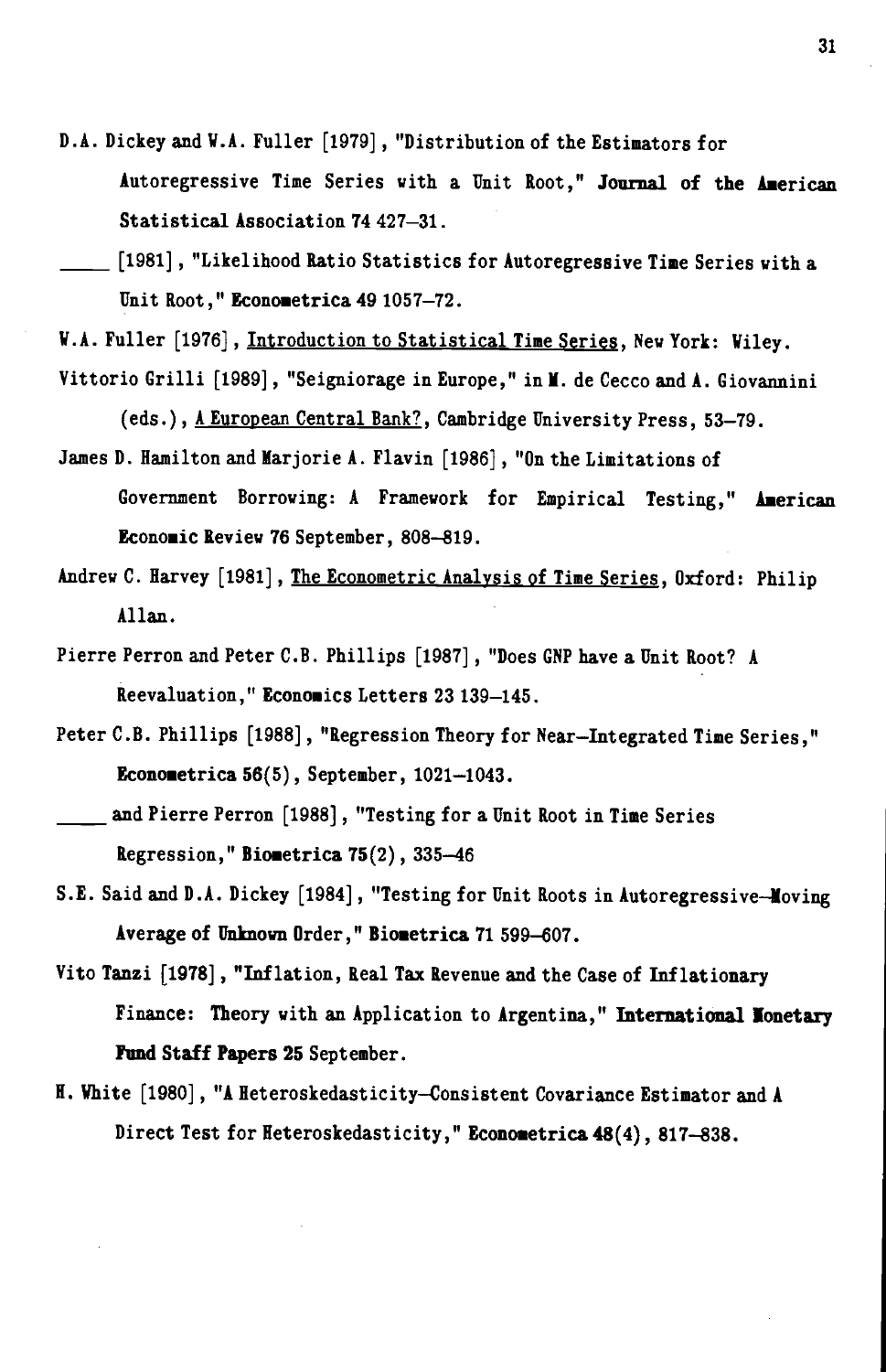- D.A. Dickey and V.A. Fuller [1979], "Distribution of the Estimators for Autoregressive Time Series with a Unit Root," Journal of the American Statistical Association 74 427—31.
- [1981], "Likelihood Ratio Statistics for Autoregressive Time Series with a Unit Root," Econometrica 49 1057-72.
- V.A. Fuller [1976], Introduction to Statistical Time Series, New York: Wiley.
- Vittorio Grilli [1989], "Seigniorage in Europe," in M. de Cecco and A. Giovannini (eds.), A European Central Bank?, Cambridge University Press, 53—79.
- James D. Hamilton and Marjorie A. Flavin [1986], "On the Limitations of Government Borrowing: A Framework for Empirical Testing," American Economic Review 76 September, 808-819.
- Andrew C. Harvey [1981], The Econometric Analysis of Time Series, Oxford: Philip Allan.
- Pierre Perron and Peter C.B. Phillips [1987], "Does GNP have a Unit Root? A Reevaluation," Economics Letters 23 139-145.
- Peter C.B. Phillips [1988], "Regression Theory for Near—Integrated Time Series," Econometrica  $56(5)$ , September, 1021-1043.
- and Pierre Perron [1988], "Testing for a Unit Root in Time Series Regression," Biometrica  $75(2)$ , 335-46
- S.E. Said and D.A. Dickey [1984], "Testing for Unit Roots in Autoregressive-Moving Average of Unknown Order," Biometrica 71 599—607.
- Vito Tanzi [1978], "Inflation, Real Tax Revenue and the Case of Inflationary Finance: Theory with an Application to Argentina," International Nonetary Fund Staff Papers 25 September.
- H. White [1980], "A Heteroskedasticity-Consistent Covariance Estimator and A Direct Test for Heteroskedasticity," Econometrica 48(4), 817-838.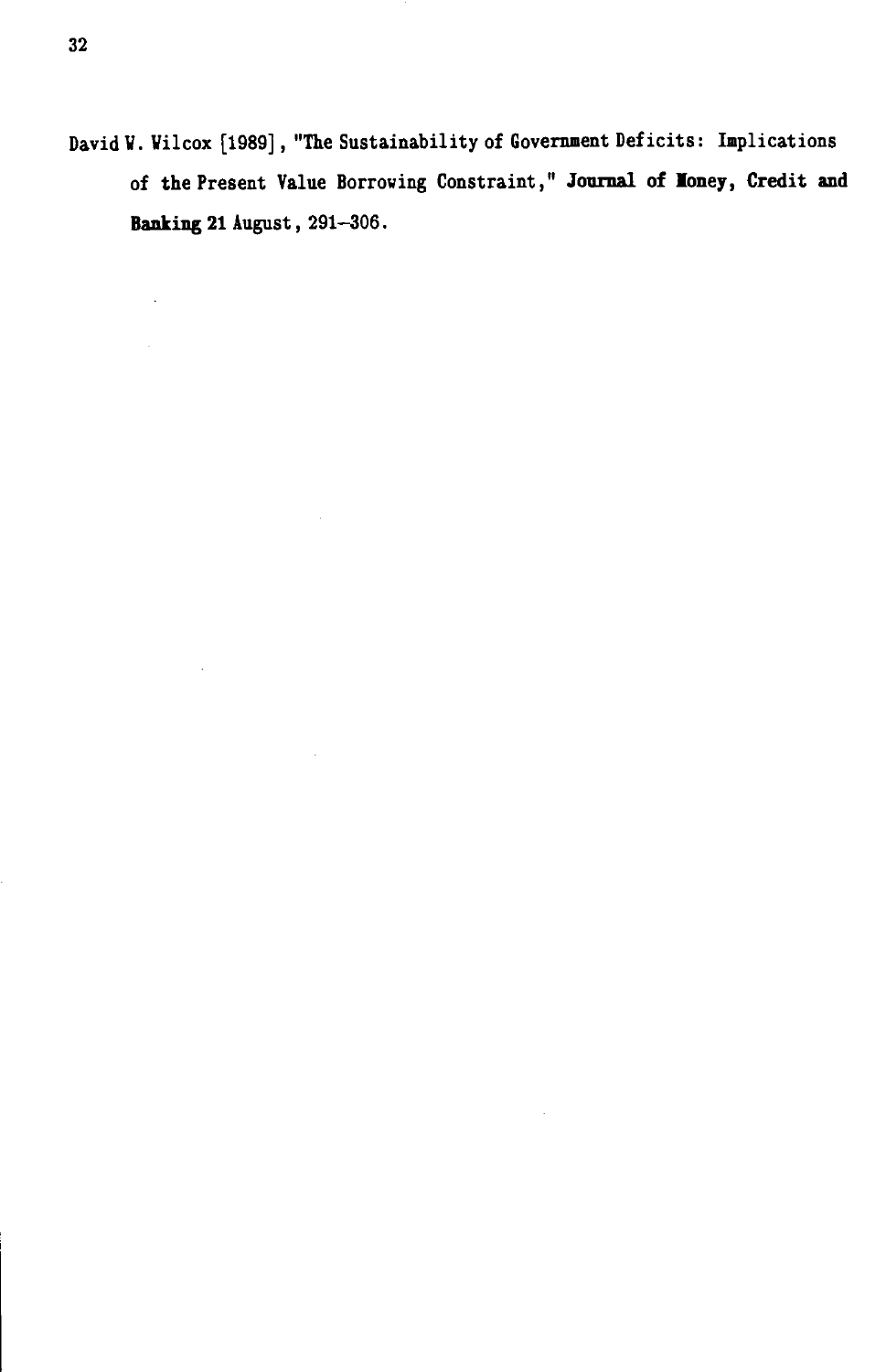David W. Wilcox [1989], "The Sustainability of Government Deficits: Implications of the Present Value Borrowing Constraint," Journal of loney, Credit and Banking 21 August, 291—306.

 $\cdot$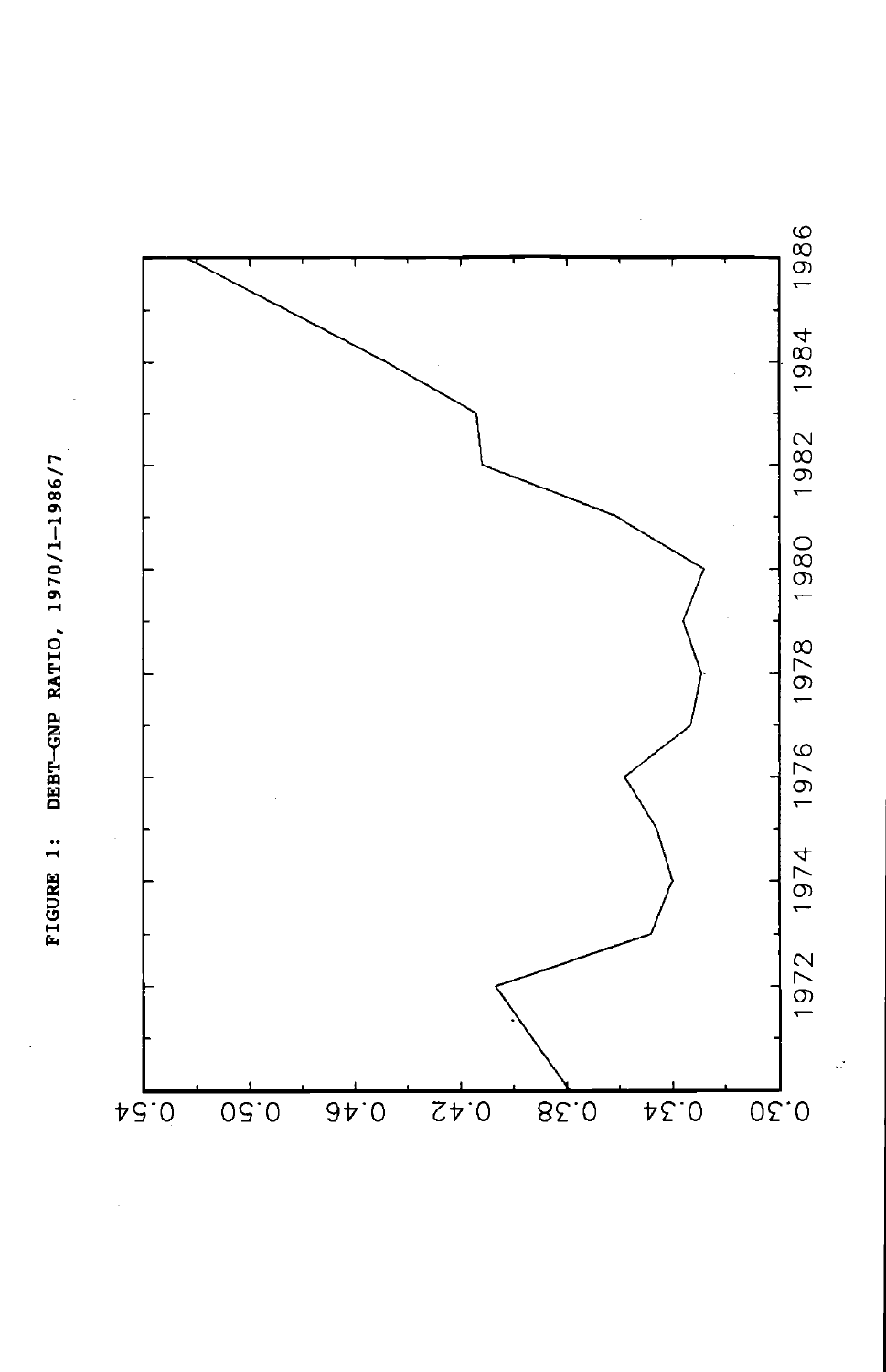

FIGURE 1: DEBT-GNP RATIO, 1970/1-1986/7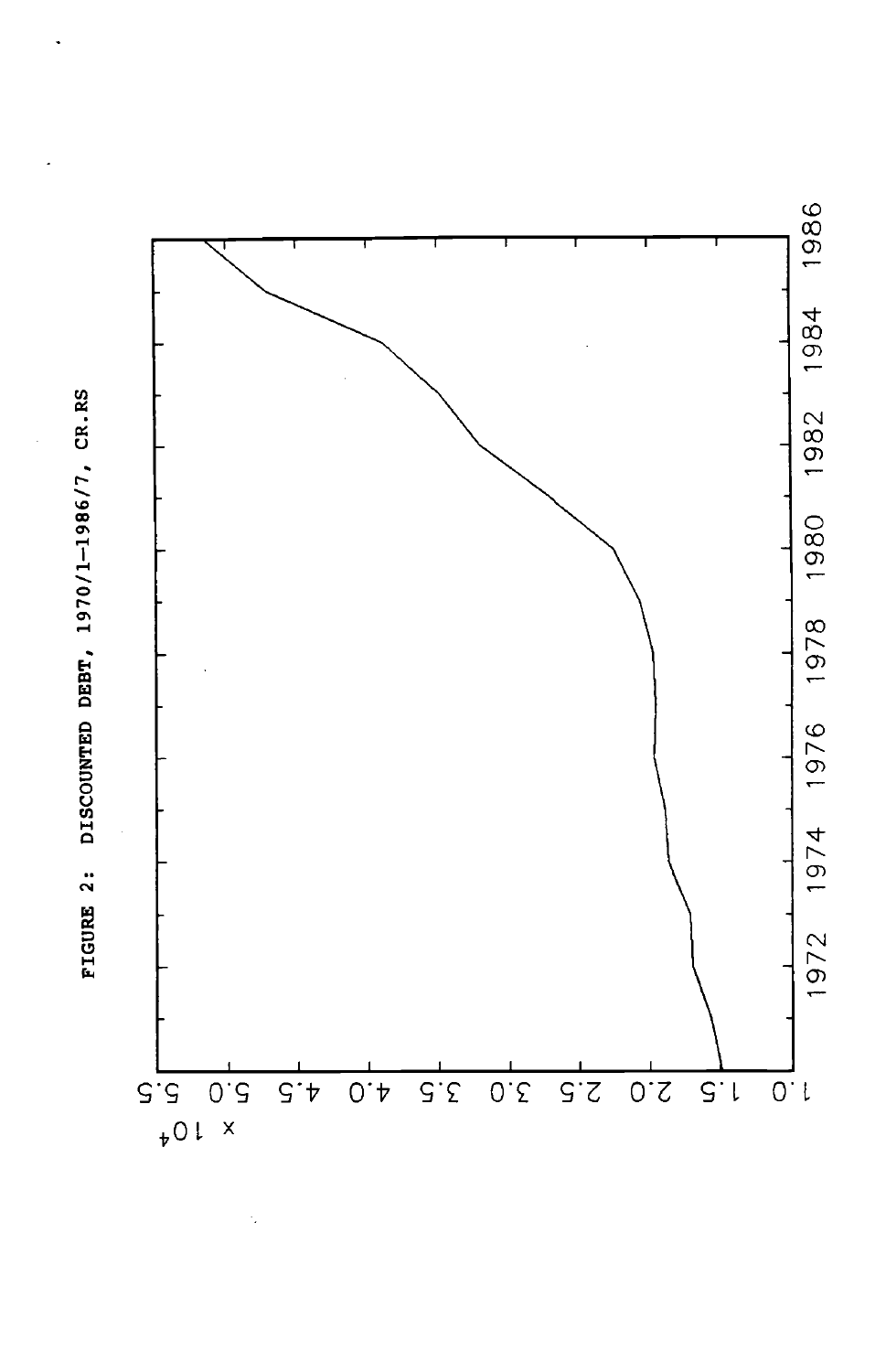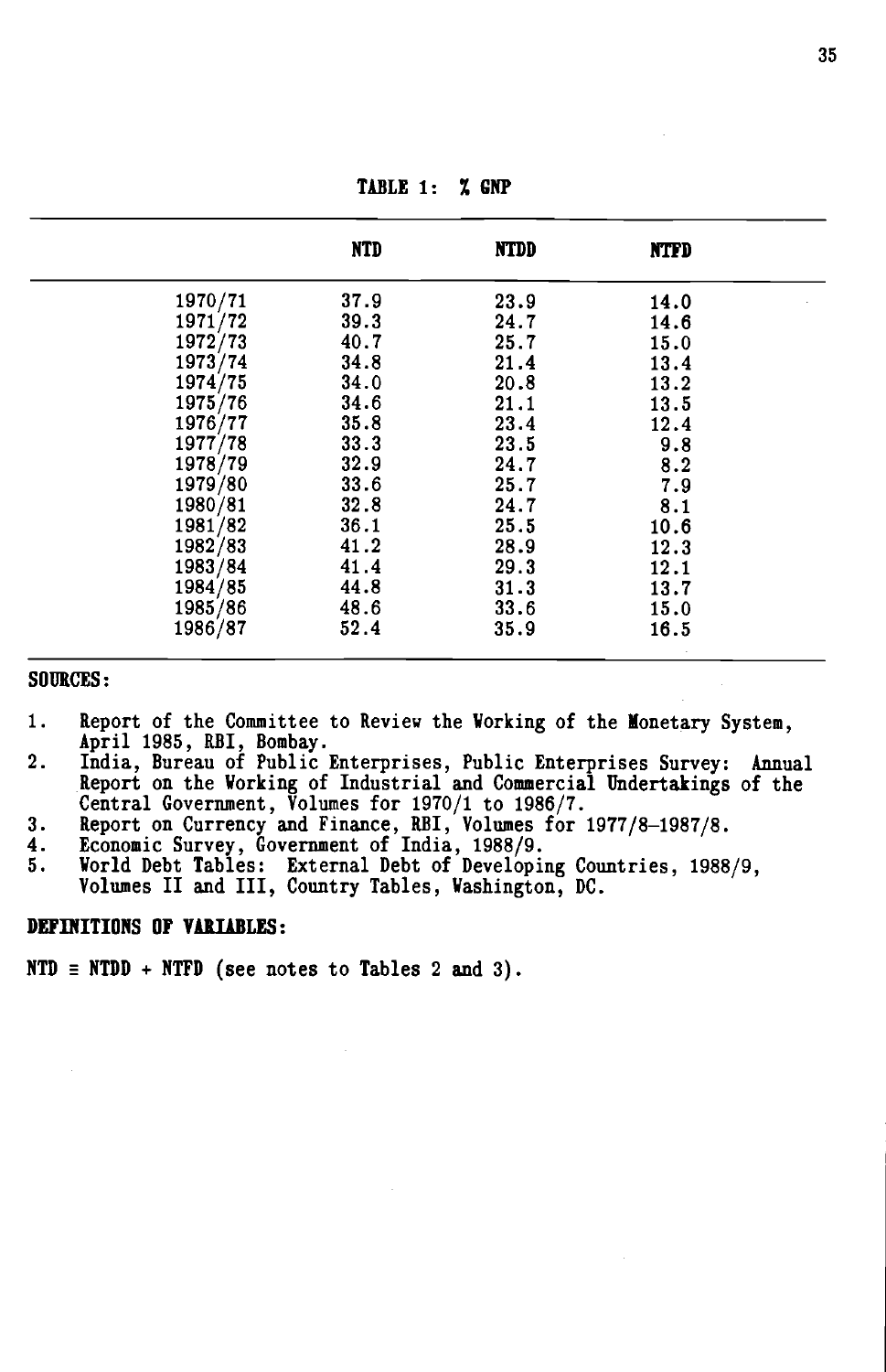| <b>NTD</b> | NTDD                                                                                                                         | NTFD                                                                                                                 |                                                                                                                                  |
|------------|------------------------------------------------------------------------------------------------------------------------------|----------------------------------------------------------------------------------------------------------------------|----------------------------------------------------------------------------------------------------------------------------------|
|            | 23.9                                                                                                                         |                                                                                                                      |                                                                                                                                  |
| 39.3       | 24.7                                                                                                                         |                                                                                                                      |                                                                                                                                  |
|            |                                                                                                                              |                                                                                                                      |                                                                                                                                  |
|            |                                                                                                                              |                                                                                                                      |                                                                                                                                  |
|            |                                                                                                                              |                                                                                                                      |                                                                                                                                  |
|            |                                                                                                                              |                                                                                                                      |                                                                                                                                  |
|            |                                                                                                                              |                                                                                                                      |                                                                                                                                  |
|            |                                                                                                                              |                                                                                                                      |                                                                                                                                  |
|            |                                                                                                                              |                                                                                                                      |                                                                                                                                  |
|            |                                                                                                                              |                                                                                                                      |                                                                                                                                  |
|            |                                                                                                                              |                                                                                                                      |                                                                                                                                  |
|            |                                                                                                                              |                                                                                                                      |                                                                                                                                  |
|            |                                                                                                                              |                                                                                                                      |                                                                                                                                  |
|            |                                                                                                                              |                                                                                                                      |                                                                                                                                  |
|            |                                                                                                                              |                                                                                                                      |                                                                                                                                  |
|            |                                                                                                                              |                                                                                                                      |                                                                                                                                  |
|            |                                                                                                                              |                                                                                                                      |                                                                                                                                  |
|            |                                                                                                                              |                                                                                                                      |                                                                                                                                  |
|            | 37.9<br>40.7<br>34.8<br>34.0<br>34.6<br>35.8<br>33.3<br>32.9<br>33.6<br>32.8<br>36.1<br>41.2<br>41.4<br>44.8<br>48.6<br>52.4 | 25.7<br>21.4<br>20.8<br>21.1<br>23.4<br>23.5<br>24.7<br>25.7<br>24.7<br>25.5<br>28.9<br>29.3<br>31.3<br>33.6<br>35.9 | 14.0<br>14.6<br>15.0<br>13.4<br>13.2<br>13.5<br>12.4<br>9.8<br>8.2<br>7.9<br>8.1<br>10.6<br>12.3<br>12.1<br>13.7<br>15.0<br>16.5 |

TABLE 1: X GNP

#### SOURCES:

- 1. Report of the Committee to Review the Working of the Monetary System.
- april 1985, KB1, Bombay.<br>2. India, Bureau of Public Enterprises, Public Enterprises Survey: Annual Report on the Working of Industrial and Commercial Undertakings of the Central Government, Volumes for 1970/1 to 1986/7.
- 3. Report on Currency and Finance, RBI, Volumes for 1977/8-1987/8.<br>4. Economic Survey, Government of India, 1988/9.
- 
- 5. World Debt Tables: External Debt of Developing Countries, 1988/9, Volumes II and III, Country Tables, Washington, DC.

#### DEFINITIONS OF VARIABLES:

NTD  $\equiv$  NTDD + NTFD (see notes to Tables 2 and 3).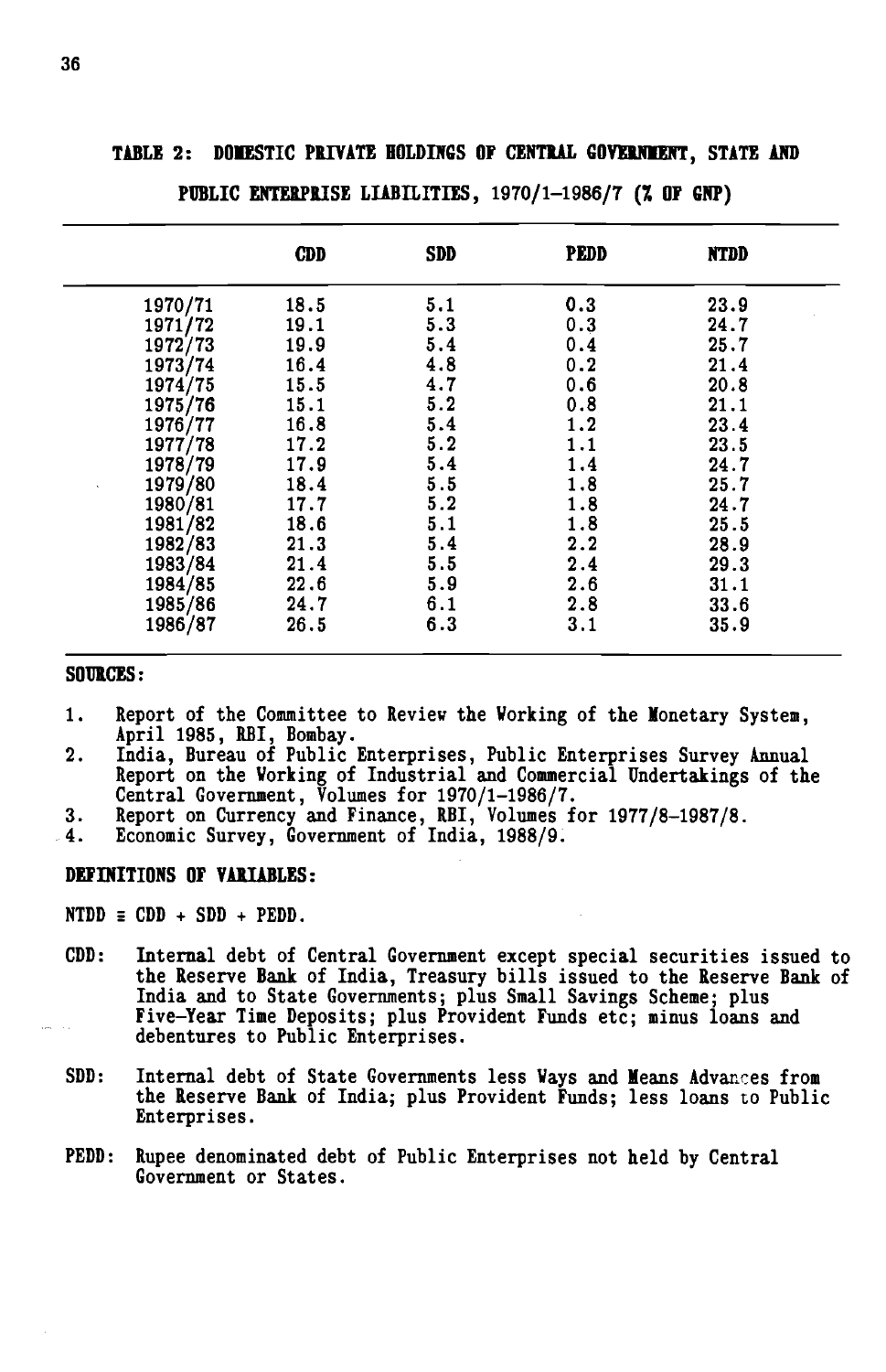|                 | <b>CDD</b> | <b>SDD</b> | <b>PEDD</b> | <b>NTDD</b> |
|-----------------|------------|------------|-------------|-------------|
| 1970/71         | 18.5       | 5.1        | 0.3         | 23.9        |
| 1971/72<br>19.1 |            | 5.3        | 0.3         | 24.7        |
| 1972/73         | 19.9       | 5.4        | 0.4         | 25.7        |
| 1973/74         | 16.4       | 4.8        | 0.2         | 21.4        |
| 1974/75         | 15.5       | 4.7        | 0.6         | 20.8        |
| 1975/76         | 15.1       | 5.2        | 0.8         | 21.1        |
| 1976/77         | 16.8       | 5.4        | 1.2         | 23.4        |
| 1977/78         | 17.2       | 5.2        | 1.1         | 23.5        |
| 1978/79         | 17.9       | 5.4        | 1.4         | 24.7        |
| 1979/80         | 18.4       | 5.5        | 1.8         | 25.7        |
| 1980/81         | 17.7       | 5.2        | 1.8         | 24.7        |
| 1981/82         | 18.6       | 5.1        | 1.8         | 25.5        |
| 1982/83         | 21.3       | 5.4        | 2.2         | 28.9        |
| 1983/84         | 21.4       | 5.5        | 2.4         | 29.3        |
| 1984/85         | 22.6       | 5.9        | 2.6         | 31.1        |
| 1985/86         | 24.7       | 6.1        | 2.8         | 33.6        |
| 1986/87         | 26.5       | 6.3        | 3.1         | 35.9        |

## TABLE 2: DOMESTIC PRIVATE HOLDINGS OF CENTRAL GOVERNMENT, STATE AND

PuBLIC ENTERPRISE LIABILITIES, 1970/1—1986/7 (X OF CNP)

#### SOURCES:

- 1. Report of the Committee to Review the Working of the Monetary System,<br>April 1985, RBI, Bombay.
- April 1985, RBI, Bombay. 2. India, Bureau of Public Enterprises, Public Enterprises Survey Annual Report on the Working of Industrial and Commercial Undertakings of the Central Government, Volumes for 1970/1—1986/7.
- 3. Report on Currency and Finance, RBI, Volumes for 1977/8—1987/8.
- 4. Economic Survey, Government of India, 1988/9.

#### DEFINITIONS OF VARIABLES:

 $NTDD \equiv CDD + SDD + PEDD$ .

- CDD: Internal debt of Central Government except special securities issued to the Reserve Bank of India, Treasury bills issued to the Reserve Bank of India and to State Governments; plus Small Savings Scheme; plus Five—Year Time Deposits; plus Provident Funds etc; minus loans and debentures to Public Enterprises.
- SDD: Internal debt of State Governments less Ways and Means Advances from the Reserve Bank of India; plus Provident Funds; less loans to Public Enterprises.
- PEDD: Rupee denominated debt of Public Enterprises not held by Central Government or States.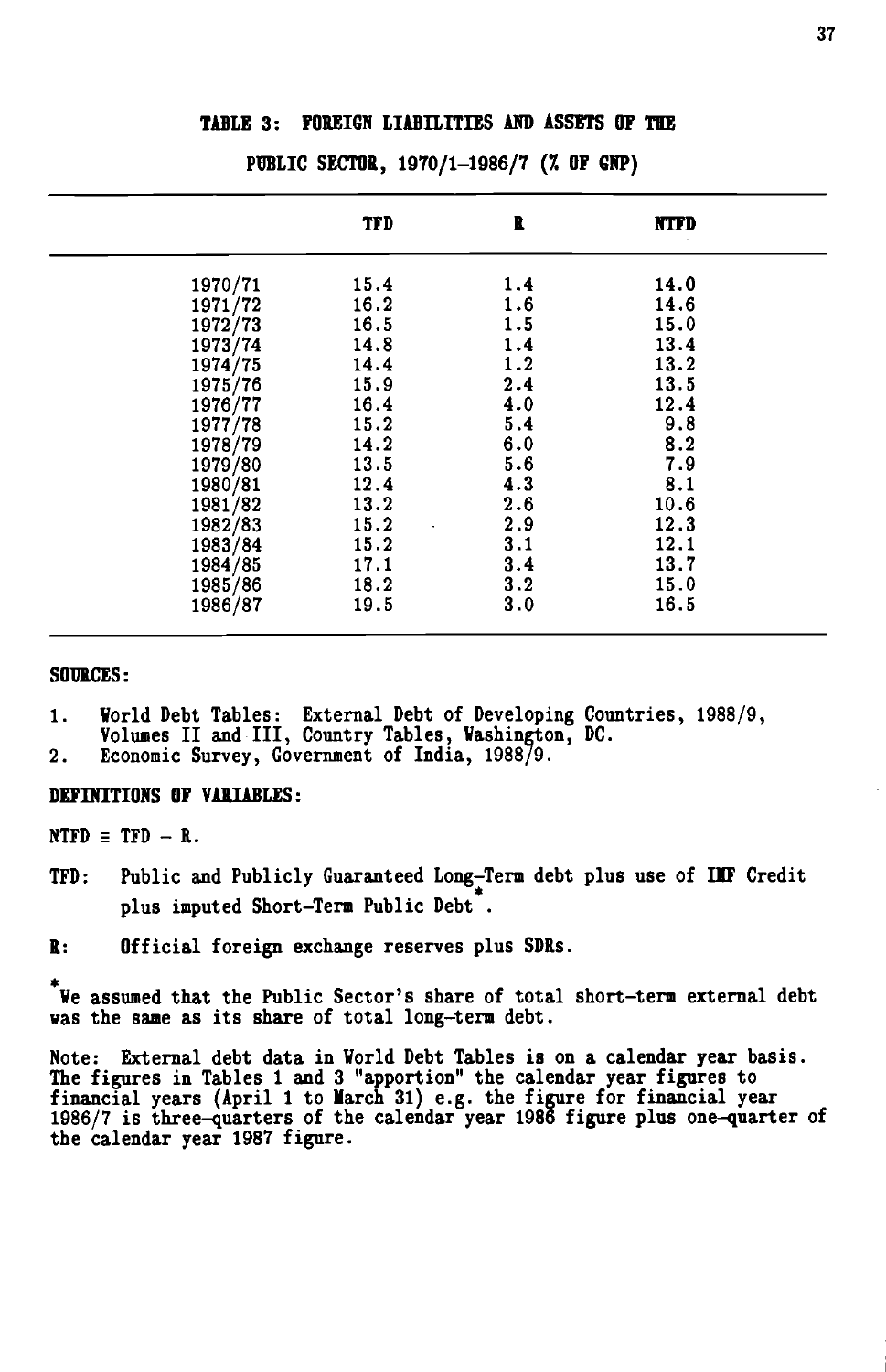#### TABLE 3: FOREIGN LIABILITIES AND ASSETS OF THE

|         | TFD  | R   | NTFD |
|---------|------|-----|------|
| 1970/71 | 15.4 | 1.4 | 14.0 |
| 1971/72 | 16.2 | 1.6 | 14.6 |
| 1972/73 | 16.5 | 1.5 | 15.0 |
| 1973/74 | 14.8 | 1.4 | 13.4 |
| 1974/75 | 14.4 | 1.2 | 13.2 |
| 1975/76 | 15.9 | 2.4 | 13.5 |
| 1976/77 | 16.4 | 4.0 | 12.4 |
| 1977/78 | 15.2 | 5.4 | 9.8  |
| 1978/79 | 14.2 | 6.0 | 8.2  |
| 1979/80 | 13.5 | 5.6 | 7.9  |
| 1980/81 | 12.4 | 4.3 | 8.1  |
| 1981/82 | 13.2 | 2.6 | 10.6 |
| 1982/83 | 15.2 | 2.9 | 12.3 |
| 1983/84 | 15.2 | 3.1 | 12.1 |
| 1984/85 | 17.1 | 3.4 | 13.7 |
| 1985/86 | 18.2 | 3.2 | 15.0 |
| 1986/87 | 19.5 | 3.0 | 16.5 |

## PuBLIC SECTOR, 1970/1—1986/7 (Z OF GNP)

## SOURCES:

- 1. World Debt Tables: External Debt of Developing Countries, 1988/9, Volumes II and III, Country Tables, Washington, DC.
- 2. Economic Survey, Government of India, 1988/9.

## DEFINITIONS OF VARIABLES:

 $NTFD = TFD - R$ .

- TFD: Public and Publicly Guaranteed Long-Term debt plus use of IMF Credit plus imputed Short—Term Public Debt
- R: Official foreign exchange reserves plus SDRs.

\* We assumed that the Public Sector's share of total short—term external debt was the same as its share of total long—term debt.

Note: External debt data in World Debt Tables is on a calendar year basis. The figures in Tables 1 and 3 "apportion" the calendar year figures to financial years (April 1 to larch 31) e.g. the figure for financial year 1986/7 is three—quarters of the calendar year 1986 figure plus one—quarter of the calendar year 1987 figure.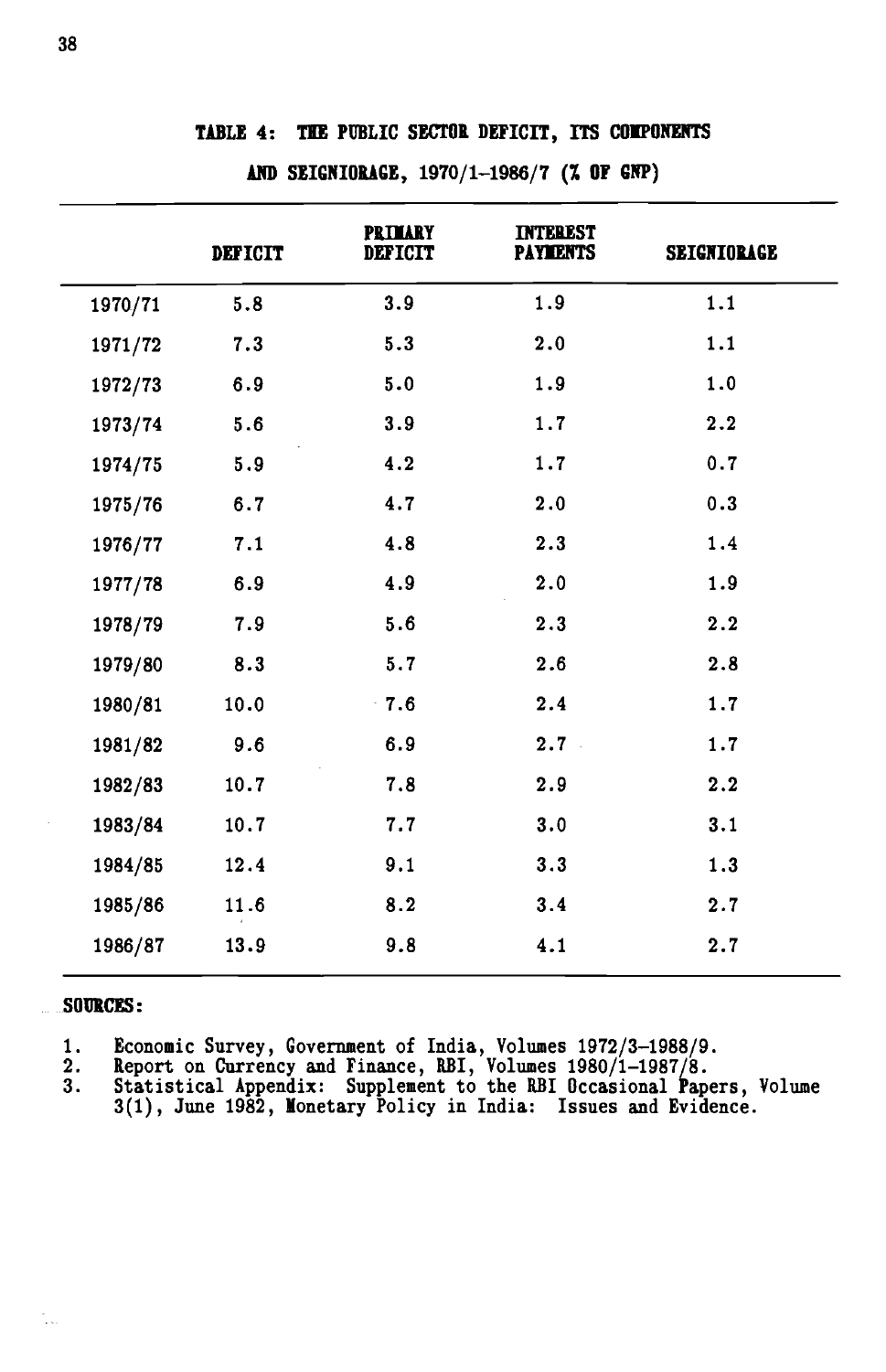|         | <b>DEFICIT</b> | <b>PRIMARY</b><br><b>DEFICIT</b> | <b>INTEREST</b><br><b>PAYMENTS</b> | <b>SEIGNIORAGE</b> |
|---------|----------------|----------------------------------|------------------------------------|--------------------|
| 1970/71 | 5.8            | 3.9                              | 1.9                                | 1.1                |
| 1971/72 | 7.3            | 5.3                              | 2.0                                | 1.1                |
| 1972/73 | 6.9            | 5.0                              | 1.9                                | 1.0                |
| 1973/74 | 5.6            | 3.9                              | 1.7                                | 2.2                |
| 1974/75 | 5.9            | 4.2                              | 1.7                                | 0.7                |
| 1975/76 | 6.7            | 4.7                              | 2.0                                | 0.3                |
| 1976/77 | 7.1            | 4.8                              | 2.3                                | 1.4                |
| 1977/78 | 6.9            | 4.9                              | 2.0                                | 1.9                |
| 1978/79 | 7.9            | 5.6                              | 2.3                                | 2.2                |
| 1979/80 | 8.3            | 5.7                              | 2.6                                | 2.8                |
| 1980/81 | 10.0           | $-7.6$                           | 2.4                                | 1.7                |
| 1981/82 | 9.6            | 6.9                              | 2.7                                | 1.7                |
| 1982/83 | 10.7           | 7.8                              | 2.9                                | 2.2                |
| 1983/84 | 10.7           | 7.7                              | 3.0                                | 3.1                |
| 1984/85 | 12.4           | 9.1                              | 3.3                                | 1.3                |
| 1985/86 | 11.6           | 8.2                              | 3.4                                | 2.7                |
| 1986/87 | 13.9           | 9.8                              | 4.1                                | 2.7                |

## TABLE 4: THE PUBLIC SECTOR DEFICIT, ITS COIPONENTS

AND SEIGNIORAGE, 1970/1-1986/7 (7. OF GNP)

## SURCES:

1. Economic Survey, Government of India, Volumes 1972/3—1988/9.

2. Report on Currency and Finance, RBI, Volumes 1980/1-1987/8.<br>3. Statistical Appendix: Supplement to the RBI Occasional Papers, Volume 3(1), June 1982, Monetary Policy in India: Issues and Evidence.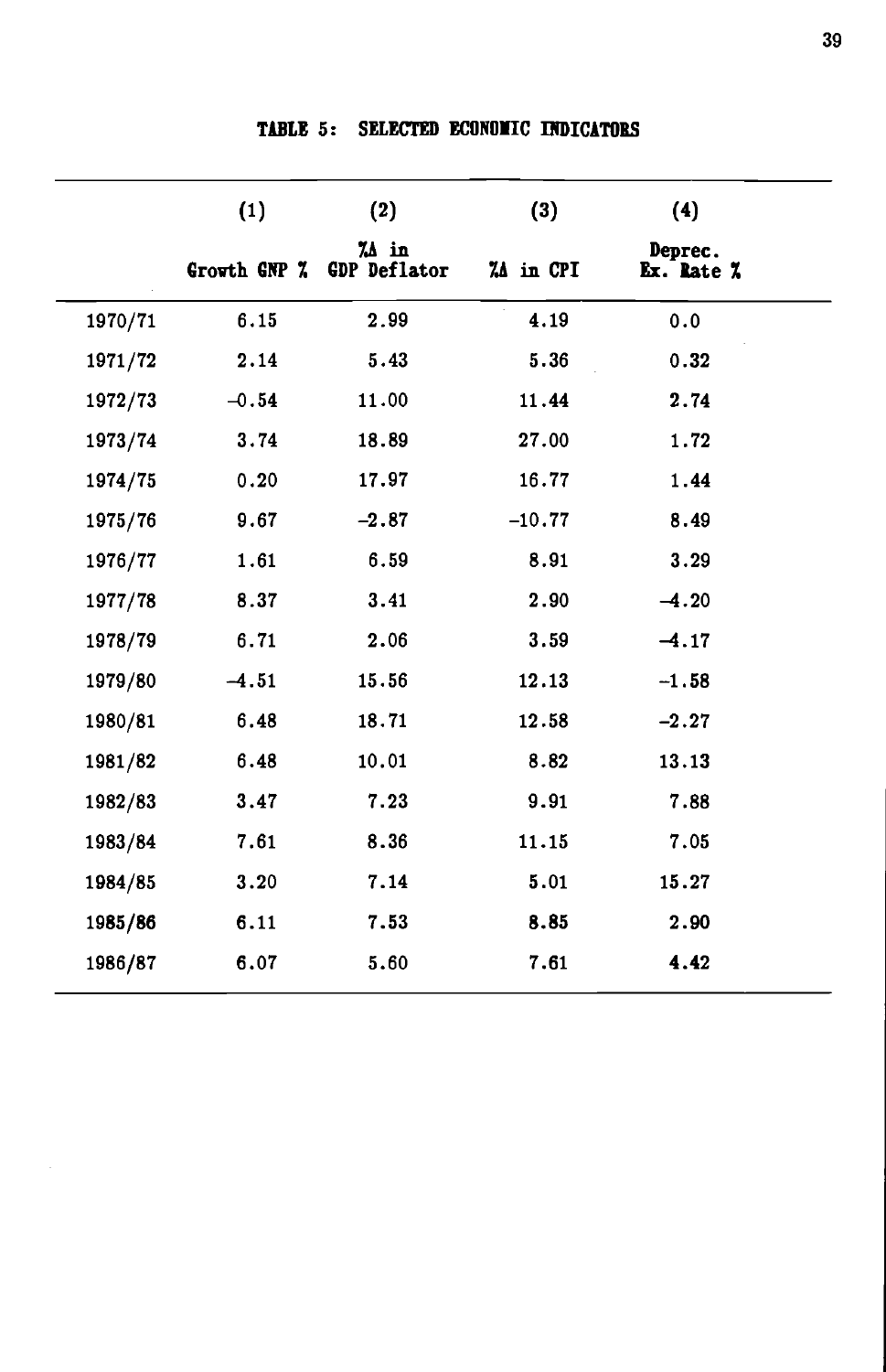| TABLE 5: SELECTED ECONOMIC INDICATORS |  |  |  |
|---------------------------------------|--|--|--|
|---------------------------------------|--|--|--|

|         | (1)          | (2)                                        | (3)        | (4)                   |
|---------|--------------|--------------------------------------------|------------|-----------------------|
|         | Growth GNP % | $\lambda \Delta$ in<br><b>GDP</b> Deflator | 7.A in CPI | Deprec.<br>Ex. Rate % |
| 1970/71 | 6.15         | 2.99                                       | 4.19       | 0.0                   |
| 1971/72 | 2.14         | 5.43                                       | 5.36       | 0.32                  |
| 1972/73 | $-0.54$      | 11.00                                      | 11.44      | 2.74                  |
| 1973/74 | 3.74         | 18.89                                      | 27.00      | 1.72                  |
| 1974/75 | 0.20         | 17.97                                      | 16.77      | 1.44                  |
| 1975/76 | 9.67         | $-2.87$                                    | $-10.77$   | 8.49                  |
| 1976/77 | 1.61         | 6.59                                       | 8.91       | 3.29                  |
| 1977/78 | 8.37         | 3.41                                       | 2.90       | $-4.20$               |
| 1978/79 | 6.71         | 2.06                                       | 3.59       | $-4.17$               |
| 1979/80 | $-4.51$      | 15.56                                      | 12.13      | $-1.58$               |
| 1980/81 | 6.48         | 18.71                                      | 12.58      | $-2.27$               |
| 1981/82 | 6.48         | 10.01                                      | 8.82       | 13.13                 |
| 1982/83 | 3.47         | 7.23                                       | 9.91       | 7.88                  |
| 1983/84 | 7.61         | 8.36                                       | 11.15      | 7.05                  |
| 1984/85 | 3.20         | 7.14                                       | 5.01       | 15.27                 |
| 1985/86 | 6.11         | 7.53                                       | 8.85       | 2.90                  |
| 1986/87 | 6.07         | 5.60                                       | 7.61       | 4.42                  |
|         |              |                                            |            |                       |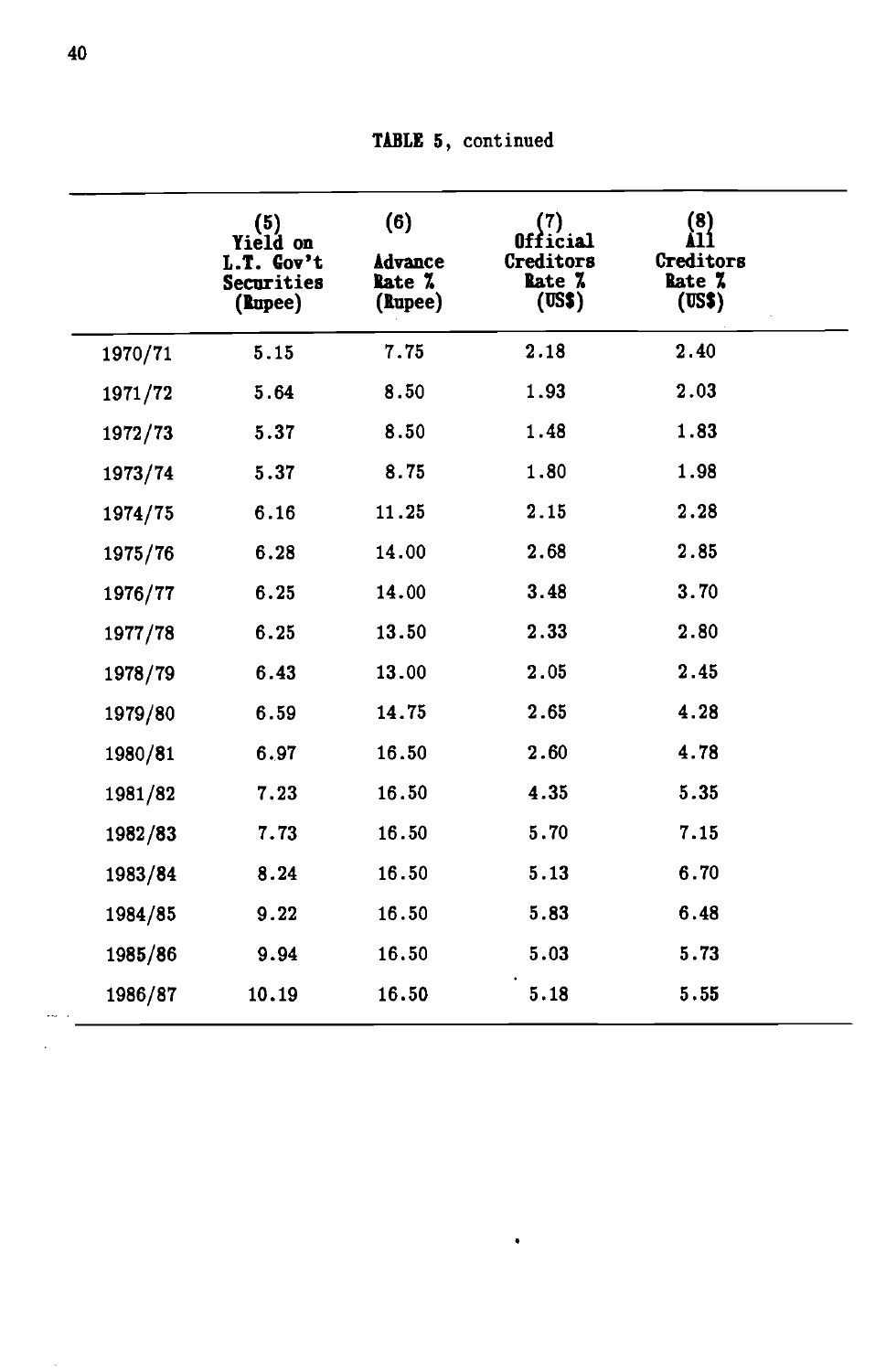| (5)<br>Yield on<br>L.T. Gov't<br><b>Securities</b><br>(Rupee) | (6)<br><b>Advance</b><br>Rate 7.<br>(Rupee) | (7)<br>Official<br>Creditors<br>Rate 7<br>( <sup>US</sup> ') | (8)<br>Creditors<br><b>Rate 7.</b><br>(US\$) |  |
|---------------------------------------------------------------|---------------------------------------------|--------------------------------------------------------------|----------------------------------------------|--|
| 5.15                                                          | 7.75                                        | 2.18                                                         | 2.40                                         |  |
| 5.64                                                          | 8.50                                        | 1.93                                                         | 2.03                                         |  |
| 5.37                                                          | 8.50                                        | 1.48                                                         | 1.83                                         |  |
| 5.37                                                          | 8.75                                        | 1.80                                                         | 1.98                                         |  |
| 6.16                                                          | 11.25                                       | 2.15                                                         | 2.28                                         |  |
| 6.28                                                          | 14.00                                       | 2.68                                                         | 2.85                                         |  |
| 6.25                                                          | 14.00                                       | 3.48                                                         | 3.70                                         |  |
| 6.25                                                          | 13.50                                       | 2.33                                                         | 2.80                                         |  |
| 6.43                                                          | 13.00                                       | 2.05                                                         | 2.45                                         |  |
| 6.59                                                          | 14.75                                       | 2.65                                                         | 4.28                                         |  |
| 6.97                                                          | 16.50                                       | 2.60                                                         | 4.78                                         |  |
| 7.23                                                          | 16.50                                       | 4.35                                                         | 5.35                                         |  |
| 7.73                                                          | 16.50                                       | 5.70                                                         | 7.15                                         |  |
| 8.24                                                          | 16.50                                       | 5.13                                                         | 6.70                                         |  |
| 9.22                                                          | 16.50                                       | 5.83                                                         | 6.48                                         |  |
| 9.94                                                          | 16.50                                       | 5.03                                                         | 5.73                                         |  |
| 10.19                                                         | 16.50                                       | 5.18                                                         | 5.55                                         |  |
|                                                               |                                             |                                                              |                                              |  |

 $\bullet$ 

TABLE 5, continued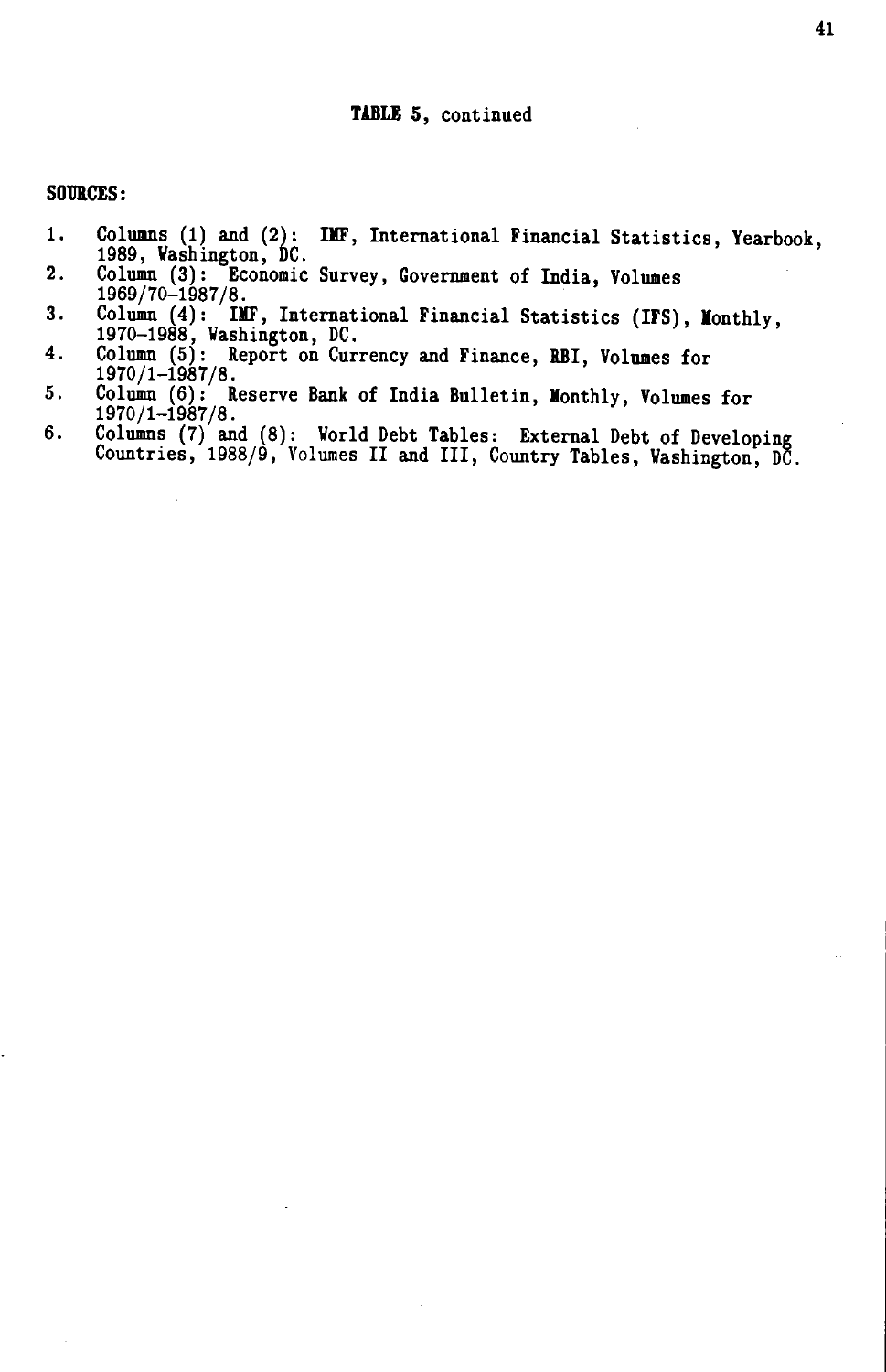## TABLE 5, continued

## SOURCES:

- 1. Columns (1) and (2): IMF, International Financial Statistics, Yearbook, 1989, Washington, DC.
- 1989, Washington, DC. 2. Column (3): Economic Survey, Government of India, Volumes
- 1969/70—1987/8. 3. Column (4): IKF, International Financial Statistics (IFS), Ionthly, 1970—1988, Washington, DC.
- 4. Column (5): Report on Currency and Finance, RBI, Volumes for 1970/1-1987/8.
- 1970/1—1987/8. 5. Column (6): Reserve Bank of India Bulletin, Ionthly, Volumes for  $1970/1-1987/8.$
- 6. Columns (7) and (8): World Debt Tables: External Debt of Developin Countries, 1988/9, Volumes II and III, Country Tables, Washington, D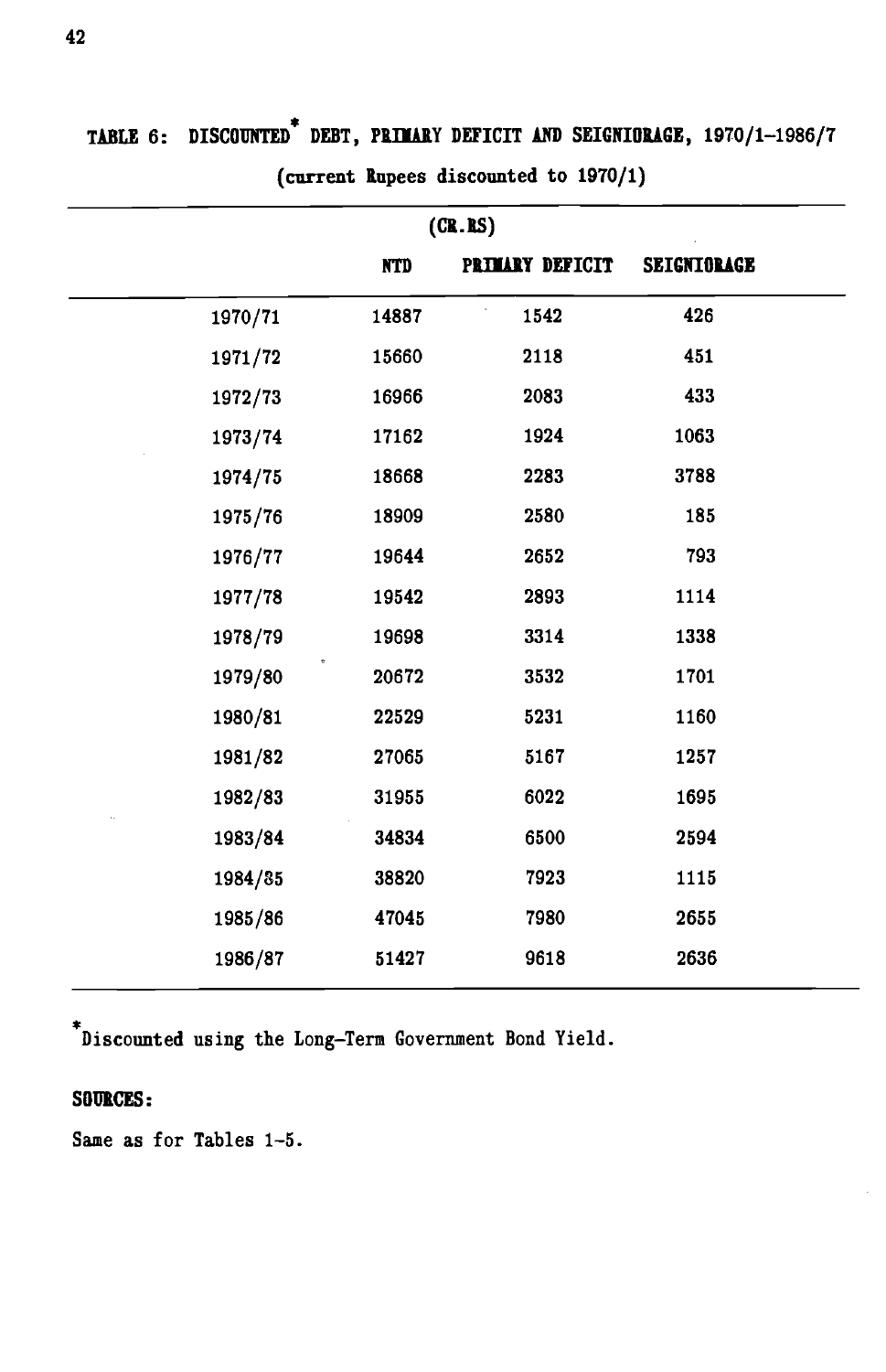|         |            | (CR.RS)         |             |  |
|---------|------------|-----------------|-------------|--|
|         | <b>NTD</b> | PRIMARY DEFICIT | SEIGNIORAGE |  |
| 1970/71 | 14887      | 1542            | 426         |  |
| 1971/72 | 15660      | 2118            | 451         |  |
| 1972/73 | 16966      | 2083            | 433         |  |
| 1973/74 | 17162      | 1924            | 1063        |  |
| 1974/75 | 18668      | 2283            | 3788        |  |
| 1975/76 | 18909      | 2580            | 185         |  |
| 1976/77 | 19644      | 2652            | 793         |  |
| 1977/78 | 19542      | 2893            | 1114        |  |
| 1978/79 | 19698      | 3314            | 1338        |  |
| 1979/80 | 20672      | 3532            | 1701        |  |
| 1980/81 | 22529      | 5231            | 1160        |  |
| 1981/82 | 27065      | 5167            | 1257        |  |
| 1982/83 | 31955      | 6022            | 1695        |  |
| 1983/84 | 34834      | 6500            | 2594        |  |
| 1984/85 | 38820      | 7923            | 1115        |  |
| 1985/86 | 47045      | 7980            | 2655        |  |
| 1986/87 | 51427      | 9618            | 2636        |  |
|         |            |                 |             |  |

TABLE 6: DISCOUNTED<sup>\*</sup> DEBT, PRIMARY DEFICIT AND SEIGNIORAGE, 1970/1-1986/7 (current Rupees discounted to 1970/1)

\* Discounted using the Long—Term Government Bond Yield.

## SOURCES:

Same as for Tables 1—5.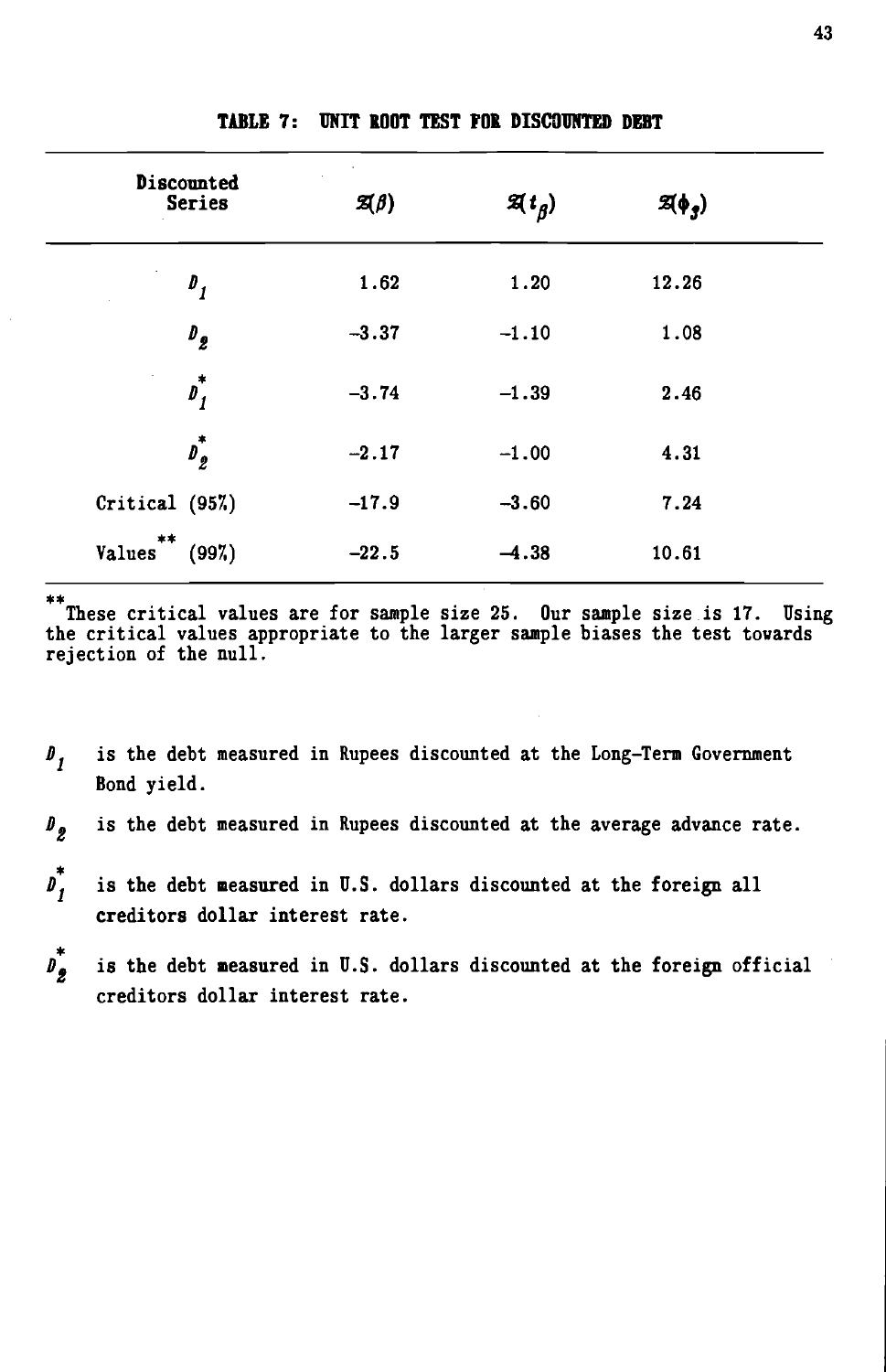|                     | Discounted<br><b>Series</b> | $\mathfrak{A}(\beta)$ | $\mathfrak{A}t_{\beta}$ | $\mathcal{A}(\phi_{\bm{g}})$ |  |
|---------------------|-----------------------------|-----------------------|-------------------------|------------------------------|--|
|                     | $\mathbf{v}_1$              | 1.62                  | 1.20                    | 12.26                        |  |
|                     | $P_{\bm{z}}$                | $-3.37$               | $-1.10$                 | 1.08                         |  |
|                     | $p^*_1$                     | $-3.74$               | $-1.39$                 | 2.46                         |  |
|                     | $p_2^*$                     | $-2.17$               | $-1.00$                 | 4.31                         |  |
| Critical (95%)      |                             | $-17.9$               | $-3.60$                 | 7.24                         |  |
| **<br><b>Values</b> | (997)                       | $-22.5$               | $-4.38$                 | 10.61                        |  |

TABLE 7: UNIT ROOT TEST FOR DISCOUNTED DEBT

\*\*These critical values are for sample size 25. Our sample size is 17. Using the critical values appropriate to the larger sample biases the test towardsrejection of the null.

- $D_i$  is the debt measured in Rupees discounted at the Long-Term Government Bond yield.
- $D_{\varphi}$  is the debt measured in Rupees discounted at the average advance rate.
- $\boldsymbol{p}_1^*$ is the debt measured in U.S. dollars discounted at the foreign all creditors dollar interest rate.
- $p_{\hat{z}}^*$ is the debt measured in U.S. dollars discounted at the foreign official creditors dollar interest rate.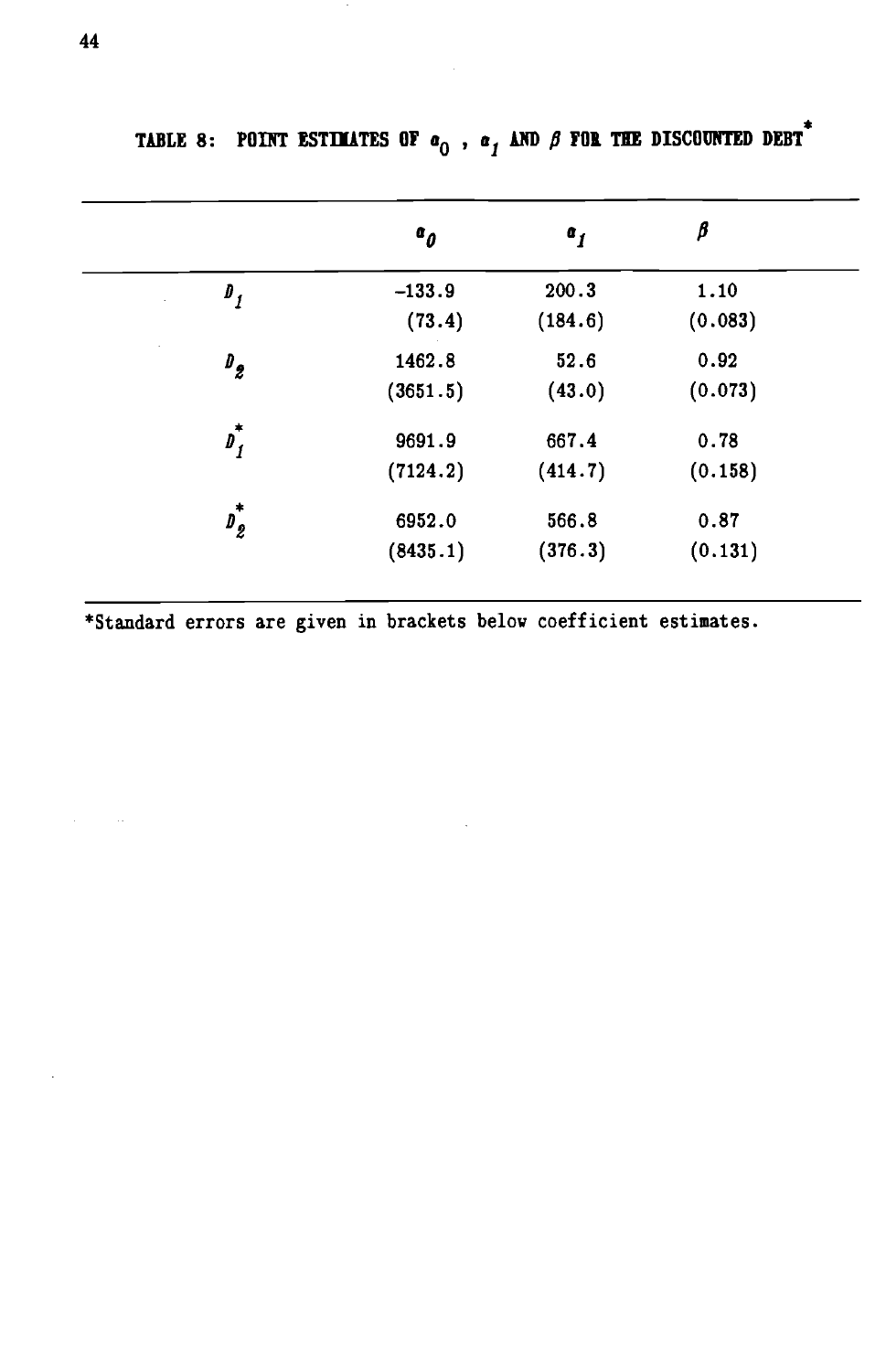|                  | $a_{\theta}$ | $a_{1}$ | β       |
|------------------|--------------|---------|---------|
| $\mathbf{p}_I$   | $-133.9$     | 200.3   | 1.10    |
|                  | (73.4)       | (184.6) | (0.083) |
| $P_{2}$          | 1462.8       | 52.6    | 0.92    |
|                  | (3651.5)     | (43.0)  | (0.073) |
| $\mathbf{p}_1^*$ | 9691.9       | 667.4   | 0.78    |
|                  | (7124.2)     | (414.7) | (0.158) |
| $p^*_2$          | 6952.0       | 566.8   | 0.87    |
|                  | (8435.1)     | (376.3) | (0.131) |

TABLE 8: POINT ESTIMATES OF  $a_0$ ,  $a_1$  and  $\beta$  for the discounted debt<sup>\*</sup>

\*Standard errors are given in brackets below coefficient estimates.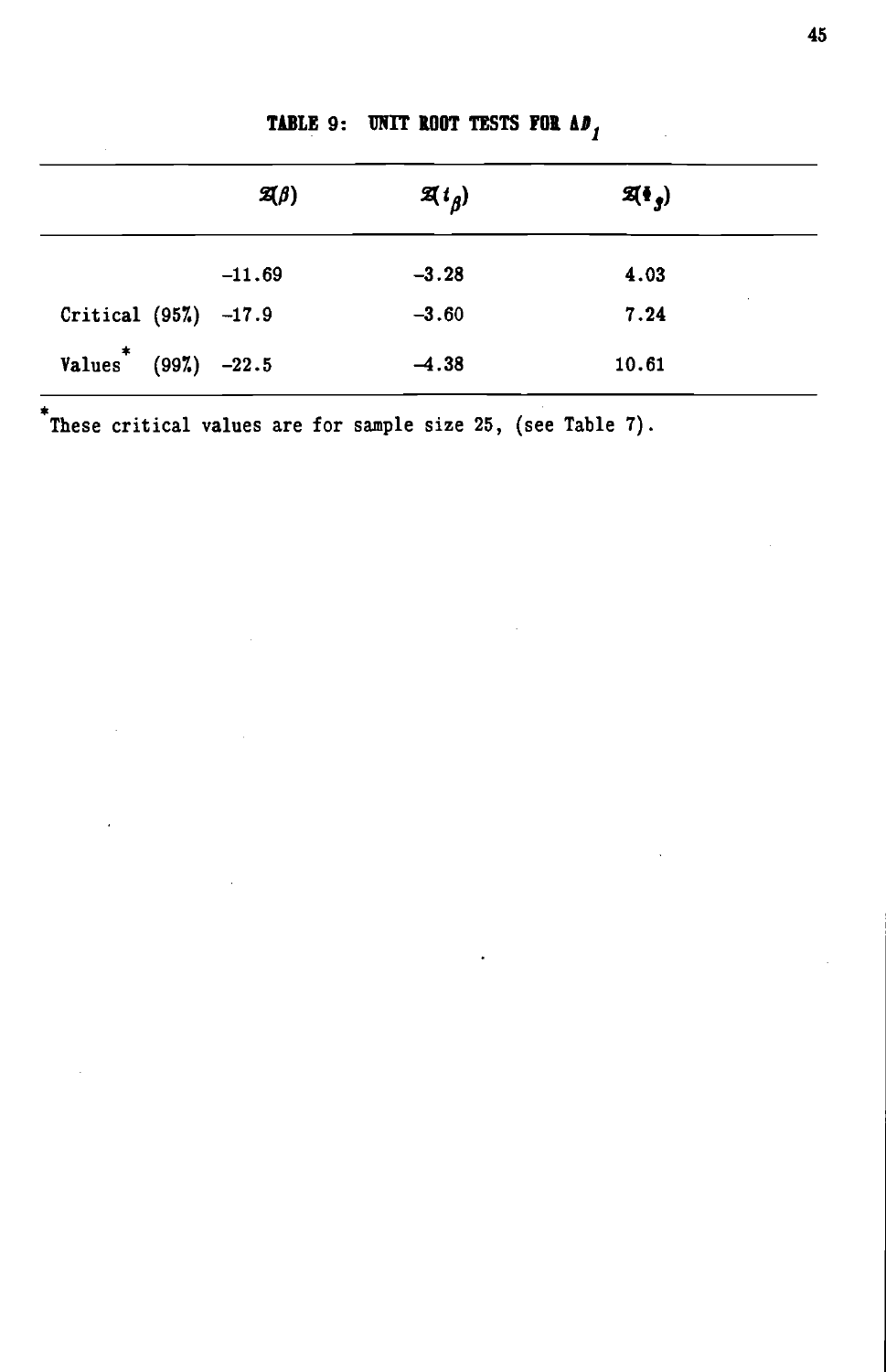|                                   | $\mathfrak{A}(\beta)$ | $\mathfrak{A}t_{\beta}$ | $\mathfrak{A}$ $\mathfrak{t}$ <sub>2</sub> ) |  |
|-----------------------------------|-----------------------|-------------------------|----------------------------------------------|--|
|                                   | $-11.69$              | $-3.28$                 | 4.03                                         |  |
| Critical (95%) -17.9              |                       | $-3.60$                 | 7.24                                         |  |
| Values <sup>*</sup> (997) $-22.5$ |                       | $-4.38$                 | 10.61                                        |  |

TABLE 9: UNIT ROOT TESTS FOR AD1

\* These critical values are for sample size 25, (see Table 7).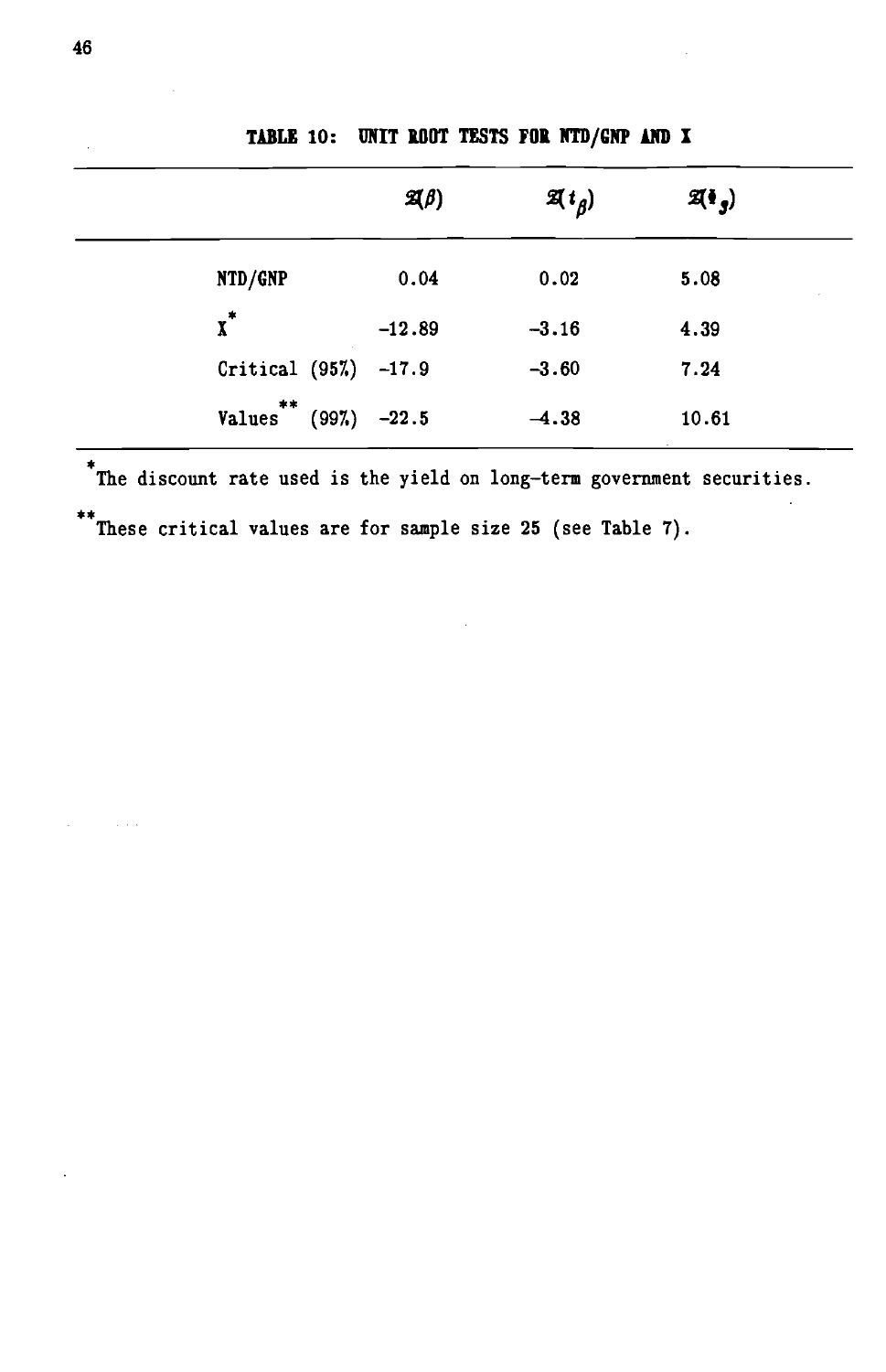|                        | $\mathfrak{A}(\beta)$ | $\mathfrak{A}$ $t_g$ ) | $\mathfrak{A}_{\bullet}$ |
|------------------------|-----------------------|------------------------|--------------------------|
| NTD/GNP                | 0.04                  | 0.02                   | 5.08                     |
| $\mathbf{x}^*$         | $-12.89$              | $-3.16$                | 4.39                     |
| Critical (95%) -17.9   |                       | $-3.60$                | 7.24                     |
| Values $*$ (99%) -22.5 |                       | $-4.38$                | 10.61                    |

\*The discount rate used is the yield on long-term government securities. \*\*These critical values are for sample size 25 (see Table 7).

 $\sim$  100  $\mu$  100  $\mu$ 

TABLE 10: UNIT ROOT TESTS FOR NTD/GNP AND I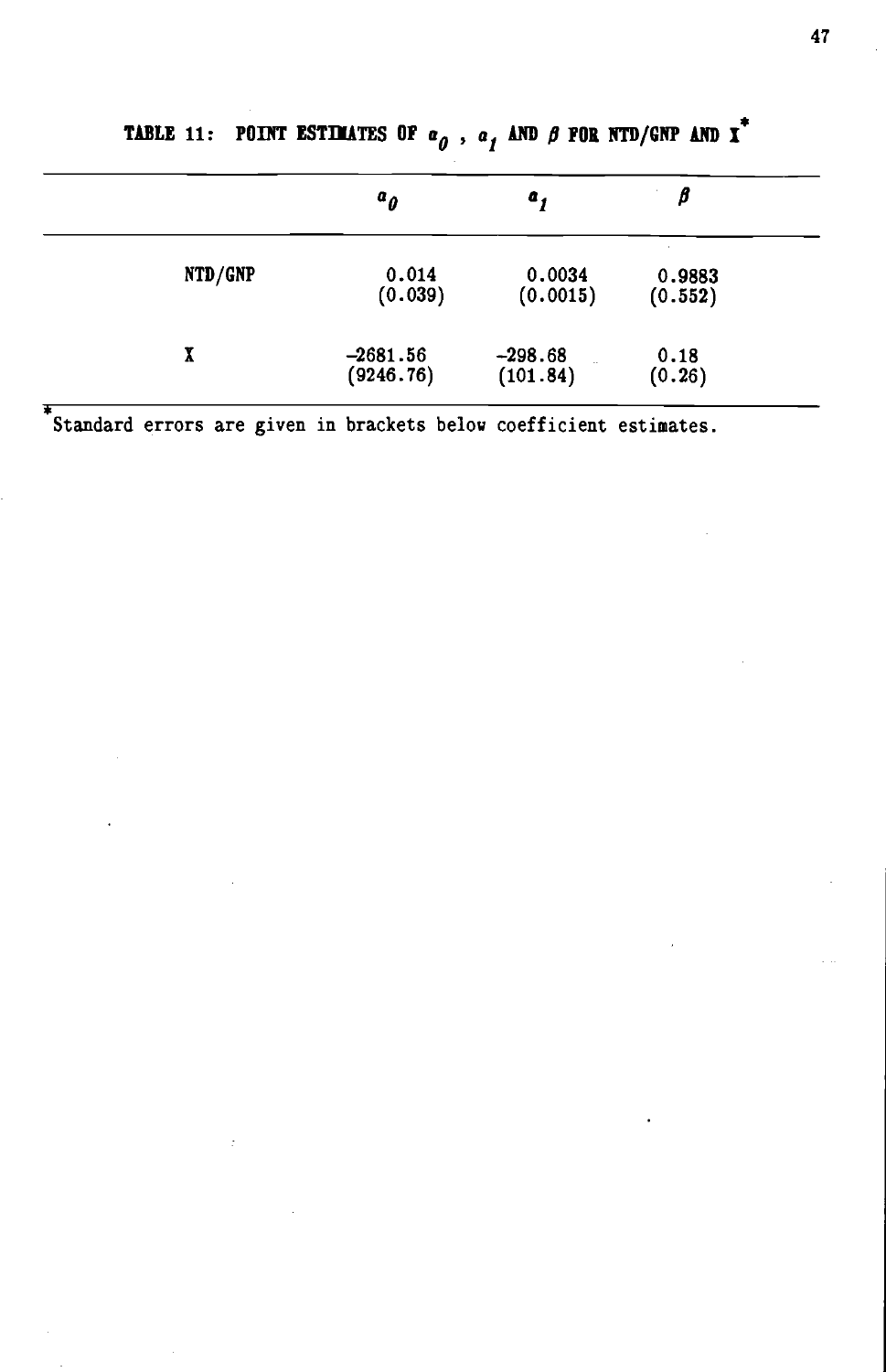|         | $a_{\boldsymbol{\theta}}$ | $\mathbf{a}_1$        | β                           |
|---------|---------------------------|-----------------------|-----------------------------|
| NTD/GNP | 0.014<br>(0.039)          | 0.0034<br>(0.0015)    | $\sim$<br>0.9883<br>(0.552) |
| X       | $-2681.56$<br>(9246.76)   | $-298.68$<br>(101.84) | 0.18<br>(0.26)              |

TABLE 11: POINT ESTIMATES OF  $a_{\theta}$  ,  $a_{1}$  and  $\beta$  for ntd/gnp and  $x^*$ 

standard errors are given in brackets below coefficient estimates.